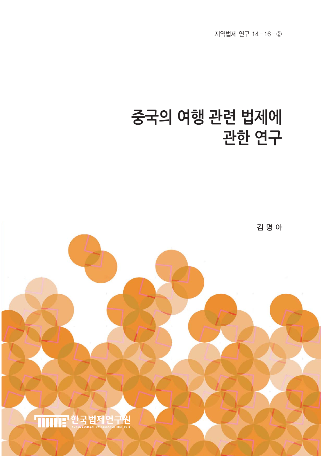지역법제 연구 14–16–②

# **중국의 여행 관련 법제에 관한 연구**

김 명 아

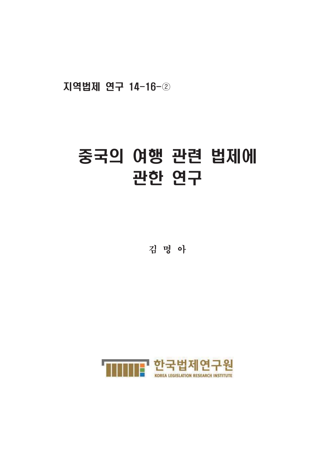지역법제 연구 14-16-2

## 중국의 여행 관련 법제에 관한 연구

김 명 아

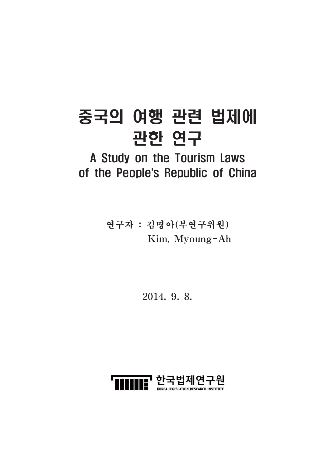# 중국의 여행 관련 법제에 관한 연구

## A Study on the Tourism Laws of the People's Republic of China

연구자 : 김명아(부연구위원) Kim, Myoung-Ah

2014. 9. 8.

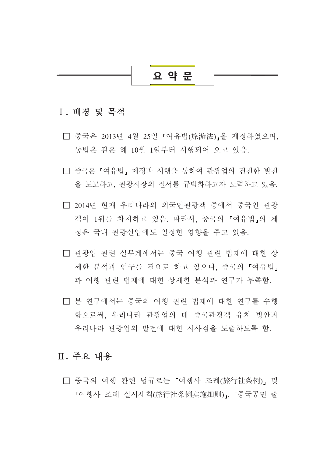## 요 약 문

## I. 배경 및 목적

- □ 중국은 2013년 4월 25일 「여유법(旅游法)」을 제정하였으며, 동법은 같은 해 10월 1일부터 시행되어 오고 있음.
- □ 중국은 「여유법」 제정과 시행을 통하여 관광업의 건전한 발전 을 도모하고, 관광시장의 질서를 규범화하고자 노력하고 있음.
- □ 2014년 현재 우리나라의 외국인관광객 중에서 중국인 관광 객이 1위를 차지하고 있음. 따라서, 중국의 「여유법」의 제 정은 국내 관광산업에도 일정한 영향을 주고 있음.
- □ 관광업 관련 실무계에서는 중국 여행 관련 법제에 대한 상 세한 분석과 연구를 필요로 하고 있으나, 중국의 「여유법」 과 여행 관련 법제에 대한 상세한 분석과 연구가 부족함.
- □ 본 연구에서는 중국의 여행 관련 법제에 대한 연구를 수행 함으로써. 우리나라 관광업의 대 중국관광객 유치 방안과 우리나라 관광업의 발전에 대한 시사점을 도출하도록 함.

## Ⅱ. 주요 내용

□ 중국의 여행 관련 법규로는 「여행사 조례(旅行社条例)」 및 『여행사 조례 실시세칙(旅行社条例实施细则)』, 『중국공민 출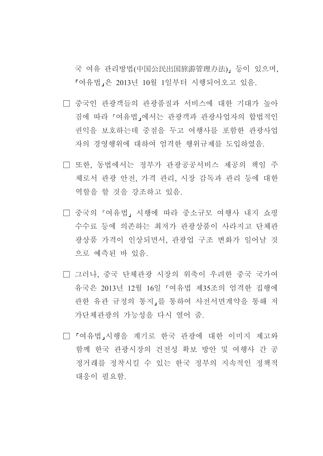국 여유 관리방법(中国公民出国旅游管理办法), 등이 있으며. 『여유법』은 2013년 10월 1일부터 시행되어오고 있음.

- □ 중국인 관광객들의 관광품질과 서비스에 대한 기대가 높아 짐에 따라 『여유법』에서는 관광객과 관광사업자의 합법적인 권익을 보호하는데 중점을 두고 여행사를 포함한 관광사업 자의 경영행위에 대하여 엄격한 행위규제를 도입하였음.
- □ 또한. 동법에서는 정부가 관광공공서비스 제공의 책임 주 체로서 관광 안전, 가격 관리, 시장 감독과 관리 등에 대한 역할을 할 것을 강조하고 있음.
- □ 중국의 『여유법』 시행에 따라 중소규모 여행사 내지 쇼핑 수수료 등에 의존하는 최저가 과광상품이 사라지고 다체과 광상품 가격이 인상되면서. 관광업 구조 변화가 일어날 것 으로 예측된 바 있음.
- □ 그러나, 중국 단체관광 시장의 위축이 우려한 중국 국가여 유국은 2013년 12월 16일 『여유법 제35조의 엄격한 집행에 관한 유관 규정의 통지,를 통하여 사전서면계약을 통해 저 가단체관광의 가능성을 다시 열어 줌.
- □ 「여유법」시행을 계기로 한국 관광에 대한 이미지 제고와 함께 한국 관광시장의 건전성 확보 방안 및 여행사 간 공 정거래를 정착시킬 수 있는 한국 정부의 지속적인 정책적 대응이 필요함.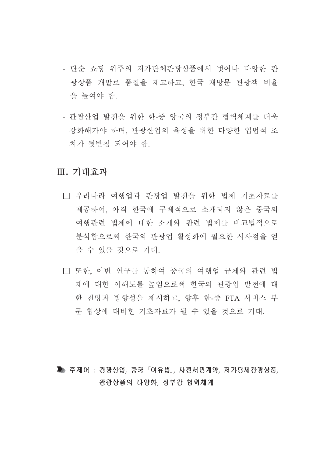- 다수 쇼핑 위주의 저가다체과광상품에서 벗어나 다양한 과 광상품 개발로 품질을 제고하고, 한국 재방문 관광객 비율 을 높여야 함.
- 관광산업 발전을 위한 한-중 양국의 정부간 협력체계를 더욱 강화해가야 하며, 관광산업의 육성을 위한 다양한 입법적 조 치가 뒷받침 되어야 함.

## Ⅲ. 기대효과

- □ 우리나라 여행업과 관광업 발전을 위한 법제 기초자료를 제공하여, 아직 한국에 구체적으로 소개되지 않은 중국의 여행관련 법제에 대한 소개와 관련 법제를 비교법적으로 분석함으로써 한국의 관광업 활성화에 필요한 시사점을 얻 을 수 있을 것으로 기대.
- □ 또한, 이번 연구를 통하여 중국의 여행업 규제와 관련 법 제에 대한 이해도를 높임으로써 한국의 관광업 발전에 대 한 전망과 방향성을 제시하고, 향후 한-중 FTA 서비스 부 문 협상에 대비한 기초자료가 될 수 있을 것으로 기대.

## ▶ 주제어 : 관광산업, 중국「여유법」, 사전서면계약, 저가단체관광상품, 관광상품의 다양화, 정부간 협력체계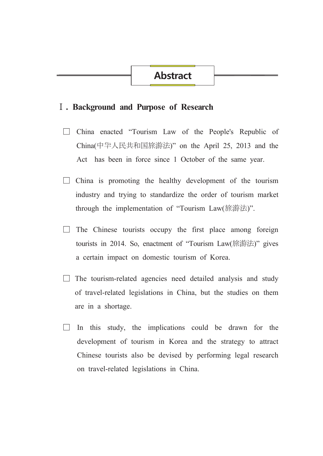## I. Background and Purpose of Research

- □ China enacted "Tourism Law of the People's Republic of China(中华人民共和国旅游法)" on the April 25, 2013 and the Act has been in force since 1 October of the same year.
- $\Box$  China is promoting the healthy development of the tourism industry and trying to standardize the order of tourism market through the implementation of "Tourism Law(旅游法)".
- $\Box$  The Chinese tourists occupy the first place among foreign tourists in 2014. So, enactment of "Tourism Law(旅游法)" gives a certain impact on domestic tourism of Korea.
- $\Box$  The tourism-related agencies need detailed analysis and study of travel-related legislations in China, but the studies on them are in a shortage.
- $\Box$  In this study, the implications could be drawn for the development of tourism in Korea and the strategy to attract Chinese tourists also be devised by performing legal research on travel-related legislations in China.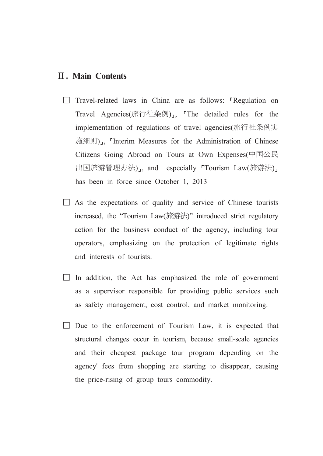## **II. Main Contents**

- $\Box$  Travel-related laws in China are as follows: "Regulation on Travel Agencies(旅行社条例)」, The detailed rules for the implementation of regulations of travel agencies(旅行社条例实 施细则)」, 「Interim Measures for the Administration of Chinese Citizens Going Abroad on Tours at Own Expenses(中国公民 出国旅游管理办法)」, and especially 「Tourism Law(旅游法)」 has been in force since October 1, 2013
- $\Box$  As the expectations of quality and service of Chinese tourists increased, the "Tourism Law(旅游法)" introduced strict regulatory action for the business conduct of the agency, including tour operators, emphasizing on the protection of legitimate rights and interests of tourists.
- $\Box$  In addition, the Act has emphasized the role of government as a supervisor responsible for providing public services such as safety management, cost control, and market monitoring.
- $\Box$  Due to the enforcement of Tourism Law, it is expected that structural changes occur in tourism, because small-scale agencies and their cheapest package tour program depending on the agency' fees from shopping are starting to disappear, causing the price-rising of group tours commodity.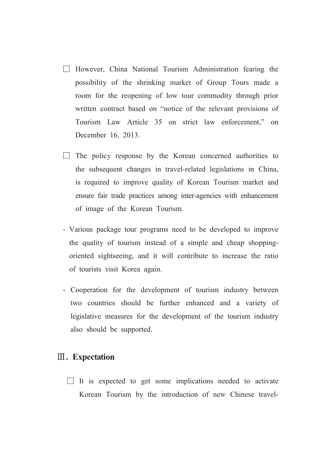- $\Box$  However, China National Tourism Administration fearing the possibility of the shrinking market of Group Tours made a room for the reopening of low tour commodity through prior written contract based on "notice of the relevant provisions of Tourism Law Article 35 on strict law enforcement." on December 16, 2013.
- $\Box$  The policy response by the Korean concerned authorities to the subsequent changes in travel-related legislations in China, is required to improve quality of Korean Tourism market and ensure fair trade practices among inter-agencies with enhancement of image of the Korean Tourism.
- Various package tour programs need to be developed to improve the quality of tourism instead of a simple and cheap shoppingoriented sightseeing, and it will contribute to increase the ratio of tourists visit Korea again.
- Cooperation for the development of tourism industry between two countries should be further enhanced and a variety of legislative measures for the development of the tourism industry also should be supported.

## **III.** Expectation

 $\Box$  It is expected to get some implications needed to activate Korean Tourism by the introduction of new Chinese travel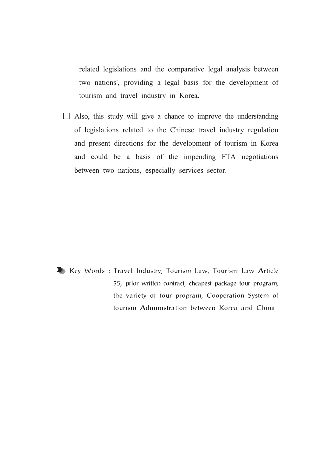related legislations and the comparative legal analysis between two nations', providing a legal basis for the development of tourism and travel industry in Korea.

 $\Box$  Also, this study will give a chance to improve the understanding of legislations related to the Chinese travel industry regulation and present directions for the development of tourism in Korea and could be a basis of the impending FTA negotiations between two nations, especially services sector.

Key Words: Travel Industry, Tourism Law, Tourism Law Article 35, prior written contract, cheapest package tour program, the variety of tour program, Cooperation System of tourism Administration between Korea and China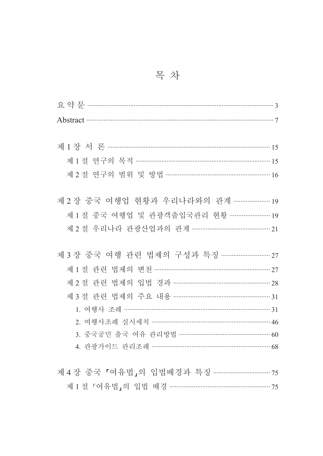|  | 목 차 |  |
|--|-----|--|
|  |     |  |

| Abstract 37                                |  |
|--------------------------------------------|--|
|                                            |  |
|                                            |  |
| 제 1 절 연구의 목적 ……………………………………………………………… 15   |  |
| 제 2 절 연구의 범위 및 방법 …………………………………………………… 16  |  |
|                                            |  |
| 제 2 장 중국 여행업 현황과 우리나라와의 관계 ………………… 19      |  |
| 제 1 절 중국 여행업 및 관광객출입국관리 현황 …………………… 19     |  |
| 제 2 절 우리나라 관광산업과의 관계 …………………………………… 21     |  |
|                                            |  |
|                                            |  |
| 제 1 절 관련 법제의 변천 …………………………………………………… 27    |  |
| 제 2 절 관련 법제의 입법 경과 ……………………………………………… 28   |  |
| 제 3 절 관련 법제의 주요 내용 …………………………………………………… 31 |  |
|                                            |  |
| 2. 여행사조례 실시세칙 ………………………………………………………… 46    |  |
| 3. 중국공민 출국 여유 관리방법 …………………………………………… 60    |  |
| 4. 관광가이드 관리조례 ……………………………………………………… 68     |  |
|                                            |  |
| 제 4 장 중국 『여유법』의 입법배경과 특징 …………………………… 75    |  |
| 제 1 절 「여유법」의 입법 배경 ………………………………………………… 75  |  |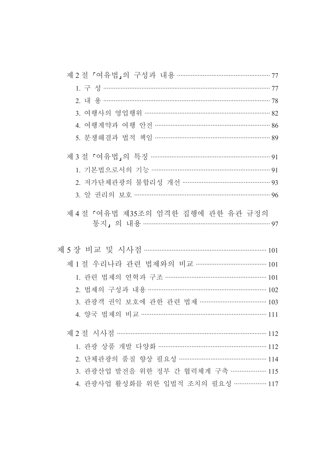| 제 2 절 「여유법」의 구성과 내용 …………………………………………… 77                                    |  |
|-----------------------------------------------------------------------------|--|
|                                                                             |  |
|                                                                             |  |
| 3. 여행사의 영업행위 ………………………………………………………… 82                                      |  |
| 4. 여행계약과 여행 안전 …………………………………………………… 86                                      |  |
| 5. 분쟁해결과 법적 책임 ……………………………………………………… 89                                     |  |
|                                                                             |  |
| 1. 기본법으로서의 기능 ……………………………………………………… 91                                      |  |
| 2. 저가단체관광의 불합리성 개선 ………………………………………… 93                                      |  |
| 3. 알 권리의 보호 ……………………………………………………………… 96                                     |  |
| 제 4 절 「여유법 제35조의 엄격한 집행에 관한 유관 규정의<br>통지」의 내용 ………………………………………………………………………97 |  |
|                                                                             |  |
| 제 1 절 우리나라 관련 법제와의 비교 ………………………………… 101                                     |  |
| 1. 관련 법제의 연혁과 구조 ………………………………………………… 101                                    |  |
| 2. 법제의 구성과 내용 ……………………………………………………… 102                                     |  |
| 3. 관광객 권익 보호에 관한 관련 법제 ……………………………… 103                                     |  |
| 4. 양국 법제의 비교 ………………………………………………………………… 111                                  |  |
|                                                                             |  |
| 1. 관광 상품 개발 다양화 …………………………………………………… 112                                    |  |
| 2. 단체관광의 품질 향상 필요성 ………………………………………… 114                                     |  |
| 3. 관광산업 발전을 위한 정부 간 협력체계 구축 ………………… 115                                     |  |
| 4. 관광사업 활성화를 위한 입법적 조치의 필요성 ……………… 117                                      |  |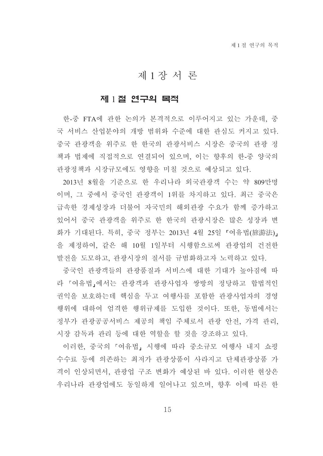## 제1장서 론

### 제 1절 연구의 목적

한-중 FTA에 관한 논의가 본격적으로 이루어지고 있는 가운데, 중 국 서비스 산업분야의 개방 범위와 수준에 대한 관심도 커지고 있다. 중국 관광객을 위주로 한 한국의 관광서비스 시장은 중국의 관광 정 책과 법제에 직접적으로 연결되어 있으며, 이는 향후의 한-중 양국의 관광정책과 시장규모에도 영향을 미칠 것으로 예상되고 있다.

2013년 8월을 기준으로 한 우리나라 외국관광객 수는 약 809만명 이며, 그 중에서 중국인 관광객이 1위를 차지하고 있다. 최근 중국은 급속한 경제성장과 더불어 자국민의 해외관광 수요가 함께 증가하고 있어서 중국 관광객을 위주로 한 한국의 관광시장은 많은 성장과 변 화가 기대된다. 특히, 중국 정부는 2013년 4월 25일 『여유법(旅游法)』 을 제정하여, 같은 해 10월 1일부터 시행함으로써 관광업의 건전한 발전을 도모하고, 관광시장의 질서를 규범화하고자 노력하고 있다.

중국인 관광객들의 관광품질과 서비스에 대한 기대가 높아짐에 따 라 『여유법』에서는 관광객과 관광사업자 쌍방의 정당하고 합법적인 권익을 보호하는데 핵심을 두고 여행사를 포함한 관광사업자의 경영 행위에 대하여 엄격한 행위규제를 도입한 것이다. 또한, 동법에서는 정부가 관광공공서비스 제공의 책임 주체로서 관광 안전, 가격 관리, 시장 감독과 관리 등에 대한 역할을 할 것을 강조하고 있다.

이러한, 중국의 「여유법」 시행에 따라 중소규모 여행사 내지 쇼핑 수수료 등에 의존하는 최저가 관광상품이 사라지고 단체관광상품 가 격이 인상되면서, 관광업 구조 변화가 예상된 바 있다. 이러한 현상은 우리나라 관광업에도 동일하게 일어나고 있으며, 향후 이에 따른 한

15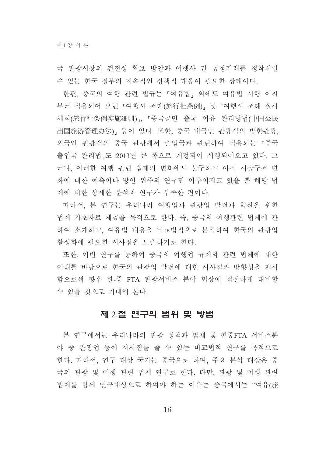국 관광시장의 건전성 확보 방안과 여행사 간 공정거래를 정착시킬 수 있는 한국 정부의 지속적인 정책적 대응이 필요한 상태이다.

한편, 중국의 여행 관련 법규는 「여유법」 외에도 여유법 시행 이전 부터 적용되어 오던 『여행사 조례(旅行社条例)』 및 『여행사 조례 실시 세칙(旅行社条例实施细则)」、「중국공민 출국 여유 관리방법(中国公民 出国旅游管理办法)」 등이 있다. 또한, 중국 내국인 관광객의 방한관광, 외국인 관광객의 중국 관광에서 출입국과 관련하여 적용되는 「중국 출입국 관리법,도 2013년 큰 폭으로 개정되어 시행되어오고 있다. 그 러나, 이러한 여행 관련 법제의 변화에도 불구하고 아직 시장구조 변 화에 대한 예측이나 방안 위주의 연구만 이루어지고 있을 뿐 해당 법 제에 대한 상세한 분석과 연구가 부족한 편이다.

따라서, 본 연구는 우리나라 여행업과 관광업 발전과 혁신을 위한 법제 기초자료 제공을 목적으로 한다. 즉, 중국의 여행관련 법제에 관 하여 소개하고, 여유법 내용을 비교법적으로 분석하여 한국의 관광업 활성화에 필요한 시사점을 도출하기로 하다.

또한, 이번 연구를 통하여 중국의 여행업 규제와 관련 법제에 대한 이해를 바탕으로 한국의 관광업 발전에 대한 시사점과 방향성을 제시 함으로써 향후 한-중 FTA 관광서비스 분야 협상에 적절하게 대비할 수 있을 것으로 기대해 본다.

## 제 2 절 연구의 범위 및 방법

본 연구에서는 우리나라의 관광 정책과 법제 및 한중FTA 서비스분 야 중 관광업 등에 시사점을 줄 수 있는 비교법적 연구를 목적으로 한다. 따라서, 연구 대상 국가는 중국으로 하며, 주요 분석 대상은 중 국의 관광 및 여행 관련 법제 연구로 한다. 다만, 관광 및 여행 관련 법제를 함께 연구대상으로 하여야 하는 이유는 중국에서는 "여유(旅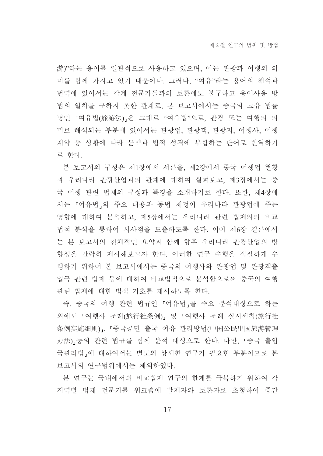游)"라는 용어를 일관적으로 사용하고 있으며, 이는 관광과 여행의 의 미를 함께 가지고 있기 때문이다. 그러나, "여유"라는 용어의 해석과 번역에 있어서는 각계 전문가들과의 토론에도 불구하고 용어사용 방 법의 일치를 구하지 못한 관계로, 본 보고서에서는 중국의 고유 법률 명인 『여유법(旅游法)』은 그대로 "여유법"으로, 관광 또는 여행의 의 미로 해석되는 부분에 있어서는 관광업, 관광객, 관광지, 여행사, 여행 계약 등 상황에 따라 문맥과 법적 성격에 부합하는 단어로 번역하기 로 한다.

본 보고서의 구성은 제1장에서 서론을, 제2장에서 중국 여행업 현황 과 우리나라 관광산업과의 관계에 대하여 살펴보고, 제3장에서는 중 국 여행 관련 법제의 구성과 특징을 소개하기로 한다. 또한, 제4장에 서는 「여유법」의 주요 내용과 동법 제정이 우리나라 관광업에 주는 영향에 대하여 분석하고, 제5장에서는 우리나라 관련 법제와의 비교 법적 분석을 통하여 시사점을 도출하도록 한다. 이어 제6장 결론에서 는 본 보고서의 전체적인 요약과 함께 향후 우리나라 관광산업의 방 향성을 간략히 제시해보고자 한다. 이러한 연구 수행을 적절하게 수 행하기 위하여 본 보고서에서는 중국의 여행사와 관광업 및 관광객출 입국 관련 법제 등에 대하여 비교법적으로 분석함으로써 중국의 여행 관련 법제에 대한 법적 기초를 제시하도록 한다.

즉, 중국의 여행 관련 법규인 『여유법』을 주요 분석대상으로 하는 외에도 『여행사 조례(旅行社条例)』 및 『여행사 조례 실시세칙(旅行社 条例实施细则).. 「중국공민 출국 여유 관리방법(中国公民出国旅游管理 办法)」등의 관련 법규를 함께 분석 대상으로 한다. 다만, 「중국 출입 국관리법 에 대하여서는 별도의 상세한 연구가 필요한 부분이므로 본 보고서의 연구범위에서는 제외하였다.

본 여구는 국내에서의 비교법제 여구의 한계를 극복하기 위하여 각 지역별 법제 전문가를 워크숍에 발제자와 토론자로 초청하여 중간

17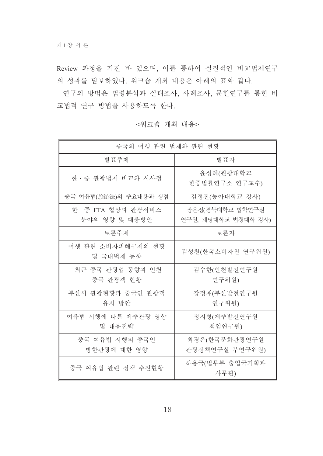Review 과정을 거친 바 있으며, 이를 통하여 실질적인 비교법제연구 의 성과를 담보하였다. 워크숍 개최 내용은 아래의 표와 같다.

연구의 방법은 법령분석과 실태조사, 사례조사, 문헌연구를 통한 비 교법적 연구 방법을 사용하도록 한다.

|                                    | 중국의 여행 관련 법제와 관련 현황                    |  |  |  |  |  |  |  |
|------------------------------------|----------------------------------------|--|--|--|--|--|--|--|
| 발표주제                               | 발표자                                    |  |  |  |  |  |  |  |
| 한 · 중 관광법제 비교와 시사점                 | 윤성혜(원광대학교<br>한중법률연구소 연구교수)             |  |  |  |  |  |  |  |
| 중국 여유법(旅游法)의 주요내용과 쟁점              | 김정진(동아대학교 강사)                          |  |  |  |  |  |  |  |
| 한·중 FTA 협상과 관광서비스<br>분야의 영향 및 대응방안 | 장은정(경북대학교 법학연구원<br>연구원, 계명대학교 법경대학 강사) |  |  |  |  |  |  |  |
| 토론주제                               | 토론자                                    |  |  |  |  |  |  |  |
| 여행 관련 소비자피해구제의 현황<br>및 국내법제 동향     | 김성천(한국소비자원 연구위원)                       |  |  |  |  |  |  |  |
| 최근 중국 관광업 동향과 인천<br>중국 관광객 현황      | 김수한(인천발전연구원<br>연구위원)                   |  |  |  |  |  |  |  |
| 부산시 관광현황과 중국인 관광객<br>유치 방안         | 장정재(부산발전연구원<br>연구위원)                   |  |  |  |  |  |  |  |
| 여유법 시행에 따른 제주관광 영향<br>및 대응전략       | 정지형(제주발전연구원<br>책임연구원)                  |  |  |  |  |  |  |  |
| 중국 여유법 시행의 중국인<br>방한관광에 대한 영향      | 최경은(한국문화관광연구원<br>관광정책연구실 부연구위원)        |  |  |  |  |  |  |  |
| 중국 여유법 관련 정책 추진현황                  | 하용국(법무부 출입국기획과<br>사무관)                 |  |  |  |  |  |  |  |

<워크숍 개최 내용>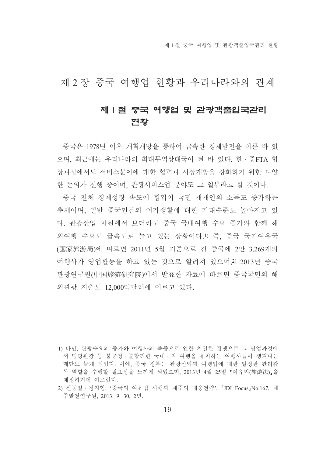제 1 절 중국 여행업 및 관광객출입국관리 혁황

제 2 장 중국 여행업 현황과 우리나라와의 관계

## 제 1 절 중국 여행업 및 관광객출입국관리 현황

중국은 1978년 이후 개혁개방을 통하여 급속한 경제발전을 이룬 바 있 으며, 최근에는 우리나라의 최대무역상대국이 된 바 있다. 한 · 중FTA 협 상과정에서도 서비스분야에 대한 협력과 시장개방을 강화하기 위한 다양 한 논의가 진행 중이며, 관광서비스업 부야도 그 일부라고 할 것이다.

중국 전체 경제성장 속도에 힘입어 국민 개개인의 소득도 증가하는 추세이며, 일반 중국인들의 여가생활에 대한 기대수주도 높아지고 있 다. 관광산업 차워에서 보더라도 중국 국내여행 수요 증가와 함께 해 외여행 수요도 급속도로 늘고 있는 상황이다.1) 즉, 중국 국가여유국 (国家旅游局)에 따르면 2011년 5월 기준으로 전 중국에 2만 3.269개의 여행사가 영업활동을 하고 있는 것으로 알려져 있으며,2) 2013년 중국 관광연구워(中国旅游研究院)에서 발표한 자료에 따르면 중국국민의 해 외관광 지출도 12,000억달러에 이르고 있다.

<sup>1)</sup> 다만, 관광수요의 증가와 여행사의 폭증으로 인한 치열한 경쟁으로 그 영업과정에 서 덤핑관광 등 불공정 · 불합리한 국내 · 외 여행을 유치하는 여행사들이 생겨나는 폐단도 늘게 되었다. 이에, 중국 정부는 관광산업과 여행업에 대한 일정한 관리감 독 역할을 수행할 필요성을 느끼게 되었으며, 2013년 4월 25일 『여유법(旅游法)』을 제정하기에 이르렀다.

<sup>2)</sup> 신동일 · 정지형, '중국의 여유법 시행과 제주의 대응전략', 『JDI Focus』No.167. 제 주발전연구원, 2013. 9. 30, 2면.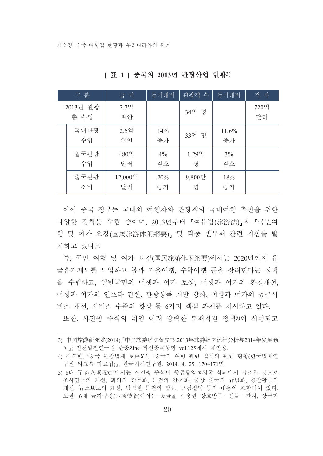|                  | 구 분        | 금 액           | 동기대비        | '관광객 수      | 동기대비        | 적 자        |
|------------------|------------|---------------|-------------|-------------|-------------|------------|
| 2013년 관광<br>총 수입 |            | 2.7억<br>위안    |             | 34억 명       |             | 720억<br>달러 |
|                  | 국내관광<br>수입 | $2.6$ 억<br>위안 | 14%<br>증가   | 33억 명       | 11.6%<br>증가 |            |
|                  | 입국관광<br>수입 | 480억<br>달러    | $4\%$<br>감소 | 1.29억<br>명  | 3%<br>감소    |            |
|                  | 출국관광<br>소비 | 12,000억<br>달러 | 20%<br>증가   | 9,800만<br>명 | 18%<br>증가   |            |

[표 1] 중국의 2013년 관광산업 현황3)

이에 중국 정부는 국내외 여행자와 관광객의 국내여행 촉진을 위한 다양한 정책을 수립 중이며, 2013년부터 「여유법(旅游法)」과 「국민여 행 및 여가 요강(国民旅游休闲纲要), 및 각종 반부패 관련 지침을 발 퓨하고 있다 4)

즉. 국민 여행 및 여가 요강(国民旅游休闲纲要)에서는 2020년까지 유 급휴가제도를 도입하고 봄과 가을여행, 수학여행 등을 장려한다는 정책 을 수립하고, 일반국민의 여행과 여가 보장, 여행과 여가의 환경개선, 여행과 여가의 인프라 건설, 관광상품 개발 강화, 여행과 여가의 공공서 비스 개선, 서비스 수준의 향상 등 6가지 핵심 과제를 제시하고 있다. 또한, 시진핑 주석의 취임 이래 강력한 부패척결 정책5이 시행되고

<sup>3)</sup> 中国旅游研究院(2014)、『中国旅游经济蓝皮书:2013年旅游经济运行分析与2014年发展预 测: 인천발전연구워 한중Zine 최신중국동향 vol.125에서 재인용.

<sup>4)</sup> 김수한, '중국 관광법제 토론문', 『중국의 여행 관련 법제와 관련 현황(한국법제연 구원 워크숍 자료집)』, 한국법제연구원, 2014. 4. 25, 170~171면.

<sup>5) 8</sup>대 규정(八项规定)에서는 시진핏 주석이 중공중앙정치국 회의에서 강조한 것으로 조사연구의 개선, 회의의 간소화, 문건의 간소화, 출장 출국의 규범화, 경찰활동의 개선, 뉴스보도의 개선, 엄격한 문건의 발표, 근검절약 등의 내용이 포함되어 있다. 또한, 6대 금지규정(六项禁令)에서는 공금을 사용한 상호방문 · 선물 · 잔치, 상급기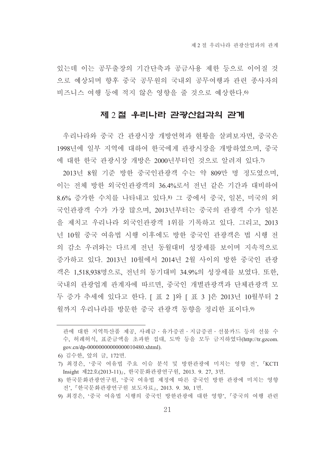있는데 이는 공무출장의 기간단축과 공금사용 제한 등으로 이어질 것 으로 예상되며 향후 중국 공무원의 국내외 공무여행과 관련 종사자의 비즈니스 여행 등에 적지 않은 영향을 줄 것으로 예상한다. 0

### 제 2 절 우리나라 관광산업과의 관계

우리나라와 중국 간 관광시장 개방연혁과 현황을 살펴보자면, 중국은 1998년에 일부 지역에 대하여 한국에게 관광시장을 개방하였으며, 중국 에 대한 한국 관광시장 개방은 2000년부터인 것으로 알려져 있다.7)

2013년 8월 기준 방한 중국인관광객 수는 약 809만 명 정도였으며, 이는 전체 방한 외국인관광객의 36.4%로서 전년 같은 기간과 대비하여 8.6% 증가한 수치를 나타내고 있다.8) 그 중에서 중국, 일본, 미국의 외 국인관광객 수가 가장 많으며, 2013년부터는 중국의 관광객 수가 일본 을 제치고 우리나라 외국인관광객 1위를 기록하고 있다. 그리고, 2013 년 10월 중국 여유법 시행 이후에도 방한 중국인 과광객은 법 시행 전 의 감소 우려와는 다르게 전년 동월대비 성장세를 보이며 지속적으로 증가하고 있다. 2013년 10월에서 2014년 2월 사이의 방한 중국인 관광 객은 1.518.938명으로, 전년의 동기대비 34.9%의 성장세를 보였다. 또한, 국내의 관광업계 관계자에 따르면, 중국인 개별관광객과 단체관광객 모 두 증가 추세에 있다고 한다. [ 표 2 ]와 [ 표 3 ]은 2013년 10월부터 2 월까지 우리나라를 방문한 중국 관광객 동향을 정리한 표이다.9)

- 6) 김수한, 앞의 글, 172면.
- 7) 최경은, '중국 여유법 주요 이슈 분석 및 방한관광에 미치는 영향 전', 『KCTI Insight 제22호(2013-11)』, 한국문화관광연구워, 2013, 9, 27, 3면,
- 8) 한국문화관광연구원, '중국 여유법 제정에 따른 중국인 방한 관광에 미치는 영향 전', 『한국문화관광연구원 보도자료』, 2013. 9. 30, 1면.
- 9) 최경은, '중국 여유법 시행의 중국인 방한관광에 대한 영향', 『중국의 여행 관련

관에 대한 지역특산품 제공, 사례금·유가증권·지급증권·선불카드 등의 선물 수 수, 허례허식, 표준금액을 초과한 접대, 도박 등을 모두 금지하였다(http://tr.gzcom. gov.cn/dp-00000000000000010480.xhtml).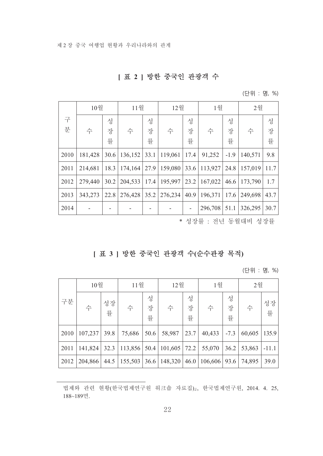## [표 2 ] 방한 중국인 관광객 수

(단위 : 명, %)

|      | 10월     |      | 11월              |   | 12월                      |      | 1월               |        | 2월      |      |
|------|---------|------|------------------|---|--------------------------|------|------------------|--------|---------|------|
| 구    |         | 성    |                  | 성 |                          | 성    |                  | 성      |         | 성    |
| 분    | 수       | 장    | 수                | 장 | 수                        | 장    | 수                | 장      | 수       | 장    |
|      |         | 률    |                  | 률 |                          | 률    |                  | 률      |         | 률    |
| 2010 | 181,428 | 30.6 | $136,152$ 33.1   |   | 119,061                  | 17.4 | 91,252           | $-1.9$ | 140,571 | 9.8  |
| 2011 | 214,681 | 18.3 | $174,164$   27.9 |   | 159,080                  | 33.6 | 113,927          | 24.8   | 157,019 | 11.7 |
| 2012 | 279,440 | 30.2 |                  |   | 204,533   17.4   195,997 | 23.2 | 167,022          | 46.6   | 173,790 | 1.7  |
| 2013 | 343,273 | 22.8 | $276,428$ 35.2   |   | 276,234                  | 40.9 | $196,371$   17.6 |        | 249,698 | 43.7 |
| 2014 |         |      |                  |   |                          |      | $296,708$   51.1 |        | 326,295 | 30.7 |

\* 성장률 : 전년 동월대비 성장률

## [ 표 3 ] 방한 중국인 관광객 수(순수관광 목적)

(단위 : 명, %)

|      | 10월     | 11월     |         | 12월         |         | 1월          |         | 2월          |        |         |
|------|---------|---------|---------|-------------|---------|-------------|---------|-------------|--------|---------|
| 구분   | 수       | 성장<br>률 | 수       | 성<br>장<br>률 | 수       | 성<br>장<br>률 | 수       | 성<br>장<br>률 | 수      | 성장<br>률 |
| 2010 | 107,237 | 39.8    | 75,686  | 50.6        | 58,987  | 23.7        | 40,433  | $-7.3$      | 60,605 | 135.9   |
| 2011 | 141,824 | 32.3    | 113,856 | 50.4        | 101,605 | 72.2        | 55,070  | 36.2        | 53,863 | $-11.1$ |
| 2012 | 204,866 | 44.5    | 155,503 | 36.6        | 148,320 | 46.0        | 106,606 | 93.6        | 74,895 | 39.0    |

법제와 관련 현황(한국법제연구원 워크숍 자료집)』, 한국법제연구원, 2014. 4. 25, 188~189면.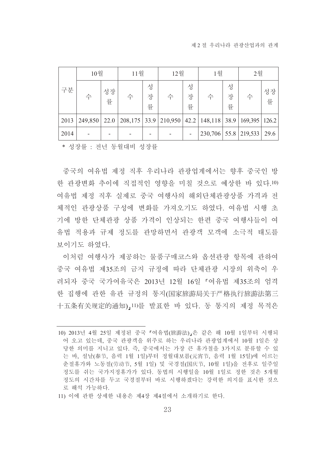| 구분   | 10월     |         | 11월 |             | 12월                  |             | 1월                      |             | 2월                |         |
|------|---------|---------|-----|-------------|----------------------|-------------|-------------------------|-------------|-------------------|---------|
|      | 수       | 성장<br>률 | 수   | 성<br>장<br>률 | 수                    | 성<br>장<br>률 | 수                       | 성<br>장<br>률 | 수                 | 성장<br>률 |
| 2013 | 249,850 | 22.0    |     |             | 208,175 33.9 210,950 |             | $42.2$   148,118   38.9 |             | $169,395$   126.2 |         |
| 2014 |         |         |     |             |                      |             | 230,706 55.8 219,533    |             |                   | 29.6    |

\* 성장률 : 전년 동월대비 성장률

중국의 여유법 제정 직후 우리나라 관광업계에서는 향후 중국인 방 한 관광변화 추이에 직접적인 영향을 미칠 것으로 예상한 바 있다.10) 여유법 제정 직후 실제로 중국 여행사의 해외단체관광상품 가격과 전 체적인 관광상품 구성에 변화를 가져오기도 하였다. 여유법 시행 초 기에 방한 단체관광 상품 가격이 인상되는 한편 중국 여행사들이 여 유법 적용과 규제 정도를 관망하면서 관광객 모객에 소극적 태도를 보이기도 하였다.

이처럼 여행사가 제공하는 물품구매코스와 옵션관광 항목에 관하여 중국 여유법 제35조의 금지 규정에 따라 단체관광 시장의 위축이 우 려되자 중국 국가여유국은 2013년 12월 16일 「여유법 제35조의 엄격 한 집행에 관한 유관 규정의 통지(国家旅游局关于严格执行旅游法第三 十五条有关规定的通知) 11)를 발표한 바 있다. 동 통지의 제정 목적은

<sup>10) 2013</sup>년 4월 25일 제정된 중국 『여유법(旅游法),은 같은 해 10월 1일부터 시행되 어 오고 있는데, 중국 관광객을 위주로 하는 우리나라 관광업계에서 10월 1일은 상 당한 의미를 지니고 있다. 즉. 중국에서는 가장 큰 휴가철을 3가지로 분류할 수 있 는 바, 설날(春节, 음력 1월 1일)부터 정월대보름(元宵节, 음력 1월 15일)에 이르는 춘절휴가와 노동절(劳动节, 5월 1일) 및 국경절(国庆节, 10월 1일)을 전후로 일주일 정도를 쉬는 국가지정휴가가 있다. 동법의 시행일을 10월 1일로 정한 것은 5개월 정도의 시간차를 두고 국경절부터 바로 시행하겠다는 강력한 의지를 표시한 것으 로 해석 가능하다.

<sup>11)</sup> 이에 관한 상세한 내용은 제4장 제4절에서 소개하기로 한다.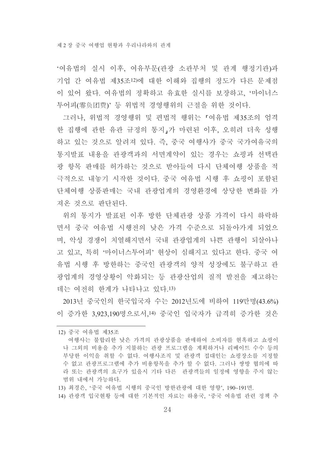'여유법의 실시 이후, 여유부문(관광 소관부처 및 관계 행정기관)과 기업 간 여유법 제35조12)에 대한 이해와 집행의 정도가 다른 문제점 이 있어 왔다. 여유법의 정확하고 유효한 실시를 보장하고, '마이너스 투어피(零负团费)' 등 위법적 경영행위의 근절을 위한 것이다.

그러나, 위법적 경영행위 및 편법적 행위는 「여유법 제35조의 엄격 한 집행에 관한 유관 규정의 통지 가 마련된 이후, 오히려 더욱 성행 하고 있는 것으로 알려져 있다. 즉, 중국 여행사가 중국 국가여유국의 통지발표 내용을 관광객과의 서면계약이 있는 경우는 쇼핑과 선택관 광 항목 판매를 허가하는 것으로 받아들여 다시 단체여행 상품을 적 극적으로 내놓기 시작한 것이다. 중국 여유법 시행 후 쇼핑이 포함된 단체여행 상품판매는 국내 관광업계의 경영환경에 상당한 변화를 가 져온 것으로 판단된다.

위의 통지가 발표된 이후 방한 단체과광 상품 가격이 다시 하락하 면서 중국 여유법 시행전의 낮은 가격 수준으로 되돌아가게 되었으 며, 악성 경쟁이 치열해지면서 국내 관광업계의 나쁜 관행이 되살아나 고 있고, 특히 '마이너스투어피' 현상이 심해지고 있다고 한다. 중국 여 유법 시행 후 방한하는 중국인 관광객의 양적 성장에도 불구하고 관 광업계의 경영상황이 악화되는 등 관광산업의 질적 발전을 제고하는 데는 여전히 하계가 나타나고 있다.13)

2013년 중국인의 한국입국자 수는 2012년도에 비하여 119만명(43.6%) 이 증가한 3,923,190명으로서,14) 중국인 입국자가 급격히 증가한 것은

<sup>12)</sup> 중국 여유법 제35조

여행사는 불합리한 낮은 가격의 관광상품을 판매하여 소비자를 현혹하고 쇼핑이 나 그외의 비용을 추가 지불하는 과광 프로그램을 계획하거나 리베이트 수수 등의 부당한 이익을 취할 수 없다. 여행사조직 및 관광객 접대인는 쇼핑장소를 지정할 수 없고 관광프로그램에 추가 비용항목을 추가 할 수 없다. 그러나 쌍방 협의에 따 라 또는 관광객의 요구가 있을시 기타 다른 관광객들의 일정에 영향을 주지 않는 범위 내에서 가능하다.

<sup>13)</sup> 최경은, '중국 여유법 시행의 중국인 방한관광에 대한 영향', 190~191면.

<sup>14)</sup> 관광객 입국현황 등에 대한 기본적인 자료는 하용국, '중국 여유법 관련 정책 추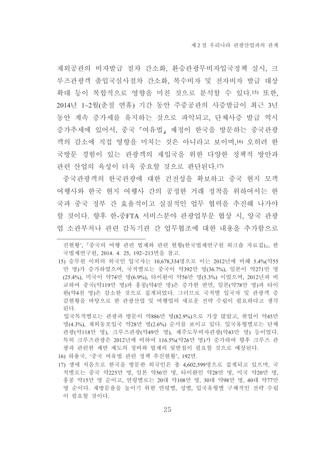재외공관의 비자발급 절차 간소화, 환승관광무비자입국정책 실시, 크 루즈관광객 출입국심사절차 간소화, 복수비자 및 전자비자 발급 대상 확대 등이 복합적으로 영향을 미친 것으로 분석할 수 있다.15) 또한, 2014년 1~2월(춘절 연휴) 기간 동안 주중공관의 사증발급이 최근 3년 동안 계속 증가세를 유지하는 것으로 파악되고, 단체사증 발급 역시 증가추세에 있어서, 중국 『여유법』 제정이 한국을 방문하는 중국관광 객의 감소에 직접 영향을 미치는 것은 아니라고 보이며 16 오히려 한 국방문 경험이 있는 관광객의 재입국을 위한 다양한 정책적 방안과 관련 산업의 육성이 더욱 중요할 것으로 판단된다.17)

중국관광객의 한국관광에 대한 건전성을 확보하고 중국 현지 모객 여행사와 한국 현지 여행사 간의 공정한 거래 정착을 위하여서는 한 국과 중국 정부 간 효율적이고 실질적인 업무 협력을 추진해 나가야 할 것이다. 향후 한-중FTA 서비스분야 관광업부문 협상 시. 양국 관광 업 소관부처나 관련 감독기관 간 업무협조에 대한 내용을 추가함으로

입국목적별로는 관광과 방문이 약886만 명(82.9%)으로 가장 많았고, 취업이 약45만 명(4.3%), 재외동포입국 약28만 명(2.6%) 순서를 보이고 있다. 입국유형별로는 단체 관광(약118만 명), 크루즈관광(약49만 명), 제주도무비자관광(약43만 명) 등이었다. 특히 크루즈관광은 2012년에 비하여 116.5%(약26만 명)가 증가하여 향후 크루즈 관 광과 관련한 제반 제도의 정비와 법제의 뒷받침이 필요할 것으로 예상된다.

- 16) 하용국, '중국 여유법 관련 정책 추진현황', 192면.
- 17) 생애 처음으로 한국을 방문한 외국인은 총 4,602.599명으로 집계되고 있으며, 국 적별로는 중국 약225만 명, 일본 약56만 명, 타이완인 약28만 명, 미국 약20만 명. 홍콩 약15만 명 순이고, 연령별로는 20대 약108만 명, 30대 약98만 명, 40대 약77만 명 순이다. 재방문율을 높이기 위한 연령별, 성별, 입국유형별 구체적인 전략 수립 이 필요할 것이다.

진현황', 『중국의 여행 관련 법제와 관련 현황(한국법제연구원 워크숍 자료집)』, 한 국법제연구원, 2014. 4. 25, 192~213면을 참고.

<sup>15)</sup> 승무원 이외의 외국인 입국자는 10,678,334명으로 이는 2012년에 비해 5.4%(약55 만 명)가 증가하였으며, 국적별로는 중국이 약392만 명(36.7%), 일본이 약271만 명 (25.4%), 미국이 약74만 명(6.9%), 타이완이 약56만 명(5.3%) 이었으며, 2012년과 비 교하여 중국(약119만 명)과 홍콩(약4만 명)은 증가한 반면, 일본(약78만 명)과 타이 완(약4천 명)은 감소한 것으로 집계되었다. 그러므로 국적별 입국자 및 관광객 증 감현황을 바탕으로 한 관광산업 및 여행업의 새로운 전략 수립이 필요하다고 생각 되다.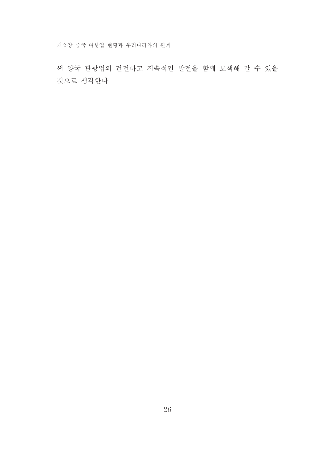제 2 장 중국 여행업 현황과 우리나라와의 관계

써 양국 관광업의 건전하고 지속적인 발전을 함께 모색해 갈 수 있을 것으로 생각한다.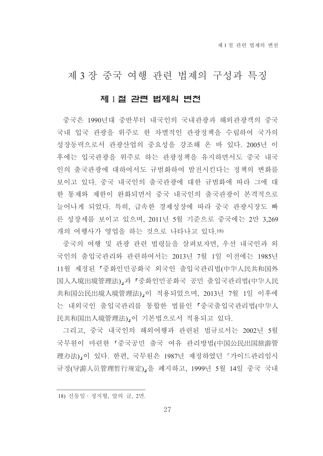## 제 3 장 중국 여행 관련 법제의 구성과 특징

### 제 1절 관련 법제의 변천

중국은 1990년대 중반부터 내국인의 국내관광과 해외관광객의 중국 국내 입국 관광을 위주로 한 차별적인 관광정책을 수립하여 국가의 성장동력으로서 관광산업의 중요성을 강조해 온 바 있다. 2005년 이 후에는 입국관광을 위주로 하는 관광정책을 유지하면서도 중국 내국 인의 출국관광에 대하여서도 규범화하여 발전시킨다는 정책의 변화를 보이고 있다. 중국 내국인의 출국관광에 대한 규범화에 따라 그에 대 한 통제와 제한이 완화되면서 중국 내국인의 출국관광이 본격적으로 늘어나게 되었다. 특히, 급속한 경제성장에 따라 중국 관광시장도 빠 른 성장세를 보이고 있으며, 2011년 5월 기준으로 중국에는 2만 3,269 개의 여행사가 영업을 하는 것으로 나타나고 있다.18)

중국의 여행 및 관광 관련 법령들을 살펴보자면, 우선 내국인과 외 국인의 출입국관리와 관련하여서는 2013년 7월 1일 이전에는 1985년 11월 제정된 『중화인민공화국 외국인 출입국관리법(中华人民共和国外 国人入境出境管理法)」과 「중화인민공화국 공민 출입국관리법(中华人民 共和国公民出境入境管理法)」이 적용되었으며, 2013년 7월 1일 이후에 는 내외국인 출입국관리를 통합한 법률인 『중국출입국관리법(中华人 民共和国出入境管理法),이 기본법으로서 적용되고 있다.

그리고, 중국 내국인의 해외여행과 관련된 법규로서는 2002년 5월 국무원이 마련한 「중국공민 출국 여유 관리방법(中国公民出国旅游管 理办法)」이 있다. 한편, 국무원은 1987년 제정하였던 「가이드관리임시 규정(导游人员管理暂行规定) 을 폐지하고, 1999년 5월 14일 중국 국내

27

<sup>18)</sup> 신동일 · 정지형, 앞의 글, 2면.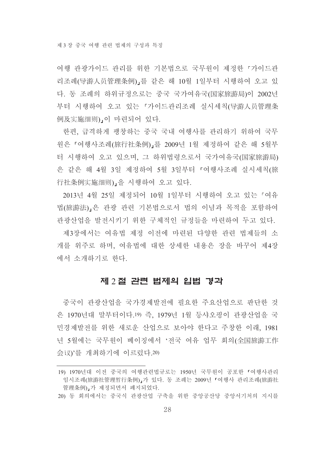여행 관광가이드 관리를 위한 기본법으로 국무워이 제정한 「가이드관 리조례(导游人员管理条例),를 같은 해 10월 1일부터 시행하여 오고 있 다. 동 조례의 하위규정으로는 중국 국가여유국(国家旅游局)이 2002년 부터 시행하여 오고 있는 『가이드관리조례 실시세칙(导游人员管理条 例及实施细则),이 마련되어 있다.

한편, 급격하게 팽창하는 중국 국내 여행사를 관리하기 위하여 국무 원은『여행사조례(旅行社条例)』를 2009년 1월 제정하여 같은 해 5월부 터 시행하여 오고 있으며, 그 하위법령으로서 국가여유국(国家旅游局) 은 같은 해 4월 3일 제정하여 5월 3일부터 「여행사조례 실시세칙(旅 行社条例实施细则) 을 시행하여 오고 있다.

2013년 4월 25일 제정되어 10월 1일부터 시행하여 오고 있는 『여유 법(旅游法),은 관광 관련 기본법으로서 법의 이념과 목적을 포함하여 관광산업을 발전시키기 위한 구체적인 규정들을 마련하여 두고 있다.

제3장에서는 여유법 제정 이전에 마려된 다양한 관련 법제들의 소 개를 위주로 하며, 여유법에 대한 상세한 내용은 장을 바꾸어 제4장 에서 소개하기로 한다.

#### 제 2 절 관련 법제의 입법 경과

중국이 관광산업을 국가경제발전에 필요한 주요산업으로 판단한 것 은 1970년대 말부터이다.19) 즉, 1979년 1월 등샤오핑이 관광산업을 국 민경제발전를 위한 새로운 산업으로 보아야 한다고 주창한 이래, 1981 년 5월에는 국무원이 베이징에서 '전국 여유 업무 회의(全国旅游工作 会议)'를 개최하기에 이르렀다.20)

<sup>19) 1970</sup>년대 이전 중국의 여행관련법규로는 1950년 국무워이 공포한 『여행사과리 임시조례(旅游社管理暂行条例)』가 있다. 동 조례는 2009년 「여행사 관리조례(旅游社 管理条例)」가 제정되면서 폐지되었다.

<sup>20)</sup> 동 회의에서는 중국식 관광산업 구축을 위한 중앙공산당 중앙서기처의 지시를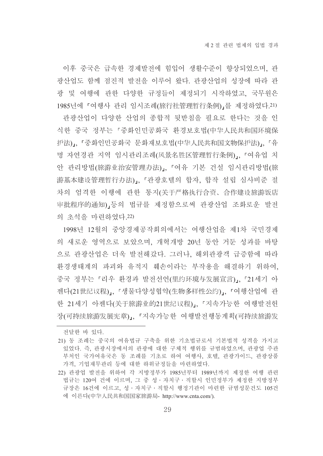이후 중국은 급속한 경제발전에 힘입어 생활수준이 향상되었으며, 관 광산업도 함께 점진적 발전을 이루어 왔다. 관광산업의 성장에 따라 관 광 및 여행에 관한 다양한 규정들이 제정되기 시작하였고, 국무원은 1985년에 「여행사 관리 임시조례(旅行社管理暂行条例)」를 제정하였다.21) 관광산업이 다양한 산업의 종합적 뒷받침을 필요로 한다는 것을 인 식한 중국 정부는 『중화인민공화국 환경보호법(中华人民共和国环境保 护法)」, 「중화인민공화국 문화재보호법(中华人民共和国文物保护法)」, 「유 명 자연경관 지역 임시관리조례(风景名胜区管理暂行条例)』, 『여유업 치 안 관리방법(旅游业治安管理办法)」, 『여유 기본 건설 임시관리방법(旅 游基本建设管理暂行办法)」、『관광호텔의 합자, 합작 설립 심사비준 절 차의 엄격한 이행에 관한 통지(关于严格执行合资、合作建设旅游饭店 审批程序的通知), 등의 법규를 제정함으로써 관광산업 조화로운 발전 의 초석을 마려하였다.22)

1998년 12월의 중앙경제공작회의에서는 여행산업을 제1차 국민경제 의 새로운 영역으로 보았으며, 개혁개방 20년 동안 거둔 성과를 바탕 으로 관광산업은 더욱 발전해갔다. 그러나, 해외관광객 급증함에 따라 환경생태계의 파괴와 유적지 훼손이라는 부작용을 해결하기 위하여. 중국 정부는 『리우 환경과 발전선언(里约环境与发展宣言)』、『21세기 아 젠다(21世纪议程),. 「생물다양성협약(生物多样性公约),. 「여행산업에 관 한 21세기 아젠다(关于旅游业的21世纪议程)」、『지속가능한 여행발전헌 장(可持续旅游发展宪章)」, 『지속가능한 여행발전행동계획(可持续旅游发

전달한 바 있다.

<sup>21)</sup> 동 조례는 중국의 여유법규 구축을 위한 기초법규로서 기본법적 성격을 가지고 있었다. 즉, 관광시장에서의 관광에 대한 구체적 행위를 규범하였으며, 관광업 주관 부처인 국가여유국은 동 조례를 기초로 하여 여행사, 호텔, 관광가이드, 관광상품 가격, 기업재무관리 등에 대한 하위규정들을 마련하였다.

<sup>22)</sup> 관광업 발전을 위하여 각 지방정부가 1985년부터 1989년까지 제정한 여행 관련 법규는 120여 건에 이르며, 그 중 성 · 자치구 · 직할시 인민정부가 제정한 지방정부 규장은 16건에 이르고, 성·자치구·직할시 행정기관이 마련한 규범성문건도 105건 에 이른다(中华人民共和国国家旅游局- http://www.cnta.com/).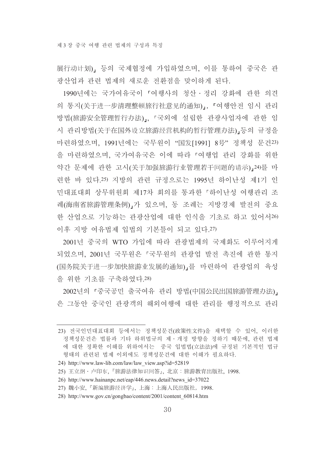展行动计划), 등의 국제협정에 가입하였으며, 이를 통하여 중국은 관 광산업과 관련 법제의 새로운 전화점을 맞이하게 된다.

1990년에는 국가여유국이 「여행사의 청산 • 정리 강화에 관한 의견 의 통지(关于进一步清理整顿旅行社意见的通知),, 「여행안전 임시 관리 방법(旅游安全管理暂行办法)」、「국외에 설립한 관광사업자에 관한 임 시 관리방법(关于在国外设立旅游经营机构的暂行管理办法)」등의 규정을 마련하였으며, 1991년에는 국무원이 "国发[1991] 8号" 정책성 문건23) 을 마련하였으며, 국가여유국은 이에 따라 『여행업 관리 강화를 위한 약간 문제에 관한 고시(关于加强旅游行业管理若干问题的请示)」24)를 마 련한 바 있다.25) 지방의 관련 규정으로는 1995년 하이난성 제1기 인 민대표대회 상무위원회 제17차 회의를 통과한 「하이난성 여행관리 조 례(海南省旅游管理条例),가 있으며, 동 조례는 지방경제 발전의 중요 한 산업으로 기능하는 관광산업에 대한 인식을 기초로 하고 있어서26) 이후 지방 여유법제 입법의 기본틀이 되고 있다.27)

2001년 중국의 WTO 가입에 따라 관광법제의 국제화도 이루어지게 되었으며, 2001년 국무워은 「국무워의 관광업 발전 촉진에 관한 통지 (国务院关于进一步加快旅游业发展的通知),를 마련하여 관광업의 육성 을 위한 기초를 구축하였다.28)

2002년의 「중국공민 출국여유 관리 방법(中国公民出国旅游管理办法)」 은 그동안 중국인 관광객의 해외여행에 대한 관리를 행정적으로 관리

<sup>23)</sup> 전국인민대표대회 등에서는 정책성문건(政策性文件)을 채택할 수 있어. 이러한 정책성문건은 법률과 기타 하위법규의 제·개정 방향을 정하기 때문에, 관련 법제 에 대한 정확한 이해를 위하여서는 중국 입법법(立法法)에 규정된 기본적인 법규 형태의 관련된 법제 이외에도 정책성문건에 대한 이해가 필요하다.

<sup>24)</sup> http://www.law-lib.com/law/law view.asp?id=52819

<sup>25)</sup> 王立纲·卢印东, 『旅游法律知识问答』, 北京: 旅游教育出版社, 1998.

<sup>26)</sup> http://www.hainanpc.net/eap/446.news.detail?news\_id=37022

<sup>27)</sup> 魏小安, 『新编旅游经济学』, 上海: 上海人民出版社, 1998.

<sup>28)</sup> http://www.gov.cn/gongbao/content/2001/content 60814.htm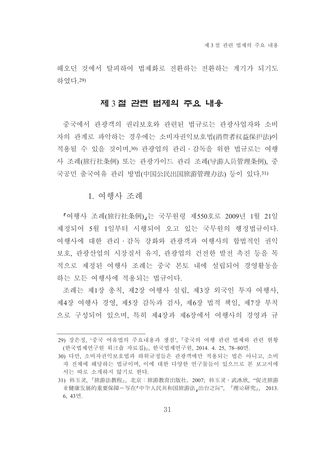해오던 것에서 탈피하여 법제화로 전화하는 전화하는 계기가 되기도 하였다 29)

#### 제 3 절 관련 법제의 주요 내용

중국에서 관광객의 권리보호와 관련된 법규로는 관광사업자와 소비 자의 관계로 파악하는 경우에는 소비자권익보호법(消费者权益保护法)이 적용될 수 있을 것이며,30) 관광업의 관리·감독을 위한 법규로는 여행 사 조례(旅行社条例) 또는 관광가이드 관리 조례(导游人员管理条例). 중 국공민 출국여유 관리 방법(中国公民出国旅游管理办法) 등이 있다.31)

#### 1 여행사 조례

『여행사 조례(旅行社条例)』는 국무원령 제550호로 2009년 1월 21일 제정되어 5월 1일부터 시행되어 오고 있는 국무원의 행정법규이다. 여행사에 대한 관리 · 감독 강화와 관광객과 여행사의 합법적인 권익 보호, 관광산업의 시장질서 유지, 관광업의 건전한 발전 촉진 등을 목 적으로 제정된 여행사 조례는 중국 본토 내에 설립되어 경영활동을 하는 모든 여행사에 적용되는 법규이다.

조례는 제1장 총칙, 제2장 여행사 설립, 제3장 외국인 투자 여행사, 제4장 여행사 경영, 제5장 감독과 검사, 제6장 법적 책임, 제7장 부칙 으로 구성되어 있으며, 특히 제4장과 제6장에서 여행사의 경영과 규

<sup>29)</sup> 장은정, '중국 여유법의 주요내용과 쟁점', 『중국의 여행 관련 법제와 관련 현황 (한국법제연구원 워크숍 자료집)』, 한국법제연구원, 2014. 4. 25, 78~80면.

<sup>30)</sup> 다만, 소비자권익보호법과 하위규정들은 관광객에만 적용되는 법은 아니고, 소비 자 전체에 해당하는 법규이며, 이에 대한 다양한 연구물들이 있으므로 본 보고서에 서는 따로 소개하지 않기로 한다.

<sup>31)</sup> 韩玉灵, 『旅游法教程』, 北京:旅游教育出版社, 2007, 韩玉灵·武冰欣, "促进旅游 业健康发展的重要保障-写在「中华人民共和国旅游法」出台之际", 『理论研究』, 2013. 6, 43면.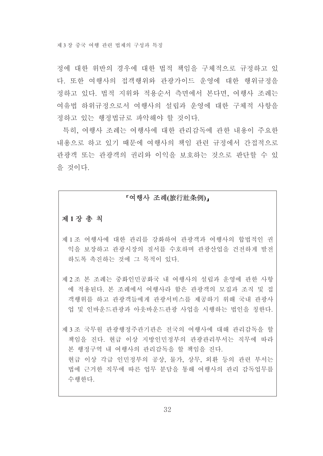정에 대한 위반의 경우에 대한 법적 책임을 구체적으로 규정하고 있 다. 또한 여행사의 접객행위와 관광가이드 우영에 대한 행위규정을 정하고 있다. 법적 지위와 적용순서 측면에서 본다면, 여행사 조례는 여유법 하위규정으로서 여행사의 설립과 운영에 대한 구체적 사항을 정하고 있는 행정법규로 파악해야 할 것이다.

특히, 여행사 조례는 여행사에 대한 관리감독에 관한 내용이 주요한 내용으로 하고 있기 때문에 여행사의 책임 관련 규정에서 간접적으로 관광객 또는 관광객의 권리와 이익을 보호하는 것으로 판단할 수 있 을 것이다.

### 『여행사 조례(旅行社条例)』

#### 제1장 총 칙

- 제 1 조 여행사에 대한 관리를 강화하여 관광객과 여행사의 합법적인 권 익을 보장하고 관광시장의 질서를 수호하며 관광산업을 건전하게 발전 하도록 촉진하는 것에 그 목적이 있다.
- 제 2 조 본 조례는 중화인민공화국 내 여행사의 설립과 운영에 관한 사항 에 적용되다. 본 조례에서 여행사라 함은 관광객의 모집과 조직 및 접 객행위를 하고 관광객들에게 관광서비스를 제공하기 위해 국내 관광사 업 및 인바운드관광과 아웃바운드관광 사업을 시행하는 법인을 칭한다.

제 3조 국무원 관광행정주관기관은 전국의 여행사에 대해 관리감독을 할 책임을 진다. 현급 이상 지방인민정부의 관광관리부서는 직무에 따라 본 행정구역 내 여행사의 관리감독을 할 책임을 진다. 현급 이상 각급 인민정부의 공상, 물가, 상무, 외환 등의 관련 부서는 법에 근거한 직무에 따른 업무 분담을 통해 여행사의 관리 감독업무를 수행하다.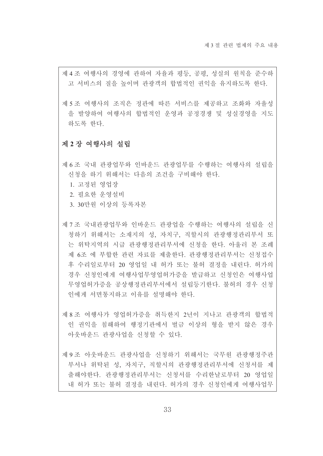제4조 여행사의 경영에 관하여 자율과 평등, 공평, 성실의 원칙을 준수하 고 서비스의 질을 높이며 관광객의 합법적인 권익을 유지하도록 한다.

제 5 조 여행사의 조직은 정관에 따른 서비스를 제공하고 조화와 자율성 을 발양하여 여행사의 합법적인 운영과 공정경쟁 및 성실경영을 지도 하도록 한다.

#### 제 2 장 여행사의 설립

제 6 조 국내 관광업무와 인바운드 관광업무를 수행하는 여행사의 설립을 신청을 하기 위해서는 다음의 조건을 구비해야 한다.

- 1. 고정된 영업장
- 2. 필요한 운영설비
- 3. 30만워 이상의 등록자본
- 제 7 조 국내관광업무와 인바운드 관광업을 수행하는 여행사의 설립을 신 청하기 위해서는 소재지의 성, 자치구, 직할시의 관광행정관리부서 또 는 위탁지역의 시급 관광행정관리부서에 신청을 한다. 아울러 본 조례 제 6조 에 부합한 관련 자료를 제출한다. 관광행정관리부서는 신청접수 후 수리일로부터 20 영업일 내 허가 또는 불허 결정을 내린다. 허가의 경우 신청인에게 여행사업무영업허가증을 발급하고 신청인은 여행사업 무영업허가증을 공상행정관리부서에서 설립등기한다. 불허의 경우 신청 인에게 서면통지하고 이유를 설명해야 하다
- 제 8 조 여행사가 영업허가증을 취득한지 2년이 지나고 관광객의 합법적 인 권익을 침해하여 행정기관에서 벌금 이상의 형을 받지 않은 경우 아웃바운드 관광사업을 신청할 수 있다.
- 제 9 조 아웃바운드 관광사업을 신청하기 위해서는 국무원 관광행정주관 부서나 위탁된 성, 자치구, 직할시의 관광행정관리부서에 신청서를 제 출해야한다. 관광행정관리부서는 신청서를 수리한날로부터 20 영업일 내 허가 또는 불허 결정을 내린다. 허가의 경우 신청인에게 여행사업무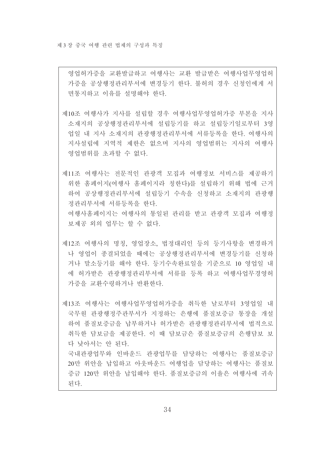영업허가증을 교환발급하고 여행사는 교환 발급받은 여행사업무영업허 가증을 공상행정관리부서에 변경등기 한다. 불허의 경우 신청인에게 서 면통지하고 이유를 설명해야 한다.

제10조 여행사가 지사를 설립할 경우 여행사업무영업허가증 부본을 지사 소재지의 공상행정관리부서에 설립등기를 하고 설립등기일로부터 3영 업일 내 지사 소재지의 관광행정관리부서에 서류등록을 한다. 여행사의 지사설립에 지역적 제한은 없으며 지사의 영업범위는 지사의 여행사 영업범위를 초과할 수 없다.

제11조 여행사는 전문적인 관광객 모집과 여행정보 서비스를 제공하기 위한 홈페이지(여행사 홈페이지라 칭한다)를 설립하기 위해 법에 근거 하여 공상행정관리부서에 설립등기 수속을 신청하고 소재지의 관광행 정관리부서에 서류등록을 한다. 여행사홈페이지는 여행사의 통일된 관리를 받고 관광객 모집과 여행정 보제공 외의 업무는 할 수 없다.

제12조 여행사의 명칭, 영업장소, 법정대리인 등의 등기사항을 변경하거 나 영업이 종결되었을 때에는 공상행정관리부서에 변경등기를 신청하 거나 말소등기를 해야 한다. 등기수속완료일을 기준으로 10 영업일 내 에 허가받은 관광행정관리부서에 서류를 등록 하고 여행사업무경영허 가증을 교환수령하거나 반환한다.

제13조 여행사는 여행사업무영업허가증을 취득한 날로부터 3영업일 내 국무원 관광행정주관부서가 지정하는 은행에 품질보증금 통장을 개설 하여 품질보증금을 납부하거나 허가받은 과광행정과리부서에 법적으로 취득한 담보금을 제공한다. 이 때 담보금은 품질보증금의 은행담보 보 다 낮아서는 안 된다.

국내관광업무와 인바우드 관광업무를 담당하는 여행사는 품질보증금 20만 위안을 납입하고 아웃바운드 여행업을 담당하는 여행사는 품질보 증금 120만 위안을 납입해야 한다. 품질보증금의 이율은 여행사에 귀속 된다.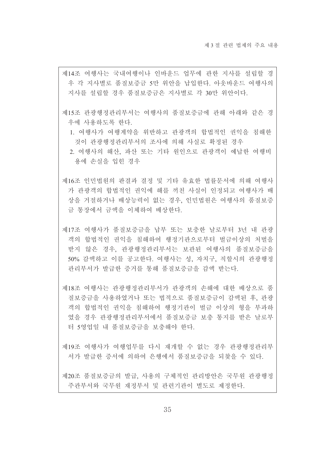- 제14조 여행사는 국내여행이나 인바운드 업무에 관한 지사를 설립할 경 우 각 지사별로 품질보증금 5만 위안을 납입한다. 아웃바운드 여행사의 지사를 설립할 경우 품질보증금은 지사별로 각 30만 위안이다.
- 제15조 관광행정관리부서는 여행사의 품질보증금에 관해 아래와 같은 경 우에 사용하도록 하다.
	- 1. 여행사가 여행계약을 위반하고 관광객의 합법적인 권익을 침해하 것이 관광행정관리부서의 조사에 의해 사실로 확정된 경우
	- 2. 여행사의 해산. 파산 또는 기타 워인으로 과광객이 예납한 여행비 용에 손실을 입힌 경우
- 제16조 인민법원의 판결과 결정 및 기타 유효한 법률문서에 의해 여행사 가 관광객의 합법적인 권익에 해를 끼친 사실이 인정되고 여행사가 배 상을 거절하거나 배상능력이 없는 경우, 인민법원은 여행사의 품질보증 금 통장에서 금액을 이체하여 배상한다.
- 제17조 여행사가 품질보증금을 납부 또는 보충하 날로부터 3년 내 관광 객의 합법적인 권익을 침해하여 행정기관으로부터 벌금이상의 처벌을 받지 않은 경우, 관광행정관리부서는 보관된 여행사의 품질보증금을 50% 감액하고 이를 공고한다. 여행사는 성. 자치구. 직할시의 관광행정 관리부서가 발급한 증거를 통해 품질보증금을 감액 받는다.
- 제18조 여행사는 관광행정관리부서가 관광객의 손해에 대한 배상으로 품 질보증금을 사용하였거나 또는 법적으로 품질보증금이 감액된 후. 관광 객의 합법적인 권익을 침해하여 행정기관이 벌금 이상의 형을 부과하 였을 경우 과광행정관리부서에서 품질보증금 보충 통지를 받은 날로부 터 5영업일 내 품질보증금을 보충해야 한다.
- 제19조 여행사가 여행업무를 다시 재개할 수 없는 경우 관광행정관리부 서가 발급한 증서에 의하여 은행에서 품질보증금을 되찾을 수 있다.

제20조 품질보증금의 발급, 사용의 구체적인 관리방안은 국무원 관광행정 주관부서와 국무원 재정부서 및 관련기관이 별도로 제정한다.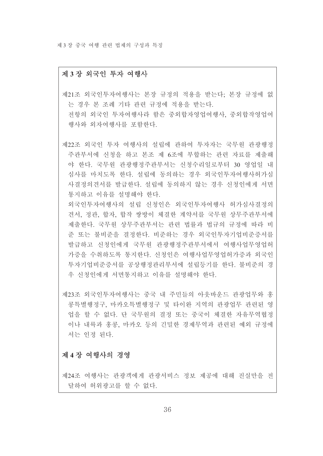제 3 장 중국 여행 관련 법제의 구성과 특징

#### 제 3장 외국인 투자 여행사

제21조 외국인투자여행사는 본장 규정의 적용을 받는다; 본장 규정에 없 는 경우 본 조례 기타 관련 규정에 적용을 받는다. 전항의 외국인 투자여행사라 함은 중외합자영업여행사, 중외합작영업여 행사와 외자여행사를 포함한다.

제22조 외국인 투자 여행사의 설립에 관하여 투자자는 국무원 관광행정 주관부서에 신청을 하고 본조 제 6조에 부합하는 관련 자료를 제출해 야 한다. 국무원 관광행정주관부서는 신청수리일로부터 30 영업일 내 심사를 마치도록 한다. 설립에 동의하는 경우 외국인투자여행사허가심 사결정의견서를 발급한다. 설립에 동의하지 않는 경우 신청인에게 서면 통지하고 이유를 설명해야 한다.

외국인투자여행사의 설립 신청인은 외국인투자여행사 허가심사결정의 견서, 정관, 합자, 합작 쌍방이 체결한 계약서를 국무원 상무주관부서에 제출한다. 국무원 상무주관부서는 관련 법률과 법규의 규정에 따라 비 준 또는 불비주을 결정하다. 비준하는 경우 외국인투자기업비준증서를 발급하고 신청인에게 국무원 관광행정주관부서에서 여행사업무영업허 가증을 수취하도록 통지한다. 신청인은 여행사업무영업허가증과 외국인 투자기업비준증서를 공상행정관리부서에 설립등기를 한다. 불비준의 경 우 신청인에게 서면통지하고 이유를 설명해야 한다.

제23조 외국인투자여행사는 중국 내 주민들의 아우바우드 관광업무와 홍 콩특별행정구, 마카오특별행정구 및 타이완 지역의 관광업무 관련된 영 업을 할 수 없다. 단 국무원의 결정 또는 중국이 체결한 자유무역협정 이나 내륙과 홍콩, 마카오 등의 긴밀한 경제무역과 관련된 예외 규정에 서는 인정 된다.

#### 제 4장 여행사의 경영

제24조 여행사는 관광객에게 관광서비스 정보 제공에 대해 진실만을 전 달하여 허위광고를 할 수 없다.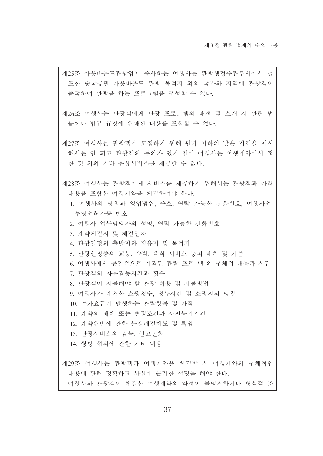- 제25조 아웃바운드관광업에 종사하는 여행사는 관광행정주관부서에서 공 포한 중국공민 아웃바우드 관광 목적지 외의 국가와 지역에 관광객이 출국하여 관광을 하는 프로그램을 구성할 수 없다.
- 제26조 여행사는 관광객에게 관광 프로그램의 배정 및 소개 시 관련 법 률이나 법규 규정에 위배된 내용을 포함할 수 없다.
- 제27조 여행사는 관광객을 모집하기 위해 워가 이하의 낮은 가격을 제시 해서는 안 되고 관광객의 동의가 있기 전에 여행사는 여행계약에서 정 한 것 외의 기타 유상서비스를 제공할 수 없다.
- 제28조 여행사는 관광객에게 서비스를 제공하기 위해서는 관광객과 아래 내용을 포함한 여행계약을 체결하여야 한다.
	- 1. 여행사의 명칭과 영업범위, 주소, 연락 가능한 전화번호, 여행사업 무영업허가증 번호
	- 2. 여행사 업무담당자의 성명, 연락 가능한 전화번호
	- 3. 계약체결지 및 체결일자
	- 4. 관광일정의 출발지와 경유지 및 목적지
	- 5. 관광일정중의 교통, 숙박, 음식 서비스 등의 배치 및 기주
	- 6. 여행사에서 통일적으로 계획된 관람 프로그램의 구체적 내용과 시간
		- 7. 관광객의 자유활동시간과 횟수
		- 8 관광객이 지불해야 할 관광 비용 및 지불방법
		- 9. 여행사가 계획한 쇼핑횟수, 정류시간 및 쇼핑지의 명칭
		- 10. 추가요금이 발생하는 관람항목 및 가격
		- 11. 계약의 해제 또는 변경조건과 사전통지기간
		- 12. 계약위반에 관한 분쟁해결제도 및 책임
		- 13. 관광서비스의 감독, 신고전화
	- 14. 쌍방 협의에 관한 기타 내용

제29조 여행사는 관광객과 여행계약을 체결할 시 여행계약의 구체적인 내용에 관해 정확하고 사실에 근거한 설명을 해야 한다.

여행사와 관광객이 체결한 여행계약의 약정이 불명확하거나 형식적 조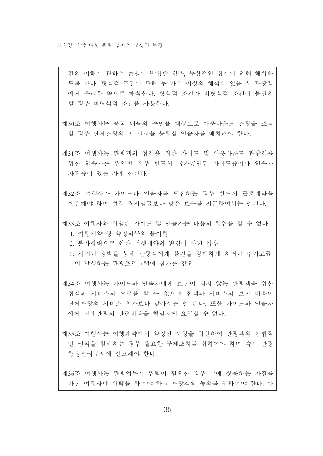건의 이해에 관하여 논쟁이 발생할 경우, 통상적인 상식에 의해 해석하 도록 하다. 형식적 조건에 관해 두 가지 이상의 해석이 있을 시 관광객 에게 유리한 쪽으로 해석한다. 형식적 조건가 비형식적 조건이 불일치 할 경우 비형식적 조건을 사용한다.

- 제30조 여행사는 중국 내륙의 주민을 대상으로 아웃바운드 관광을 조직 할 경우 단체관광의 전 일정을 동행할 인솔자를 배치해야 한다.
- 제31조 여행사는 관광객의 접객을 위한 가이드 및 아웃바운드 관광객을 위한 인솔자를 위임할 경우 반드시 국가공인된 가이드증이나 인솔자 자격증이 있는 자에 한한다.
- 제32조 여행사가 가이드나 인솔자를 모집하는 경우 반드시 근로계약을 체결해야 하며 현행 최저임금보다 낮은 보수를 지급하여서는 안된다.
- 제33조 여행사와 위임된 가이드 및 인솔자는 다음의 행위를 할 수 없다. 1. 여행계약 상 약정의무의 불이행
	- 2. 불가항력으로 인한 여행계약의 변경이 아닌 경우
	- 3 사기나 강박을 통해 관광객에게 물건을 강매하게 하거나 추가요금 이 발생하는 관광프로그램에 참가를 강요
- 제34조 여행사는 가이드와 인솔자에게 보전이 되지 않는 관광객을 위한 접객과 서비스의 요구를 할 수 없으며 접객과 서비스의 보전 비용이 단체관광의 서비스 워가보다 낮아서는 안 된다. 또한 가이드와 인솔자 에게 단체관광의 관련비용을 책임지게 요구할 수 없다.
- 제35조 여행사는 여행계약에서 약정된 사항을 위반하여 관광객의 합법적 인 권익을 침해하는 경우 필요한 구제조치를 취하여야 하며 즉시 관광 행정관리부서에 신고해야 한다.

제36조 여행사는 관광업무에 위탁이 필요한 경우 그에 상응하는 자질을 가진 여행사에 위탁을 하여야 하고 관광객의 동의를 구하여야 한다. 아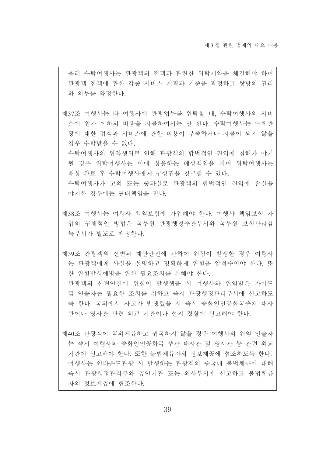울러 수탁여행사는 관광객의 접객과 관련한 위탁계약을 체결해야 하며 관광객 접객에 관한 각종 서비스 계획과 기준을 확정하고 쌍방의 권리 와 의무를 약정하다.

제37조 여행사는 타 여행사에 관광업무를 위탁할 때, 수탁여행사의 서비 스에 원가 이하의 비용을 지불하여서는 안 된다. 수탁여행사는 단체관 광에 대한 접객과 서비스에 관한 비용이 부족하거나 지불이 되지 않을 경우 수탁받을 수 없다.

수탁여행사의 위약행위로 인해 관광객의 합법적인 권익에 침해가 야기 될 경우 위탁여행사는 이에 상응하는 배상책임을 지며 위탁여행사는 배상 완료 후 수탁여행사에게 구상권을 청구할 수 있다.

수탁여행사가 고의 또는 중과실로 관광객의 합법적인 권익에 손실을 야기한 경우에는 연대책임을 진다.

제38조 여행사는 여행사 책임보험에 가입해야 한다. 여행사 책임보험 가 입의 구체적인 방법은 국무원 관광행정주관부서와 국무원 보험관리감 독부서가 별도로 제정한다.

제39조 과광객의 신변과 재산안전에 과하여 위험이 발생한 경우 여행사 는 관광객에게 사실을 설명하고 명확하게 위험을 알려주어야 한다. 또 한 위험발생예방을 위한 필요조치를 취해야 한다. 관광객의 신변안전에 위험이 발생했을 시 여행사와 위임받은 가이드 및 인솔자는 필요한 조치를 취하고 즉시 관광행정관리부서에 신고하도 록 한다. 국외에서 사고가 발생했을 시 즉시 중화인민공화국주재 대사 관이나 영사관 관련 외교 기관이나 현지 경찰에 신고해야 한다.

제40조 관광객이 국외체류하고 귀국하지 않을 경우 여행사의 위임 인솔자 는 즉시 여행사와 중화인민공화국 주관 대사관 및 영사관 등 관련 외교 기관에 신고해야 하다. 또한 불법체류자의 정보제공에 협조하도록 하다. 여행사는 인바운드관광 시 발생하는 관광객의 중국내 불법체류에 대해 즉시 관광행정관리부와 공안기관 또는 외사부서에 신고하고 불법체류 자의 정보제공에 협조한다.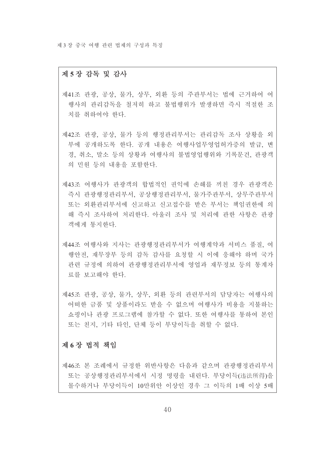#### 제 5장 감독 및 감사

- 제41조 관광, 공상, 물가, 상무, 외환 등의 주관부서는 법에 근거하여 여 행사의 관리감독을 철저히 하고 불법행위가 발생하면 즉시 적절한 조 치를 취하여야 한다.
- 제42조 관광, 공상, 물가 등의 행정관리부서는 관리감독 조사 상황을 외 부에 공개하도록 한다. 공개 내용은 여행사업무영업허가증의 발급, 변 경, 취소, 말소 등의 상황과 여행사의 불법영업행위와 기록문건, 관광객 의 민원 등의 내용을 포함한다.
- 제43조 여행사가 관광객의 합법적인 권익에 손해를 끼친 경우 관광객은 즉시 관광행정관리부서, 공상행정관리부서, 물가주관부서, 상무주관부서 또는 외화관리부서에 신고하고 신고접수를 받은 부서는 책임권한에 의 해 즉시 조사하여 처리하다. 아울러 조사 및 처리에 관한 사항은 관광 객에게 통지하다.
- 제44조 여행사와 지사는 관광행정관리부서가 여행계약과 서비스 품질, 여 행안전, 재무장부 등의 감독 감사를 요청할 시 이에 응해야 하며 국가 관련 규정에 의하여 관광행정관리부서에 영업과 재무정보 등의 통계자 료를 보고해야 한다.
- 제45조 관광, 공상, 물가, 상무, 외화 등의 관련부서의 담당자는 여행사의 어떠한 금품 및 상품이라도 받을 수 없으며 여행사가 비용을 지불하는 쇼핑이나 관광 프로그램에 참가할 수 없다. 또한 여행사를 통하여 본인 또는 친지, 기타 타인, 단체 등이 부당이득을 취할 수 없다.

### 제 6장 법적 책임

제46조 본 조례에서 규정한 위반사항은 다음과 같으며 과광행정과리부서 또는 공상행정관리부서에서 시정 명령을 내린다. 부당이득(违法所得)을 몰수하거나 부당이득이 10만위안 이상인 경우 그 이득의 1배 이상 5배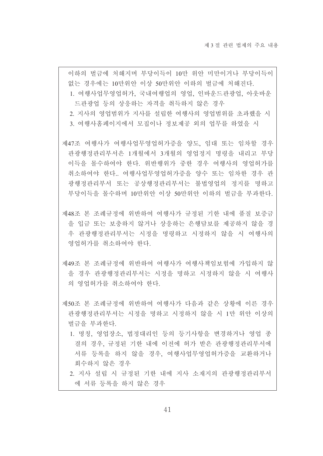이하의 벌금에 처해지며 부당이득이 10만 위안 미만이거나 부당이득이 없는 경우에는 10만위안 이상 50만위안 이하의 벌금에 처해진다. 1. 여행사업무영업허가, 국내여행업의 영업, 인바운드관광업, 아웃바운 드관광업 등의 상응하는 자격을 취득하지 않은 경우

- 2. 지사의 영업범위가 지사를 설립한 여행사의 영업범위를 초과했을 시
- 3. 여행사홈페이지에서 모집이나 정보제공 외의 업무를 하였을 시
- 제47조 여행사가 여행사업무영업허가증을 양도, 임대 또는 임차할 경우 관광행정관리부서은 1개월에서 3개월의 영업정지 명령을 내리고 부당 이득을 몰수하여야 하다. 위반행위가 중한 경우 여행사의 영업허가를 취소하여야 한다.. 여행사업무영업허가증을 양수 또는 임차한 경우 관 광행정관리부서 또는 공상행정관리부서는 불법영업의 정지를 명하고 부당이득을 몰수하며 10만위안 이상 50만위안 이하의 벌금을 부과하다.
- 제48조 본 조례규정에 위반하여 여행사가 규정된 기한 내에 품질 보증금 을 입금 또는 보충하지 않거나 상응하는 은행담보를 제공하지 않을 경 우 관광행정관리부서는 시정을 명령하고 시정하지 않을 시 여행사의 영업허가를 취소하여야 한다.
- 제49조 본 조례규정에 위반하여 여행사가 여행사책임보험에 가입하지 않 을 경우 관광행정관리부서는 시정을 명하고 시정하지 않을 시 여행사 의 영업허가를 취소하여야 한다.
- 제50조 본 조례규정에 위반하여 여행사가 다음과 같은 상황에 이른 경우 관광행정관리부서는 시정을 명하고 시정하지 않을 시 1만 위안 이상의 벌금을 부과하다.
	- 1. 명칭, 영업장소, 법정대리인 등의 등기사항을 변경하거나 영업 종 결의 경우, 규정된 기한 내에 이전에 허가 받은 관광행정관리부서에 서류 등록을 하지 않을 경우, 여행사업무영업허가증을 교환하거나 회수하지 않은 경우
	- 2. 지사 설립 시 규정된 기한 내에 지사 소재지의 관광행정관리부서 에 서류 등록을 하지 않은 경우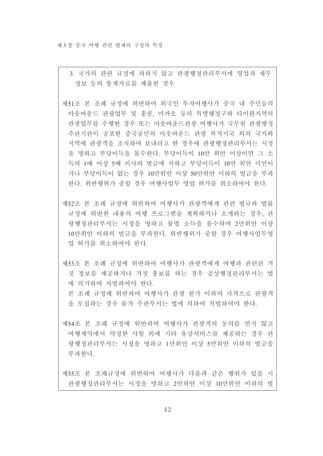3. 국가의 관련 규정에 의하지 않고 관광행정관리부서에 영업과 재무 정보 등의 통계자료를 제출한 경우

제51조 본 조례 규정에 위반하여 외국인 투자여행사가 중국 내 주민들의 아웃바운드 관광업무 및 홍콩, 마카오 등의 특별행정구와 타이완지역의 관광업무를 수행한 경우 또는 아웃바운드관광 여행사가 국무원 관광행정 주관기관이 공포한 중국공민의 아웃바운드 관광 목적지국 외의 국가와 지역에 관광객을 조직하여 보내려고 한 경우에 관광행정관리부서는 시정 을 명하고 부당이득을 몰수한다. 부당이득이 10만 위안 이상이면 그 소 득의 1배 이상 5배 이사의 벌금에 처하고 부당이득이 10만 위안 미만이 거나 부당이득이 없는 경우 10만위안 이상 50만위안 이하의 벌금을 부과 한다. 위반행위가 중할 경우 여행사업무 영업 허가를 취소하여야 한다.

제52조 본 조례 규정에 위반하여 여행사가 관광객에게 관련 법규와 법률 규정에 위반한 내용의 여행 프로그램을 계획하거나 소개하는 경우, 관 광행정관리부서는 시정을 명하고 불법 소득을 몰수하며 2만위안 이상 10만위안 이하의 벌금을 부과한다. 위반행위가 중할 경우 여행사업무영 업 허가를 취소하여야 한다.

제53조 본 조례 규정에 위반하여 여행사가 관광객에게 여행과 관련된 거 짓 정보를 제공하거나 거짓 홍보를 하는 경우 공상행정관리부서는 법 에 의거하여 처벌하여야 하다

본 조례 규정에 위반하여 여행사가 관광 원가 이하의 가격으로 관광객 을 모집하는 경우 물가 주관부서는 법에 의하여 처벌하여야 한다.

제54조 본 조례 규정에 위반하여 여행사가 관광객의 동의를 얻지 않고 여행계약에서 약정한 사항 외에 기타 유상서비스를 제공하는 경우 관 광행정관리부서는 시정을 명하고 1만위안 이상 5만위안 이하의 벌금을 부과하다.

제55조 본 조례규정에 위반하여 여행사가 다음과 같은 행위가 있을 시 관광행정관리부서는 시정을 명하고 2만위안 이상 10만위안 이하의 벌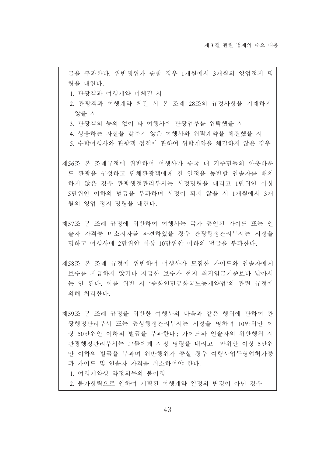금을 부과한다. 위반행위가 중할 경우 1개월에서 3개월의 영업정지 명 령을 내린다.

1. 관광객과 여행계약 미체결 시

- 2. 관광객과 여행계약 체결 시 본 조례 28조의 규정사항을 기재하지 않을 시
- 3. 관광객의 동의 없이 타 여행사에 관광업무를 위탁했을 시
- 4. 상응하는 자질을 갖추지 않은 여행사와 위탁계약을 체결했을 시
- 5. 수탁여행사와 관광객 접객에 관하여 위탁계약을 체결하지 않은 경우

제56조 본 조례규정에 위반하여 여행사가 중국 내 거주민들의 아웃바운 드 관광을 구성하고 단체관광객에게 전 일정을 동반할 인솔자를 배치 하지 않은 경우 관광행정관리부서는 시정명령을 내리고 1만위안 이상 5만위안 이하의 벌금을 부과하며 시정이 되지 않을 시 1개월에서 3개 월의 영업 정지 명령을 내린다.

- 제57조 본 조례 규정에 위반하여 여행사는 국가 공인된 가이드 또는 인 솔자 자격증 미소지자를 파견하였을 경우 관광행정관리부서는 시정을 명하고 여행사에 2만위안 이상 10만위안 이하의 벌금을 부과한다.
- 제58조 본 조례 규정에 위반하여 여행사가 모집한 가이드와 인솔자에게 보수를 지급하지 않거나 지급한 보수가 현지 최저임금기준보다 낮아서 는 안 되다 이를 위반 시 '중화인민공화국노동계약법'의 관련 규정에 의해 처리하다.

제59조 본 조례 규정을 위반한 여행사의 다음과 같은 행위에 관하여 관 광행정관리부서 또는 공상행정관리부서는 시정을 명하며 10만위안 이 상 50만위안 이하의 벌금을 부과한다.. 가이드와 인솔자의 위반행위 시 관광행정관리부서는 그들에게 시정 명령을 내리고 1만위안 이상 5만위 안 이하의 벌금을 부과며 위반행위가 중할 경우 여행사업무영업허가증 과 가이드 및 인솔자 자격을 취소하여야 한다.

1. 여행계약상 약정의무의 불이행

2. 불가항력으로 인하여 계획된 여행계약 일정의 변경이 아닌 경우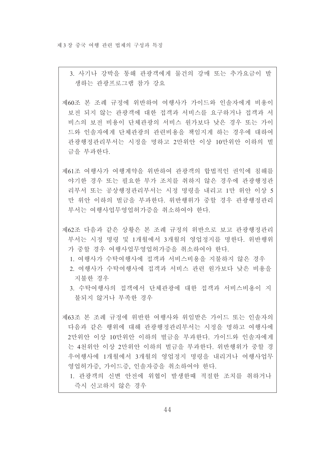3. 사기나 강박을 통해 관광객에게 물건의 강매 또는 추가요금이 발 생하는 관광프로그램 참가 강요

제60조 본 조례 규정에 위반하여 여행사가 가이드와 인솔자에게 비용이 보전 되지 않는 관광객에 대한 접객과 서비스를 요구하거나 접객과 서 비스의 보저 비용이 다체과광의 서비스 워가보다 낮은 경우 또는 가이 드와 인솔자에게 단체관광의 관련비용을 책임지게 하는 경우에 대하여 관광행정관리부서는 시정을 명하고 2만위안 이상 10만위안 이하의 벌 금을 부과하다.

제61조 여행사가 여행계약을 위반하여 관광객의 합법적인 권익에 침해를 야기한 경우 또는 필요한 부가 조치를 취하지 않은 경우에 관광행정관 리부서 또는 공상행정관리부서는 시정 명령을 내리고 1만 위안 이상 5 만 위안 이하의 벌금을 부과한다. 위반행위가 중할 경우 관광행정관리 부서는 여행사업무영업허가증을 취소하여야 한다.

- 제62조 다음과 같은 상황은 본 조례 규정의 위반으로 보고 관광행정관리 부서는 시정 명령 및 1개월에서 3개월의 영업정지를 명한다. 위반행위 가 중할 경우 여행사업무영업허가증을 취소하여야 한다.
	- 1. 여행사가 수탁여행사에 접객과 서비스비용을 지불하지 않은 경우
	- 2. 여행사가 수탁여행사에 접객과 서비스 관련 워가보다 낮은 비용을 지불하 경우
	- 3 수탁여행사의 접객에서 다체과광에 대한 접객과 서비스비용이 지 불되지 않거나 부족한 경우

제63조 본 조례 규정에 위반한 여행사와 위임받은 가이드 또는 인솔자의 다음과 같은 행위에 대해 관광행정관리부서는 시정을 명하고 여행사에 2만위안 이상 10만위안 이하의 벌금을 부과한다. 가이드와 인솔자에게 는 4천위안 이상 2만위안 이하의 벌금을 부과한다. 위반행위가 중할 경 우여행사에 1개월에서 3개월의 영업정지 명령을 내리거나 여행사업무 영업허가증, 가이드증, 인솔자증을 취소하여야 한다.

1. 관광객의 신변 안전에 위협이 발생한때 적절한 조치를 취하거나 즉시 신고하지 않은 경우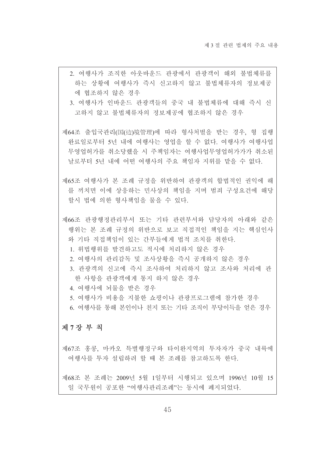- 2. 여행사가 조직한 아웃바운드 관광에서 관광객이 해외 불법체류를 하는 상황에 여행사가 즉시 신고하지 않고 불법체류자의 정보제공 에 협조하지 않은 경우
- 3. 여행사가 인바운드 관광객들의 중국 내 불법체류에 대해 즉시 신 고하지 않고 불법체류자의 정보제공에 협조하지 않은 경우
- 제64조 출입국관리(国(边)境管理)에 따라 형사처벌을 받는 경우, 형 집행 완료일로부터 5년 내에 여행사는 영업을 할 수 없다. 여행사가 여행사업 무영업허가를 취소당했을 시 주책임자는 여행사업무영업허가가가 취소된 날로부터 5년 내에 어떤 여행사의 주요 책임자 지위를 맡을 수 없다.
- 제65조 여행사가 본 조례 규정을 위반하여 관광객의 합법적인 권익에 해 를 끼치면 이에 상응하는 민사상의 책임을 지며 범죄 구성요건에 해당 할시 법에 의한 형사책임을 물을 수 있다.
- 제66조 관광행정관리부서 또는 기타 관련부서와 담당자의 아래와 같은 행위는 본 조례 규정의 위반으로 보고 직접적인 책임을 지는 핵심이사 와 기타 직접책임이 있는 간부들에게 법적 조치를 취한다.
	- 1 위법행위를 발견하고도 적시에 처리하지 않은 경우
	- 2. 여행사의 관리감독 및 조사상황을 즉시 공개하지 않은 경우
	- 3. 관광객의 신고에 즉시 조사하여 처리하지 않고 조사와 처리에 관 한 사항을 관광객에게 통지 하지 않은 경우
	- 4 여행사에 뇌물을 받은 경우
	- 5. 여행사가 비용을 지불한 쇼핑이나 관광프로그램에 참가한 경우
	- 6. 여행사를 통해 본인이나 친지 또는 기타 조직이 부당이득을 얻은 경우

### 제7장 부 칙

제67조 홍콩. 마카오 특별행정구와 타이완지역의 투자자가 중국 내륙에 여행사를 투자 설립하려 할 때 본 조례를 참고하도록 하다.

제68조 본 조례는 2009년 5월 1일부터 시행되고 있으며 1996년 10월 15 일 국무워이 공포하 "여행사관리조례"는 동시에 폐지되었다.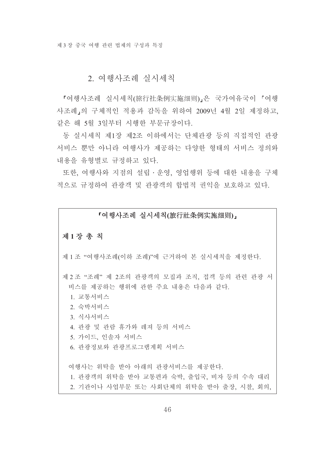# 2. 여행사조례 실시세칙

『여행사조례 실시세칙(旅行社条例实施细则)』은 국가여유국이 『여행 사조례,의 구체적인 적용과 감독을 위하여 2009년 4월 2일 제정하고. 같은 해 5월 3일부터 시행한 부문규장이다.

동 실시세칙 제1장 제2조 이하에서는 단체과광 등의 직접적인 관광 서비스 뿐만 아니라 여행사가 제공하는 다양한 형태의 서비스 정의와 내용을 유형별로 규정하고 있다.

또한, 여행사와 지점의 설립 · 운영, 영업행위 등에 대한 내용을 구체 적으로 규정하여 관광객 및 관광객의 합법적 권익을 보호하고 있다.

### 「여행사조례 실시세칙(旅行社条例实施细则),

### 제1장 총 칙

제 1 조 "여행사조례(이하 조례)"에 근거하여 본 실시세칙을 제정한다.

제 2 조 "조례" 제 2조의 관광객의 모집과 조직, 접객 등의 관련 관광 서 비스를 제공하는 행위에 관한 주요 내용은 다음과 같다.

1. 교통서비스

2. 숙박서비스

- 3. 식사서비스
- 4. 관광 및 관람 휴가와 레져 등의 서비스
- 5. 가이드, 인솔자 서비스
- 6 관광정보와 관광프로그램계획 서비스

여행사는 위탁을 받아 아래의 관광서비스를 제공하다. 1. 관광객의 위탁을 받아 교통편과 숙박, 출입국, 비자 등의 수속 대리 2. 기관이나 사업부문 또는 사회단체의 위탁을 받아 출장, 시찰, 회의,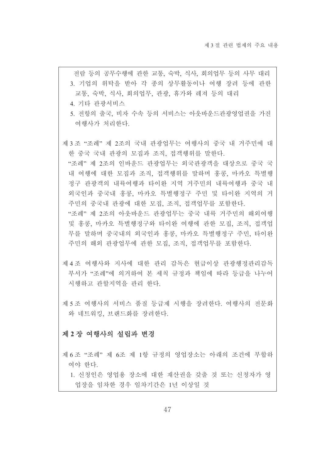전람 등의 공무수행에 관한 교통, 숙박, 식사, 회의업무 등의 사무 대리 3. 기업의 위탁을 받아 각 종의 상무활동이나 여행 장려 등에 관한 교통, 숙박, 식사, 회의업무, 관광, 휴가와 레져 등의 대리

4. 기타 관광서비스

5. 전항의 출국, 비자 수속 등의 서비스는 아웃바운드관광영업권을 가진 여행사가 처리한다.

제3조 "조례" 제 2조의 국내 관광업무는 여행사의 중국 내 거주민에 대 한 중국 국내 관광의 모집과 조직, 접객행위를 말한다. "조례" 제 2조의 인바우드 관광업무는 외국관광객을 대상으로 중국 국 내 여행에 대한 모집과 조직, 접객행위를 말하며 홍콩, 마카오 특별행 정구 관광객의 내륙여행과 타이와 지역 거주민의 내륙여행과 중국 내 외국인과 중국내 홍콩. 마카오 특별행정구 주민 및 타이완 지역의 거 주민의 중국내 관광에 대한 모집, 조직, 접객업무를 포함한다. "조례" 제 2조의 아웃바운드 관광업무는 중국 내륙 거주민의 해외여행 및 홍콩, 마카오 특별행정구와 타이완 여행에 관한 모집, 조직, 접객업 무를 말하며 중국내의 외국인과 홍콩, 마카오 특별행정구 주민, 타이와 주민의 해외 관광업무에 관한 모집, 조직, 접객업무를 포함한다.

제 4 조 여행사와 지사에 대한 관리 감독은 현급이상 관광행정관리감독 부서가 "조례"에 의거하여 본 세칙 규정과 책임에 따라 등급을 나누어 시행하고 과할지역을 과리 하다

제 5 조 여행사의 서비스 품질 등급제 시행을 장려한다. 여행사의 전문화 와 네트워킹, 브랜드화를 장려한다.

#### 제 2 장 여행사의 설립과 변경

제 6 조 "조례" 제 6조 제 1항 규정의 영업장소는 아래의 조건에 부합하 여야 한다.

1. 신청인은 영업용 장소에 대한 재산권을 갖출 것 또는 신청자가 영 업장을 임차한 경우 임차기간은 1년 이상일 것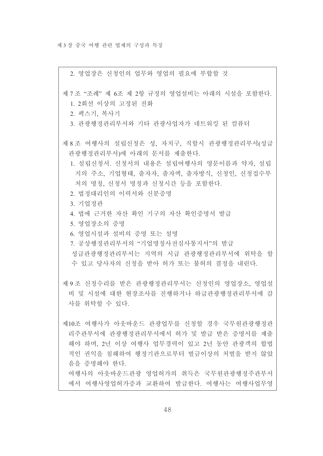2. 영업장은 신청인의 업무와 영업의 필요에 부합할 것

제 7 조 "조례" 제 6조 제 2항 규정의 영업설비는 아래의 시설을 포함하다.

1. 2회선 이상의 고정된 전화

2. 팩스기, 복사기

3. 관광행정관리부서와 기타 관광사업자가 네트워킹 된 컴퓨터

- 제 8 조 여행사의 설립신청은 성, 자치구, 직할시 관광행정관리부서(성급 관광행정관리부서)에 아래의 문서를 제출한다.
	- 1. 설립신청서, 신청서의 내용은 설립여행사의 영문이름과 약자, 설립 지의 주소, 기업형태, 출자자, 출자액, 출자방식, 신청인, 신청접수부 처의 명칭, 신청서 명칭과 신청시간 등을 포함한다.
	- 2. 법정대리인의 이력서와 신분증명

3. 기업정관

- 4. 법에 근거한 자산 확인 기구의 자산 확인증명서 발급
- 5. 영업장소의 증명
- 6. 영업시설과 설비의 증명 또는 설명
- 7. 공상행정관리부서의 "기업명칭사전심사통지서"의 발급 성급과광행정과리부서는 지역의 시급 과광행정과리부서에 위탁을 할

수 있고 당사자의 신청을 받아 허가 또는 불허의 결정을 내린다.

제 9 조 신청수리를 받은 관광행정관리부서는 신청인의 영업장소, 영업설 비 및 시설에 대한 현장조사를 진행하거나 하급과광행정과리부서에 감 사를 위탁할 수 있다.

제10조 여행사가 아웃바운드 관광업무를 신청할 경우 국무원관광행정관 리주관부서에 관광행정관리부서에서 허가 및 발급 받은 증명서를 제출 해야 하며, 2년 이상 여행사 업무경력이 있고 2년 동안 관광객의 합법 적인 권익을 침해하여 행정기관으로부터 벌금이상의 처벌을 받지 않았 음을 증명해야 한다.

여행사의 아웃바운드관광 영업허가의 취득은 국무원관광행정주관부서 에서 여행사영업허가증과 교환하여 발급한다. 여행사는 여행사업무영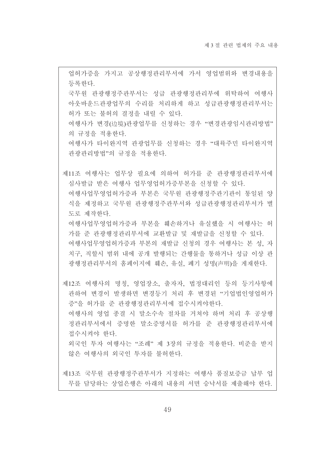업허가증을 가지고 공상행정관리부서에 가서 영업범위와 변경내용을 등록하다. 국무원 관광행정주관부서는 성급 관광행정관리부에 위탁하여 여행사 아웃바운드관광업무의 수리를 처리하게 하고 성급관광행정관리부서는 허가 또는 불허의 결정을 내릴 수 있다. 여행사가 변경(边境)관광업무를 신청하는 경우 "변경관광임시관리방법" 의 규정을 적용한다. 여행사가 타이완지역 관광업무를 신청하는 경우 "대륙주민 타이완지역 관광관리방법"의 규정을 적용한다. 제11조 여행사는 업무상 필요에 의하여 허가를 준 관광행정관리부서에 심사발급 받은 여행사 업무영업허가증부본을 신청할 수 있다. 여행사업무영업허가증과 부본은 국무워 관광행정주관기관이 통일된 양 식을 제정하고 국무원 관광행정주관부서와 성급관광행정관리부서가 별 도로 제작한다. 여행사업무영업허가증과 부본을 훼손하거나 유실했을 시 여행사는 허 가를 준 관광행정관리부서에 교환발급 및 재발급을 신청할 수 있다. 여행사업무영업허가증과 부본의 재발급 신청의 경우 여행사는 본 성, 자 치구 직할시 범위 내에 공개 발행되는 간행물을 통하거나 성급 이상 관 광행정관리부서의 홈페이지에 훼손, 유실, 폐기 성명(声明)을 게재한다. 제12조 여행사의 명칭, 영업장소, 출자자, 법정대리인 등의 등기사항에 관하여 변경이 발생하면 변경등기 처리 후 변경된 "기업법인영업허가 증"을 허가를 준 관광행정관리부서에 접수시켜야한다. 여행사의 영업 종결 시 말소수속 절차를 거쳐야 하며 처리 후 공상행 정관리부서에서 증명한 말소증명서를 허가를 준 관광행정관리부서에 접수시켜야 한다. 외국인 투자 여행사는 "조례"제 3장의 규정을 적용한다. 비준을 받지 않은 여행사의 외국인 투자를 불허하다.

제13조 국무원 관광행정주관부서가 지정하는 여행사 품질보증금 납부 업 무를 담당하는 상업은행은 아래의 내용의 서면 승낙서를 제출해야 한다.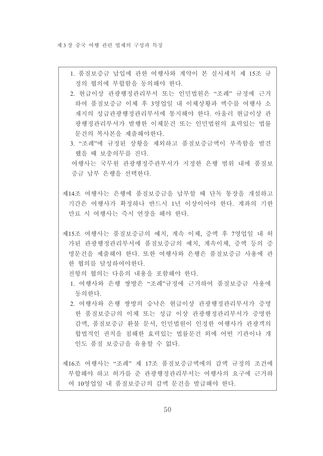- 1. 품질보증금 납입에 관한 여행사와 계약이 본 실시세칙 제 15조 규 정의 협의에 부합함을 동의해야 한다.
- 2. 현급이상 관광행정관리부서 또는 인민법워은 "조례" 규정에 근거 하여 품질보증금 이체 후 3영업일 내 이체상황과 액수를 여행사 소 재지의 성급관광행정관리부서에 통지해야 한다. 아울러 현급이상 관 광행정관리부서가 발행한 이체문건 또는 인민법원의 효력있는 법률 문건의 복사본을 제출해야한다.
- 3. "조례"에 규정된 상황을 제외하고 품질보증금액이 부족함을 발견 했을 때 보충의무를 진다.

여행사는 국무워 관광행정주관부서가 지정한 은행 범위 내에 품질보 증금 납부 은행을 선택하다.

- 제14조 여행사는 은행에 품질보증금을 납부할 때 단독 통장을 개설하고 기간은 여행사가 확정하나 반드시 1년 이상이어야 한다. 계좌의 기한 만료 시 여행사는 즉시 연장을 해야 한다.
- 제15조 여행사는 품질보증금의 예치, 계속 이체, 증액 후 7영업일 내 허 가된 관광행정관리부서에 품질보증금의 예치, 계속이체, 증액 등의 증 명문건을 제출해야 하다 또한 여행사와 은행은 품질보증금 사용에 관 한 협의를 달성하여야한다.

전항의 협의는 다음의 내용을 포함해야 한다.

- 1. 여행사와 은행 쌍방은 "조례"규정에 근거하여 품질보증금 사용에 동의하다.
- 2. 여행사와 은행 쌍방의 승낙은 현급이상 관광행정관리부서가 증명 한 품질보증금의 이체 또는 성급 이상 관광행정관리부서가 증명한 감액, 품질보증금 환불 문서, 인민법원이 인정한 여행사가 관광객의 합법적인 권칙을 침해한 효력있는 법률문건 외에 어떤 기관이나 개 인도 품질 보증금을 유용할 수 없다.

제16조 여행사는 "조례" 제 17조 품질보증금액에의 감액 규정의 조건에 부합해야 하고 허가를 준 관광행정관리부서는 여행사의 요구에 근거하 여 10영업일 내 품질보증금의 감액 문건을 발급해야 한다.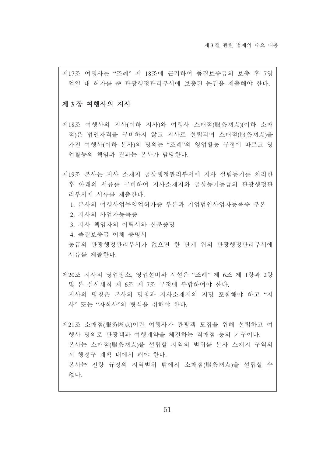제17조 여행사는 "조례" 제 18조에 근거하여 품질보증금의 보충 후 7영 업일 내 허가를 준 관광행정관리부서에 보충된 문건을 제출해야 한다.

#### 제 3 장 여행사의 지사

제18조 여행사의 지사(이하 지사)와 여행사 소매점(服务网点)(이하 소매 점)은 법인자격을 구비하지 않고 지사로 설립되며 소매점(服务网点)을 가진 여행사(이하 본사)의 명의는 "조례"의 영업활동 규정에 따르고 영 업활동의 책임과 결과는 본사가 담당한다.

제19조 본사는 지사 소재지 공상행정관리부서에 지사 설립등기를 처리한 후 아래의 서류를 구비하여 지사소재지와 공상등기동급의 관광행정관 리부서에 서류를 제출하다.

1. 본사의 여행사업무영업허가증 부본과 기업법인사업자등록증 부본

2. 지사의 사업자등록증

3. 지사 책임자의 이력서와 신분증명

4 품질보증금 이체 증명서

동급의 관광행정관리부서가 없으면 한 단계 위의 관광행정관리부서에 서류를 제출한다.

제20조 지사의 영업장소, 영업설비와 시설은 "조례" 제 6조 제 1항과 2항 및 본 실시세칙 제 6조 제 7조 규정에 부합하여야 한다. 지사의 명칭은 본사의 명칭과 지사소재지의 지명 포함해야 하고 "지 사" 또는 "자회사"의 형식을 취해야 한다.

제21조 소매점(服务网点)이란 여행사가 관광객 모집을 위해 설립하고 여 행사 명의로 관광객과 여행계약을 체결하는 직매점 등의 기구이다. 본사는 소매점(服务网点)을 설립할 지역의 범위를 본사 소재지 구역의 시 행정구 계획 내에서 해야 한다. 본사는 전항 규정의 지역범위 밖에서 소매점(服务网点)을 설립할 수 없다.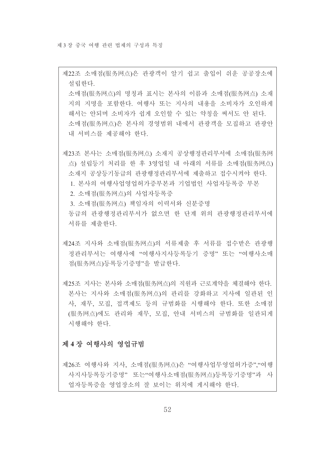제22조 소매점(服务网点)은 관광객이 알기 쉽고 출입이 쉬운 공공장소에 설립하다.

소매점(服务网点)의 명칭과 표시는 본사의 이름과 소매점(服务网点) 소재 지의 지명을 포함한다. 여행사 또는 지사의 내용을 소비자가 오인하게 해서는 안되며 소비자가 쉽게 오인할 수 있는 약칭을 써서도 안 된다. 소매점(服务网点)은 본사의 경영범위 내에서 관광객을 모집하고 관광안 내 서비스를 제공해야 한다.

제23조 본사는 소매점(服务网点) 소재지 공상행정관리부서에 소매점(服务网 点) 설립등기 처리를 한 후 3영업일 내 아래의 서류를 소매점(服务网点) 소재지 공상등기동급의 관광행정관리부서에 제출하고 접수시켜야 한다. 1. 본사의 여행사업영업허가증부본과 기업법이 사업자등록증 부본 2. 소매점(服务网点)의 사업자등록증 3. 소매점(服务网点) 책임자의 이력서와 신분증명 동급의 관광행정관리부서가 없으면 한 단계 위의 관광행정관리부서에 서류를 제출한다.

- 제24조 지사와 소매점(服务网点)의 서류제출 후 서류를 접수받은 관광행 정관리부서는 여행사에 "여행사지사등록등기 증명" 또는 "여행사소매 점(服务网点)등록등기증명"을 발급한다.
- 제25조 지사는 본사와 소매점(服务网点)의 직원과 근로계약을 체결해야 한다. 본사는 지사와 소매점(服务网点)의 관리를 강화하고 지사에 일관된 인 사, 재무, 모집, 접객제도 등의 규범화를 시행해야 한다. 또한 소매점 (服务网点)에도 관리와 재무, 모집, 안내 서비스의 규범화를 일관되게 시행해야 하다

### 제 4장 여행사의 영업규범

제26조 여행사와 지사, 소매점(服务网点)은 "여행사업무영업허가증", "여행 사지사등록등기증명" 또는"여행사소매점(服务网点)등록등기증명"과 사 업자등록증을 영업장소의 잘 보이는 위치에 게시해야 한다.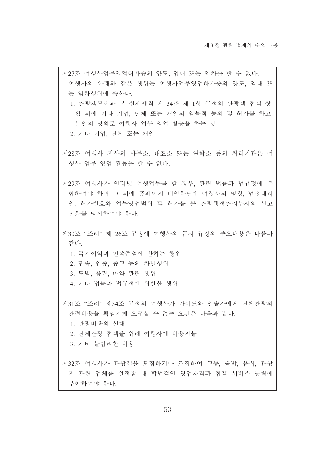제27조 여행사업무영업허가증의 양도, 임대 또는 임차를 할 수 없다. 여행사의 아래와 같은 행위는 여행사업무영업하가증의 양도, 임대 또 는 임차행위에 속하다. 1. 관광객모집과 본 실세세칙 제 34조 제 1항 규정의 관광객 접객 상 황 외에 기타 기업, 단체 또는 개인의 암묵적 동의 및 허가를 하고 본인의 명의로 여행사 업무 영업 활동을 하는 것 2. 기타 기업, 단체 또는 개인 제28조 여행사 지사의 사무소, 대표소 또는 연락소 등의 처리기관은 여 행사 업무 영업 활동을 할 수 없다. 제29조 여행사가 인터넷 여행업무를 할 경우, 관련 법률과 법규정에 부 합하여야 하며 그 외에 홈페이지 메인화면에 여행사의 명칭. 법정대리 인, 허가번호와 업무영업범위 및 허가를 준 관광행정관리부서의 신고 전화를 명시하여야 한다. 제30조 "조례" 제 26조 규정에 여행사의 금지 규정의 주요내용은 다음과 같다. 1 국가이익과 민족존엄에 반하는 행위 2. 민족, 인종, 종교 등의 차별행위 3. 도박, 음란, 마약 관련 행위 4. 기타 법률과 법규정에 위반한 행위 제31조 "조례" 제34조 규정의 여행사가 가이드와 인솔자에게 단체과광의 관련비용을 책임지게 요구할 수 없는 요건은 다음과 같다. 1. 관광비용의 선대 2. 단체관광 접객을 위해 여행사에 비용지불 3. 기타 불합리한 비용 제32조 여행사가 관광객을 모집하거나 조직하여 교통, 숙박, 음식, 관광 지 관련 업체를 선정할 때 합법적인 영업자격과 접객 서비스 능력에 부합하여야 한다.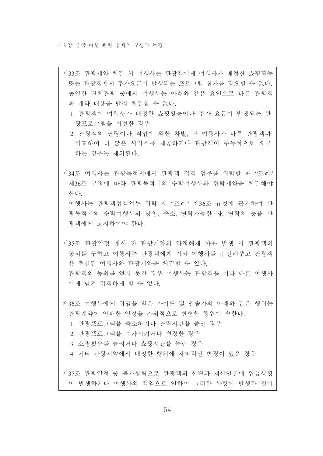- 제33조 관광계약 체결 시 여행사는 관광객에게 여행사가 배정한 쇼핑활동 또는 관광객에게 추가요금이 발생되는 프로그램 참가를 강요할 수 없다. 동일한 단체관광 중에서 여행사는 아래와 같은 요인으로 다른 관광객 과 계약 내용을 달리 체결할 수 없다.
	- 1. 관광객이 여행사가 배정한 쇼핑활동이나 추가 요금이 발생되는 관 광프로그램을 거절한 경우
	- 2. 관광객의 연령이나 직업에 의한 차별, 단 여행사가 다른 관광객과 비교하여 더 많은 서비스를 제공하거나 관광객이 주동적으로 요구 하는 경우는 제외된다.

제34조 여행사는 관광목적지에서 관광객 접객 업무를 위탁할 때 "조례" 제36조 규정에 따라 관광목적지의 수탁여행사와 위탁계약을 체결해야 하다 여행사는 관광객접객업무 위탁 시 "조례" 제36조 규정에 근거하여 관

광목적지의 수탁여행사의 명칭, 주소, 연락가능한 자, 연락처 등을 관 광객에게 고지하여야 한다.

제35조 관광일정 개시 전 관광계약의 약정해제 사유 발생 시 관광객의 동의를 구하고 여행사는 관광객에게 기타 여행사를 추전해주고 관광객 은 추천된 여행사와 관광계약을 체결할 수 있다. 관광객의 동의를 얻지 못한 경우 여행사는 관광객을 기타 다른 여행사 에게 넘겨 접객하게 할 수 없다.

제36조 여행사에게 위임을 받은 가이드 및 인솔자의 아래와 같은 행위는 관광계약이 안배한 일정을 자의적으로 변형한 행위에 속한다.

- 1. 관광프로그램을 축소하거나 관람시간을 줄인 경우
- 2. 관광프로그램을 추가시키거나 변경한 경우
- 3. 쇼핑횟수를 늘리거나 쇼핑시간을 늘린 경우
- 4. 기타 관광계약에서 배정한 행위에 자의적인 변경이 있은 경우

제37조 관광일정 중 불가항력으로 관광객의 신변과 재산안전에 위급상황 이 발생하거나 여행사의 책임으로 인하여 그러한 사항이 발생한 것이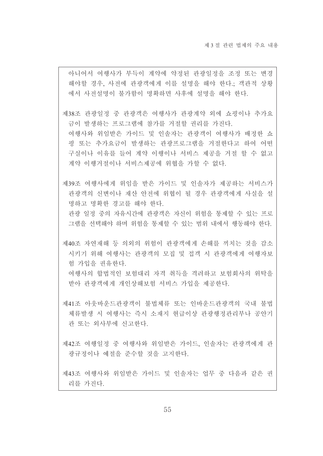아니어서 여행사가 부득이 계약에 약정된 관광일정을 조정 또는 변경 해야할 경우, 사전에 관광객에게 이를 설명을 해야 한다.; 객관적 상황 에서 사전설명이 불가함이 명확하면 사후에 설명을 해야 하다.

제38조 관광일정 중 관광객은 여행사가 관광계약 외에 쇼핑이나 추가요 금이 발생하는 프로그램에 참가를 거절할 권리를 가진다. 여행사와 위임받은 가이드 및 인솔자는 관광객이 여행사가 배정한 쇼 핑 또는 추가요금이 발생하는 관광프로그램을 거절하다고 하여 어떤 구실이나 이유를 들어 계약 이행이나 서비스 제공을 거절 할 수 없고 계약 이행거절이나 서비스제공에 위협을 가할 수 없다.

제39조 여행사에게 위임을 받은 가이드 및 인솔자가 제공하는 서비스가 관광객의 신변이나 재산 안전에 위협이 될 경우 관광객에게 사실을 설 명하고 명확한 경고를 해야 한다.

관광 일정 중의 자유시간에 관광객은 자신이 위험을 통제할 수 있는 프로 그램을 선택해야 하며 위험을 통제할 수 있는 범위 내에서 행동해야 한다.

제40조 자연재해 등 의외의 위험이 관광객에게 손해를 끼치는 것을 감소 시키기 위해 여행사는 관광객의 모집 및 접객 시 관광객에게 여행자보 험 가입을 권유한다. 여행사의 합법적인 보험대리 자격 취득을 격려하고 보험회사의 위탁을 받아 관광객에게 개인상해보험 서비스 가입을 제공한다.

제41조 아웃바운드관광객이 불법체류 또는 인바운드관광객의 국내 불법 체류발생 시 여행사는 즉시 소재지 현급이상 관광행정관리부나 공안기 관 또는 외사부에 신고한다.

제42조 여행일정 중 여행사와 위임받은 가이드, 인솔자는 관광객에게 관 광규정이나 예절을 주수할 것을 고지한다.

제43조 여행사와 위임받은 가이드 및 인솔자는 업무 중 다음과 같은 권 리를 가진다.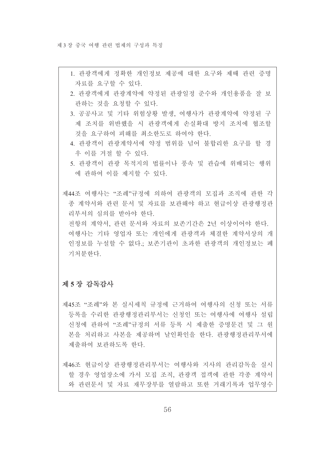- 1. 관광객에게 정확한 개인정보 제공에 대한 요구와 제때 관련 증명 자료를 요구할 수 있다.
- 2. 관광객에게 관광계약에 약정된 관광일정 준수와 개인용품을 잘 보 관하는 것을 요청할 수 있다.
- 3. 공공사고 및 기타 위험상황 발생, 여행사가 관광계약에 약정된 구 제 조치를 위반했을 시 관광객에게 손실확대 방지 조치에 협조할 것을 요구하여 피해를 최소한도로 하여야 한다.
- 4. 관광객이 관광계약서에 약정 범위를 넘어 불합리한 요구를 할 경 우 이를 거절 할 수 있다.
- 5. 관광객이 관광 목적지의 법률이나 풍속 및 관습에 위배되는 행위 에 관하여 이를 제지할 수 있다.

제44조 여행사는 "조례"규정에 의하여 관광객의 모집과 조직에 관한 각 종 계약서와 관련 문서 및 자료를 보관해야 하고 현급이상 관광행정관 리부서의 심의를 받아야 한다.

전항의 계약서, 관련 문서와 자료의 보존기간은 2년 이상이어야 한다. 여행사는 기타 영업자 또는 개인에게 관광객과 체결한 계약서상의 개 인정보를 누설할 수 없다.; 보존기관이 초과한 관광객의 개인정보는 폐 기처부하다

## 제 5장 감독감사

제45조 "조례"와 본 실시세칙 규정에 근거하여 여행사의 신청 또는 서류 등록을 수리한 관광행정관리부서는 신청인 또는 여행사에 여행사 설립 신청에 관하여 "조례"규정의 서류 등록 시 제출한 증명문건 및 그 원 본을 처리하고 사본을 제공하며 날인확인을 한다. 관광행정관리부서에 제출하여 보관하도록 한다.

제46조 현급이상 관광행정관리부서는 여행사와 지사의 관리감독을 실시 할 경우 영업장소에 가서 모집 조직, 관광객 접객에 관한 각종 계약서 와 관련문서 및 자료 재무장부를 열람하고 또한 거래기록과 업무영수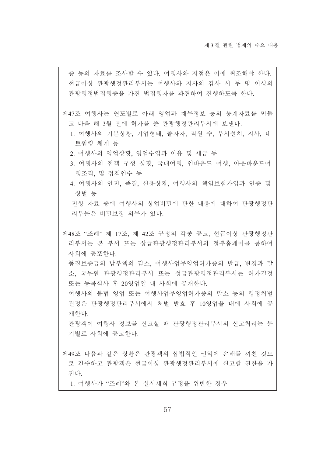증 등의 자료를 조사할 수 있다. 여행사와 지점은 이에 협조해야 한다. 현급이상 관광행정관리부서는 여행사와 지사의 감사 시 두 명 이상의 관광행정법집행증을 가진 법집행자를 파견하여 진행하도록 한다.

- 제47조 여행사는 연도별로 아래 영업과 재무정보 등의 통계자료를 만들 고 다음 해 3월 전에 허가를 준 관광행정관리부서에 보낸다.
	- 1. 여행사의 기본상황, 기업형태, 출자자, 직원 수, 부서설치, 지사, 네 트워킹 체계 등
	- 2. 여행사의 영업상황, 영업수입과 이유 및 세금 등
	- 3. 여행사의 접객 구성 상황. 국내여행. 인바우드 여행. 아웃바우드여 행조직, 및 접객인수 등
	- 4. 여행사의 안전, 품질, 신용상황, 여행사의 책임보험가입과 인증 및 상벌 등

전항 자료 중에 여행사의 상업비밀에 관한 내용에 대하여 관광행정관 리부문은 비밀보장 의무가 있다.

제48조 "조례" 제 17조, 제 42조 규정의 각종 공고, 현급이상 관광행정관 리부서는 본 부서 또는 상급관광행정관리부서의 정부홈페이를 통하여 사회에 공포하다

품질보증금의 납부액의 감소, 여행사업무영업허가증의 발급, 변경과 말 소, 국무원 관광행정관리부서 또는 성급관광행정관리부서는 허가결정 또는 등록심사 후 20영업일 내 사회에 공개한다.

여행사의 불법 영업 또는 여행사업무영업허가증의 말소 등의 행정처벌 결정은 관광행정관리부서에서 처벌 발효 후 10영업을 내에 사회에 공 개한다.

관광객이 여행사 정보를 신고할 때 관광행정관리부서의 신고처리는 분 기별로 사회에 공고하다.

- 제49조 다음과 같은 상황은 관광객의 합법적인 권익에 손해를 끼친 것으 로 간주하고 관광객은 현급이상 관광행정관리부서에 신고할 권한을 가 진다.
	- 1. 여행사가 "조례"와 본 실시세칙 규정을 위반한 경우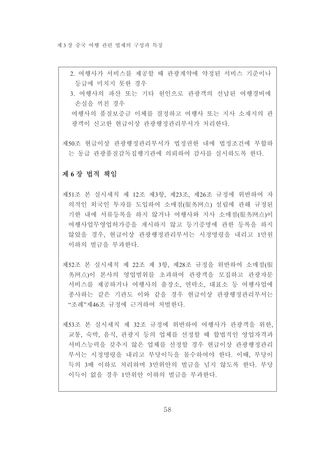- 2. 여행사가 서비스를 제공할 때 관광계약에 약정된 서비스 기준이나 등급에 미치지 못한 경우
- 3. 여행사의 파산 또는 기타 워인으로 관광객의 선납된 여행경비에 손실을 끼친 경우

여행사의 품질보증금 이체를 결정하고 여행사 또는 지사 소재지의 관 광객이 신고한 현급이상 관광행정관리부서가 처리한다.

제50조 현급이상 관광행정관리부서가 법정권한 내에 법정조건에 부합하 는 동급 관광품질감독집행기관에 의뢰하여 감사를 실시하도록 하다.

### 제 6장 법적 책임

- 제51조 본 실시세칙 제 12조 제3항, 제23조, 제26조 규정에 위반하여 자 의적인 외국인 투자를 도입하여 소매점(服务网点) 설립에 관해 규정된 기한 내에 서류등록을 하지 않거나 여행사와 지사 소매점(服务网点)이 여행사업무영업허가증을 게시하지 않고 등기증명에 관한 등록을 하지 않았을 경우, 혀급이상 관광행정관리부서는 시정명령을 내리고 1만워 이하의 벌금을 부과하다.
- 제52조 본 실시세칙 제 22조 제 3항, 제28조 규정을 위반하여 소매점(服 务网点)이 본사의 영업범위를 초과하여 관광객을 모집하고 관광자문 서비스를 제공하거나 여행사의 출장소, 연락소, 대표소 등 여행사업에 종사하는 같은 기관도 이와 같을 경우 현급이상 과광행정과리부서는 "조례"제46조 규정에 근거하여 처벌한다.
- 제53조 본 실시세칙 제 32조 규정에 위반하여 여행사가 관광객을 위한, 교통, 숙박, 음식, 관광지 등의 업체를 선정할 때 합법적인 영업자격과 서비스능력을 갖추지 않은 업체를 선정할 경우 현급이상 관광행정관리 부서는 시정명령을 내리고 부당이득을 몰수하여야 한다. 이때, 부당이 득의 3배 이하로 처리하며 3만위안의 벌금을 넘지 않도록 한다. 부당 이득이 없을 경우 1만위안 이하의 벌금을 부과하다.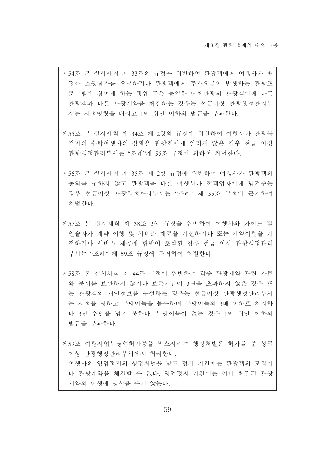- 제54조 본 실시세칙 제 33조의 규정을 위반하여 관광객에게 여행사가 배 정한 쇼핑참가를 요구하거나 관광객에게 추가요금이 발생하는 관광프 로그램에 참여케 하는 행위 혹은 동일한 단체관광의 관광객에게 다른 관광객과 다른 관광계약을 체결하는 경우는 현급이상 관광행정관리부 서는 시정명령을 내리고 1만 위안 이하의 벌금을 부과한다.
- 제55조 본 실시세칙 제 34조 제 2항의 규정에 위반하여 여행사가 관광목 적지의 수탁여행사의 상황을 관광객에게 알리지 않은 경우 혀급 이상 관광행정관리부서는 "조례"제 55조 규정에 의하여 처벌하다.
- 제56조 본 실시세칙 제 35조 제 2항 규정에 위반하여 여행사가 관광객의 동의를 구하지 않고 관광객을 다른 여행사나 접객업자에게 넘겨주는 경우 협급이상 관광행정관리부서는 "조례" 제 55조 규정에 근거하여 처벌한다.
- 제57조 본 실시세칙 제 38조 2항 규정을 위반하여 여행사와 가이드 및 인솔자가 계약 이행 및 서비스 제공을 거절하거나 또는 계약이행을 거 절하거나 서비스 제공에 협박이 포함된 경우 현급 이상 관광행정관리 부서는 "조례" 제 59조 규정에 근거하여 처벌하다
- 제58조 본 실시세칙 제 44조 규정에 위반하여 각종 관광계약 관련 자료 와 문서를 보관하지 않거나 보존기간이 3년을 초과하지 않은 경우 또 는 과광객의 개인정보를 누설하는 경우는 현급이상 과광행정관리부서 는 시정을 명하고 부당이득을 몰수하며 부당이득의 3배 이하로 처리하 나 3만 위안을 넘지 못한다. 부당이득이 없는 경우 1만 위안 이하의 벌금을 부과하다.

제59조 여행사업무영업허가증을 말소시키는 행정처벌은 허가를 준 성급 이상 관광행정관리부서에서 처리하다. 여행사의 영업정지의 행정처벌을 받고 정지 기간에는 관광객의 모집이 나 관광계약을 체결할 수 없다. 영업정지 기간에는 이미 체결된 관광 계약의 이행에 영향을 주지 않는다.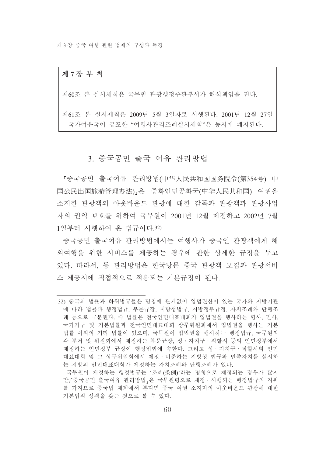#### 제 7 장 부 칙

제60조 본 실시세칙은 국무원 관광행정주관부서가 해석책임을 진다.

제61조 본 실시세칙은 2009년 5월 3일자로 시행된다. 2001년 12월 27일 국가여유국이 공포한 "여행사관리조례실시세칙"은 동시에 폐지된다.

# 3. 중국공민 출국 여유 관리방법

『중국공민 출국여유 관리방법(中华人民共和国国务院令(第354号) 中 国公民出国旅游管理办法), 은 중화인민공화국(中华人民共和国) 여권을 소지한 관광객의 아웃바운드 관광에 대한 감독과 관광객과 관광사업 자의 권익 보호를 위하여 국무원이 2001년 12월 제정하고 2002년 7월 1일부터 시행하여 온 법규이다.32)

중국공민 출국여유 관리방법에서는 여행사가 중국인 관광객에게 해 외여행을 위한 서비스를 제공하는 경우에 과한 상세한 규정을 두고 있다. 따라서. 동 관리방법은 한국방문 중국 관광객 모집과 관광서비 스 제공시에 직접적으로 적용되는 기본규정이 된다.

<sup>32)</sup> 중국의 법률과 하위법규들은 명칭에 관계없이 입법권한이 있는 국가와 지방기관 에 따라 법률과 행정법규, 부문규장, 지방성법규, 지방정부규정, 자치조례와 단행조 례 등으로 구분된다. 즉 법률은 전국인민대표대회가 입법권을 행사하는 형사, 민사. 국가기구 및 기본법률과 전국인민대표대회 상무위워회에서 입법권을 행사는 기본 법률 이외의 기타 법률이 있으며, 국무원이 입법권을 행사하는 행정법규, 국무원의 각 부처 및 위원회에서 제정하는 부문규장, 성·자치구·직할시 등의 인민정부에서 제정하는 인민정부 규장이 행정입법에 속한다. 그리고 성 • 자치구 • 직할시의 인민 대표대회 및 그 상무위원회에서 제정 · 비준하는 지방성 법규와 민족자치를 실시하 는 지방의 인민대표대회가 제정하는 자치조례와 단행조례가 있다.

국무원이 제정하는 행정법규는 '조례(条例)'라는 명칭으로 제정되는 경우가 많지 만.「중국공민 출국여유 관리방법」은 국무워령으로 제정 · 시행되는 행정법규의 지위 를 가지므로 중국법 체계에서 본다면 중국 여권 소지자의 아웃바운드 관광에 대한 기본법적 성격을 갖는 것으로 볼 수 있다.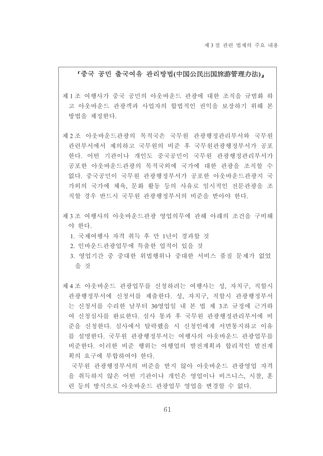#### 「중국 공민 출국여유 관리방법(中国公民出国旅游管理办法)」

- 제 1 조 여행사가 중국 공민의 아웃바운드 관광에 대한 조직을 규범화 하 고 아웃바운드 관광객과 사업자의 합법적인 권익을 보장하기 위해 본 방법을 제정한다.
- 제 2 조 아웃바운드관광의 목적국은 국무워 관광행정관리부서와 국무워 관련부서에서 제의하고 국무워의 비주 후 국무워관광행정부서가 공포 한다. 어떤 기관이나 개인도 중국공민이 국무원 관광행정관리부서가 공포한 아웃바운드관광의 목적국외에 국가에 대한 관광을 조직할 수 없다. 중국공민이 국무워 관광행정부서가 공포한 아운바운드관광지 국 가외의 국가에 체육, 문화 활동 등의 사유로 임시적인 전문관광을 조 직할 경우 반드시 국무워 관광행정부서의 비준을 받아야 한다.
- 제 3 조 여행사의 아웃바운드관광 영업의무에 관해 아래의 조건을 구비해 야 한다.
	- 1. 국제여행사 자격 취득 후 만 1년이 경과할 것
	- 2. 인바운드관광업무에 특출한 업적이 있을 것
	- 3. 영업기간 중 중대한 위법행위나 중대한 서비스 품질 문제가 없었 을 것

제 4 조 아웃바운드 관광업무를 신청하려는 여행사는 성, 자치구, 직할시 관광행정부서에 신청서를 제출한다. 성, 자치구, 직할시 관광행정부서 는 신청서를 수리한 날부터 30영업일 내 본 법 제 3조 규정에 근거하 여 신청심사를 완료한다. 심사 통과 후 국무원 관광행정관리부서에 비 준을 신청한다. 심사에서 탈락했을 시 신청인에게 서면통지하고 이유 를 설명한다. 국무원 관광행정부서는 여행사의 아웃바운드 관광업무를 비준한다. 이러한 비준 행위는 여행업의 발전계획과 합리적인 발전계 획의 요구에 부합하여야 한다.

국무워 관광행정부서의 비준을 받지 않아 아웃바운드 관광영업 자격 을 취득하지 않은 어떤 기관이나 개인은 영업이나 비즈니스, 시찰, 훈 련 등의 방식으로 아웃바운드 관광업무 영업을 변경할 수 없다.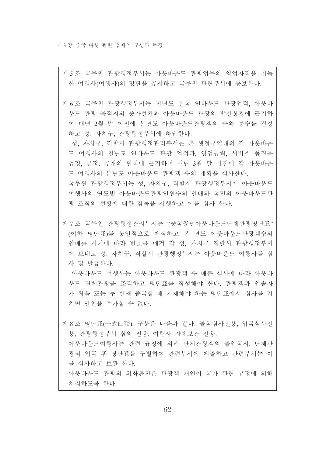제 5 조 국무원 관광행정부서는 아웃바운드 관광업무의 영업자격을 취득 한 여행사(여행사)의 명단을 공시하고 국무원 관련부서에 통보한다.

제 6조 국무원 관광행정부서는 전년도 전국 인바운드 관광업적, 아웃바 운드 관광 목적지의 증가현황과 아웃바운드 관광의 발전상황에 근거하 여 매년 2월 말 이전에 본년도 아웃바운드관광객의 수와 총수를 결정 하고 성, 자치구, 관광행정부서에 하달한다.

성. 자치구. 직할시 관광행정관리부서는 본 행정구역내의 각 아웃바운 드 여행사의 전년도 인바운드 관광 업적과, 영업능력, 서비스 품질을 공평, 공정, 공개의 워칙에 근거하여 매년 3월 말 이전에 각 아웃바운 드 여행사의 본년도 아웃바운드 관광객 수의 계획을 심사한다.

국무원 관광행정부서는 성, 자치구, 직할시 관광행정부서에 아웃바운드 여행사의 여도별 아웃바운드관광인워수의 안배와 국민의 아웃바운드관 광 조직의 현황에 대한 감독을 시행하고 이를 심사 한다.

제 7 조 국무원 관광행정관리부서는 "중국공민아웃바운드단체관광명단표" (이하 명단표)를 통일적으로 제작하고 본 년도 아웃바운드관광객수의 안배를 시기에 따라 번호를 매겨 각 성, 자치구 직할시 관광행정부서 에 보내고 성, 자치구, 직할시 관광행정부서는 아웃바운드 여행사를 심 사 및 발급한다.

아웃바운드 여행사는 아웃바운드 관광객 수 배분 심사에 따라 아웃바 운드 단체관광을 조직하고 명단표를 작성해야 한다. 관광객과 인솔자 가 처음 또는 두 번째 출국할 때 기재해야 하는 명단표에서 심사를 거 치면 인위을 추가할 수 없다.

제 8 조 명단표(一式四联). 구분은 다음과 같다. 출국심사전용, 입국심사전 용, 관광행정부서 심의 전용, 여행사 자체보관 전용. 아웃바운드여행사는 관련 규정에 의해 단체관광객의 출입국시, 단체관 광의 입국 후 명단표를 구별하여 관련부서에 제출하고 관련부서는 이 를 심사하고 보관 한다. 아웃바운드 관광의 외화환전은 관광객 개인이 국가 관련 규정에 의해 처리하도록 한다.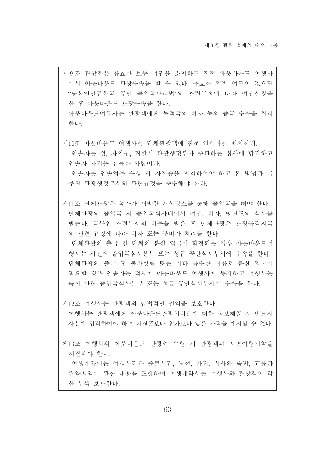제9조 관광객은 유효한 보통 여권을 소지하고 직접 아웃바운드 여행사 에서 아웃바운드 관광수속을 할 수 있다. 유효한 일반 여권이 없으면 "중화인민공화국 공민 출입국관리법"의 관련규정에 따라 여권신청을 한 후 아웃바운드 관광수속을 한다. 아웃바운드여행사는 관광객에게 목적국의 비자 등의 출국 수속을 처리 한다.

제10조 아웃바운드 여행사는 단체관광객에 전문 인솔자를 배치한다.

인솔자는 성. 자치구. 직할시 관광행정부가 주관하는 심사에 합격하고 인솔자 자격을 취득한 사람이다.

인솔자는 인솔업무 수행 시 자격증을 지참하여야 하고 본 방법과 국 무워 과광행정부서의 과려규정을 주수해야 한다.

제11조 단체관광은 국가가 개방한 개항장소를 통해 출입국을 해야 한다. 단체관광의 출입국 시 출입국심사대에서 여권, 비자, 명단표의 심사를 받는다. 국무원 관련부서의 비준을 받은 후 단체관광은 관광목적지국 의 관련 규정에 따라 비자 또는 무비자 처리를 한다.

단체관광의 출국 전 단체의 분산 입국이 확정되는 경우 아웃바운드여 행사는 사전에 출입국심사본부 또는 성급 공아심사부서에 수속을 하다. 단체관광의 출국 후 불가항력 또는 기타 특수한 이유로 분산 입국이 필요할 경우 인솔자는 적시에 아웃바운드 여행사에 통지하고 여행사는 즉시 관련 출입국심사본부 또는 성급 공안심사부서에 수속을 한다.

제12조 여행사는 관광객의 합법적인 권익을 보호하다.

여행사는 관광객에게 아웃바운드관광서비스에 대한 정보제공 시 반드시 사실에 입각하여야 하며 거짓홋보나 워가보다 낮은 가격을 제시할 수 없다.

제13조 여행사의 아웃바운드 관광업 수행 시 관광객과 서면여행계약을 체결해야 한다.

여행계약에는 여행시작과 종료시간, 노선, 가격, 식사와 숙박, 교통과 위약책임에 관한 내용을 포함하며 여행계약서는 여행사와 관광객이 각 한 부씩 보관한다.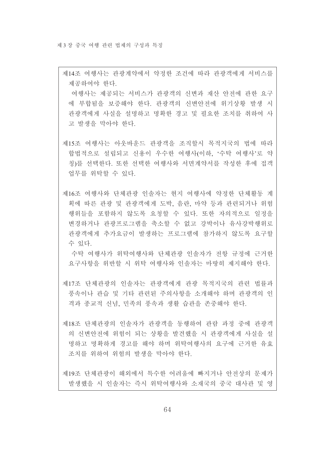제14조 여행사는 관광계약에서 약정한 조건에 따라 관광객에게 서비스를 제공하여야 한다. 여행사는 제공되는 서비스가 관광객의 신변과 재산 안전에 관한 요구 에 부합됨을 보증해야 한다. 관광객의 신변안전에 위기상황 발생 시 관광객에게 사실을 설명하고 명확한 경고 및 필요한 조치를 취하여 사 고 발생을 막아야 한다. 제15조 여행사는 아웃바우드 관광객을 조직할시 목적지국의 법에 따라 합법적으로 설립되고 신용이 우수한 여행사(이하. '수탁 여행사'로 약 칭)를 서택하다. 또한 서택한 여행사와 서면계약서를 작성한 후에 접객 업무를 위탁할 수 있다. 제16조 여행사와 단체관광 인솔자는 혀지 여행사에 약정한 단체활동 계

획에 따른 관광 및 관광객에게 도박, 음란, 마약 등과 관련되거나 위험 행위들을 포함하지 않도록 요청할 수 있다. 또한 자의적으로 일정을 변경하거나 관광프로그램을 축소할 수 없고 강박이나 유사강박행위로 관광객에게 추가요금이 발생하는 프로그램에 참가하지 않도록 요구할 수 있다.

수탁 여행사가 위탁여행사와 단체관광 인솔자가 전항 규정에 근거한 요구사항을 위반할 시 위탁 여행사와 인솔자는 마땅히 제지해야 한다.

제17조 단체관광의 인솔자는 관광객에게 관광 목적지국의 관련 법률과 풍속이나 관습 및 기타 관련된 주의사항을 소개해야 하며 관광객의 인 격과 종교적 신념, 민족의 풍속과 생활 습관을 존중해야 한다.

제18조 단체관광의 인솔자가 관광객을 동행하여 관람 과정 중에 관광객 의 신변안전에 위험이 되는 상황을 발견했을 시 관광객에게 사실을 설 명하고 명확하게 경고를 해야 하며 위탁여행사의 요구에 근거한 유효 조치를 위하여 위험의 발생을 막아야 하다.

제19조 단체관광이 해외에서 특수한 어려움에 빠지거나 안전상의 문제가 발생했을 시 인솔자는 즉시 위탁여행사와 소재국의 중국 대사관 및 영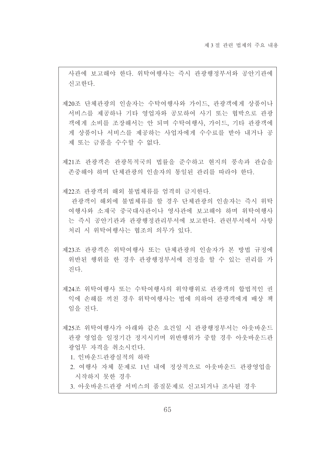사관에 보고해야 한다. 위탁여행사는 즉시 관광행정부서와 공안기관에 신고하다.

제20조 단체관광의 인솔자는 수탁여행사와 가이드, 관광객에게 상품이나 서비스를 제공하나 기타 영업자와 공모하여 사기 또는 협박으로 관광 객에게 소비를 조장해서는 안 되며 수탁여행사, 가이드, 기타 관광객에 게 상품이나 서비스를 제공하는 사업자에게 수수료를 받아 내거나 공 제 또는 금품을 수수할 수 없다.

제21조 관광객은 관광목적국의 법률을 준수하고 현지의 풍속과 관습을 존중해야 하며 단체관광의 인솔자의 통일된 관리를 따라야 한다.

제22조 관광객의 해외 불법체류를 엄격히 금지한다.

관광객이 해외에 불법체류를 할 경우 단체관광의 인솔자는 즉시 위탁 여행사와 소재국 중국대사관이나 영사관에 보고해야 하며 위탁여행사 는 즉시 공안기관과 관광행정관리부서에 보고한다. 관련부서에서 사항 처리 시 위탁여행사는 협조의 의무가 있다.

제23조 관광객은 위탁여행사 또는 단체관광의 인솔자가 본 방법 규정에 위반된 행위를 한 경우 관광행정부서에 진정을 할 수 있는 권리를 가 진다.

제24조 위탁여행사 또는 수탁여행사의 위약행위로 관광객의 합법적인 권 익에 손해를 끼친 경우 위탁여행사는 법에 의하여 관광객에게 배상 책 임을 지다

제25조 위탁여행사가 아래와 같은 요건일 시 관광행정부서는 아웃바운드 관광 영업을 일정기가 정지시키며 위반행위가 중할 경우 아우바운드과 광업무 자격을 취소시키다

1 이바우드과광실적의 하락

2. 여행사 자체 문제로 1년 내에 정상적으로 아웃바운드 관광영업을 시작하지 못하 경우

3. 아웃바운드관광 서비스의 품질문제로 신고되거나 조사된 경우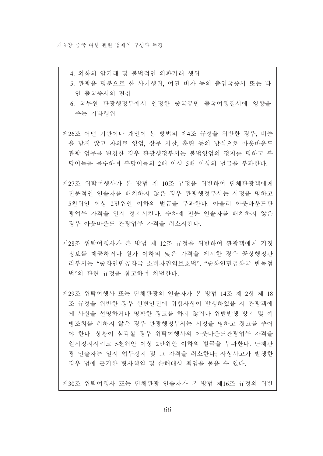4. 외화의 암거래 및 불법적인 외환거래 행위

5. 관광을 명분으로 한 사기행위, 여권 비자 등의 출입국증서 또는 타 인 출국증서의 편취

6. 국무원 관광행정부에서 인정한 중국공민 출국여행질서에 영향을 주는 기타행위

제26조 어떤 기관이나 개인이 본 방법의 제4조 규정을 위반한 경우, 비주 을 받지 않고 자의로 영업. 상무 시찰. 훈련 등의 방식으로 아웃바운드 관광 업무를 변경한 경우 관광행정부서는 불법영업의 정지를 명하고 부 당이득을 몰수하며 부당이득의 2배 이상 5배 이상의 벌금을 부과한다.

- 제27조 위탁여행사가 본 방법 제 10조 규정을 위반하여 단체관광객에게 저문적인 인솔자를 배치하지 않은 경우 관광행정부서는 시정을 명하고 5천위안 이상 2만위안 이하의 벌금을 부과한다. 아울러 아웃바운드관 광업무 자격을 일시 정지시킨다. 수차례 전문 인솔자를 배치하지 않은 경우 아웃바운드 관광업무 자격을 취소시킨다.
- 제28조 위탁여행사가 본 방법 제 12조 규정을 위반하여 관광객에게 거짓 정보를 제공하거나 워가 이하의 낮은 가격을 제시하 경우 공상행정관 리부서는 "중화인민공화국 소비자권익보호법". "중화인민공화국 반독점 법"의 관련 규정을 참고하여 처벌한다.

제29조 위탁여행사 또는 다체관광의 인솔자가 본 방법 14조 제 2항 제 18 조 규정을 위반한 경우 신변안전에 위험사항이 발생하였을 시 관광객에 게 사실을 설명하거나 명확한 경고를 하지 않거나 위발발생 방지 및 예 방조치를 취하지 않은 경우 관광행정부서는 시정을 명하고 경고를 주어 야 한다. 상황이 심각할 경우 위탁여행사의 아웃바운드과광업무 자격을 일시정지시키고 5천위안 이상 2만위안 이하의 벌금을 부과한다. 단체관 광 인솔자는 일시 업무정지 및 그 자격을 취소하다. 사상사고가 발생하 경우 법에 근거한 형사책임 및 손해배상 책임을 물을 수 있다.

제30조 위탁여행사 또는 단체관광 인솔자가 본 방법 제16조 규정의 위반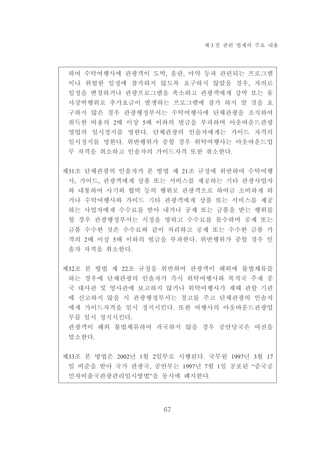하여 수탁여행사에 관광객이 도박, 음란, 마약 등과 관련되는 프로그램 이나 위험한 일정에 참가하지 않도록 요구하지 않았을 경우, 자의로 일정을 변경하거나 관광프로그램을 축소하고 관광객에게 강박 또는 유 사강박행위로 추가요금이 발생하는 프로그램에 참가 하지 말 것을 요 구하지 않은 경우 관광행정부서는 수탁여행사에 단체관광을 조직하여 취득한 비용의 2배 이상 5배 이하의 벌금을 부과하며 아웃바운드관광 영업의 일시정지를 명한다. 단체관광의 인솔자에게는 가이드 자격의 일시정지를 명한다. 위반행위가 중할 경우 위탁여행사는 아웃바운드업 무 자격을 취소하고 인솔자의 가이드자격 또한 취소하다.

- 제31조 단체관광의 인솔자가 본 방법 제 21조 규정에 위반하여 수탁여행 사, 가이드, 관광객에게 상품 또는 서비스를 제공하는 기타 관광사업자 와 내통하여 사기와 협박 등의 행위로 관광객으로 하여금 소비하게 하 거나 수탁여행사와 가이드 기타 관광객에게 상품 또는 서비스를 제공 하는 사업자에게 수수료를 받아 내거나 공제 또는 금품을 받는 행위를 할 경우 관광행정부서는 시정을 명하고 수수료를 몰수하며 공제 또는 금품 수수한 것은 수수료와 같이 처리하고 공제 또는 수수한 금품 가 격의 2배 이상 5배 이하의 벌금을 부과하다. 위반행위가 중할 경우 인 솔자 자격을 취소하다.
- 제32조 본 방법 제 22조 규정을 위반하여 관광객이 해외에 불법체류를 하는 경우에 단체관광의 인솔자가 즉시 위탁여행사와 목적국 주재 중 국 대사관 및 영사관에 보고하지 않거나 위탁여행사가 제때 관할 기관 에 신고하지 않을 시 관광행정부서는 경고를 주고 단체관광의 인솔자 에게 가이드자격을 일시 정지시킨다. 또한 여행사의 아웃바운드관광업 무를 일시 정지시키다

관광객이 해외 불법체류하여 귀국하지 않을 경우 공안당국은 여권을 말소하다.

제33조 본 방법은 2002년 1월 2일부로 시행된다. 국무원 1997년 3월 17 일 비준을 받아 국가 관광국, 공안부는 1997년 7월 1일 공포된 "중국공 민자비출국관광관리임시방법"을 동시에 폐지한다.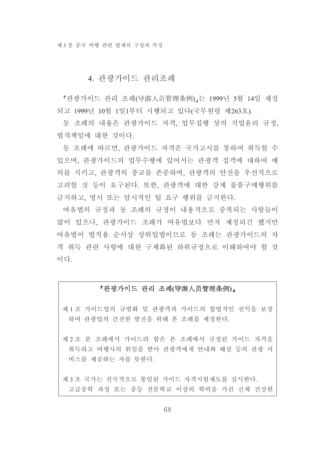# 4. 관광가이드 관리조례

「관광가이드 관리 조례(导游人员管理条例)」는 1999년 5월 14일 제정 되고 1999년 10월 1일1부터 시행되고 있다(국무워령 제263호).

동 조례의 내용은 관광가이드 자격, 업무집행 상의 직업윤리 규정, 법적책임에 대한 것이다.

동 조례에 따르면, 관광가이드 자격은 국가고시를 통하여 취득할 수 있으며, 관광가이드의 업무수행에 있어서는 관광객 접객에 대하여 예 의를 지키고, 관광객의 종교를 존중하며, 관광객의 안전을 우선적으로 고려할 것 등이 요구된다. 또한, 관광객에 대한 강제 물품구매행위를 금지하고, 명시 또는 암시적인 팁 요구 행위를 금지한다.

여유법의 규정과 동 조례의 규정이 내용적으로 중복되는 사항들이 많이 있으나. 관광가이드 조례가 여유법보다 먼저 제정되긴 했지만 여유법이 법적용 수서상 상위입법이므로 동 조례는 관광가이드의 자 격 취득 관련 사항에 대한 구체화된 하위규정으로 이해하여야 할 것 이다

### 「관광가이드 관리 조례(导游人员管理条例)」

제 1 조 가이드업의 규범화 및 관광객과 가이드의 합법적인 권익을 보장 하며 관광업의 건전한 발전을 위해 본 조례를 제정한다.

제 2 조 본 조례에서 가이드라 함은 본 조례에서 규정된 가이드 자격을 취득하고 여행사의 위임을 받아 관광객에게 안내와 해설 등의 관광 서 비스를 제공하는 자를 뜻한다.

제 3 조 국가는 전국적으로 통일된 가이드 자격시험제도를 실시한다. 고급중학 과정 또는 중등 전문학교 이상의 학력을 가진 신체 건강한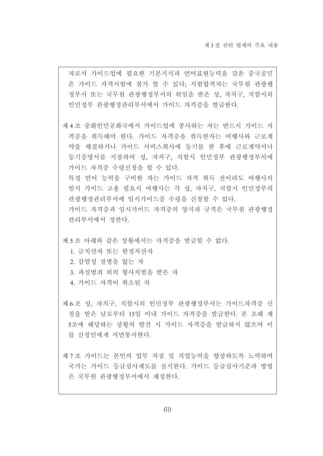자로서 가이드업에 필요한 기본지식과 언어표현능력을 갖춘 중국공민 은 가이드 자격시험에 참가 할 수 있다; 시험합격자는 국무원 관광행 정부서 또는 국무워 관광행정부서의 위임을 받은 성, 자치구, 직할시의 인민정부 관광행정관리부서에서 가이드 자격증을 발급하다.

제 4 조 중화인민공화국에서 가이드업에 종사하는 자는 반드시 가이드 자 격증을 취득해야 한다. 가이드 자격증을 취득한자는 여행사와 근로계 약을 체결하거나 가이드 서비스회사에 등기를 한 후에 근로계약서나 등기증명서를 지참하여 성, 자치구, 직할시 인민정부 관광행정부서에 가이드 자격증 수령신청을 할 수 있다. 특정 언어 능력을 구비한 자는 가이드 자격 취득 전이라도 여행사의

임시 가이드 고용 필요시 여행사는 각 성, 자치구, 직할시 인민정부의 관광행정관리부서에 임시가이드증 수령을 신청할 수 있다.

가이드 자격증과 임시가이드 자격증의 양식과 규격은 국무원 관광행정 관리부서에서 정한다.

제 5 조 아래와 같은 상황에서는 자격증을 발급할 수 없다.

1. 금치산자 또는 한정치산자

- 2. 감염성 질병을 앓는 자
- 3. 과실범죄 외의 형사처벌을 받은 자
- 4. 가이드 자격이 취소된 자
- 제 6 조 성, 자치구, 직할시의 인민정부 관광행정부서는 가이드자격증 신 청을 받은 날로부터 15일 이내 가이드 자격증을 발급한다. 본 조례 제 5조에 해당하는 상황의 발견 시 가이드 자격증을 발급하지 않으며 이 를 신청인에게 서면통지한다.
- 제 7 조 가이드는 본인의 업무 자질 및 직업능력을 향상하도록 노력하며 국가는 가이드 등급심사제도를 실시한다. 가이드 등급심사기준과 방법 은 국무워 관광행정부서에서 제정하다.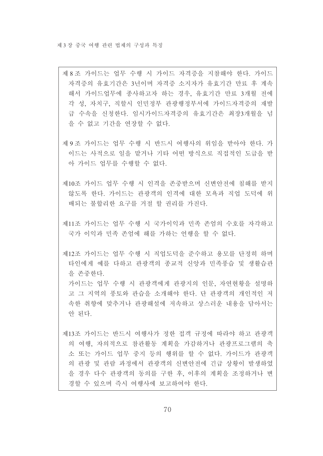안 된다.

- 제 8조 가이드는 업무 수행 시 가이드 자격증을 지참해야 한다. 가이드 자격증의 유효기간은 3년이며 자격증 소지자가 유효기간 만료 후 계속 해서 가이드업무에 종사하고자 하는 경우, 유효기간 만료 3개월 전에 각 성, 자치구, 직할시 인민정부 관광행정부서에 가이드자격증의 재발 급 수속을 신청한다. 임시가이드자격증의 유효기간은 최장3개월을 넘 을 수 없고 기간을 연장할 수 없다.
- 제 9 조 가이드는 업무 수행 시 반드시 여행사의 위임을 받아야 한다. 가 이드는 사적으로 일을 맡거나 기타 어떤 방식으로 직접적인 도급을 받 아 가이드 업무를 수행할 수 없다.
- 제10조 가이드 업무 수행 시 인격을 존중받으며 신변안전에 침해를 받지 않도록 하다. 가이드는 관광객의 인격에 대한 모욕과 직업 도덕에 위 배되는 불합리한 요구를 거절 할 권리를 가진다.
- 제11조 가이드는 업무 수행 시 국가이익과 민족 존엄의 수호를 자각하고 국가 이익과 민족 존엄에 해를 가하는 언행을 할 수 없다.
- 제12조 가이드는 업무 수행 시 직업도덕을 주수하고 용모를 다정히 하며 타인에게 예를 다하고 관광객의 종교적 신앙과 민족풍습 및 생활습관 을 존중하다. 가이드는 업무 수행 시 관광객에게 관광지의 인문, 자연현황을 설명하 고 그 지역의 풍토와 관습을 소개해야 한다. 단 관광객의 개인적인 저 속한 취향에 맞추거나 관광해설에 저속하고 상스러운 내용을 담아서는
- 제13조 가이드는 반드시 여행사가 정한 접객 규정에 따라야 하고 관광객 의 여행, 자의적으로 참관활동 계획을 가감하거나 관광프로그램의 축 소 또는 가이드 업무 중지 등의 행위를 할 수 없다. 가이드가 관광객 의 관광 및 관람 과정에서 관광객의 신변안전에 긴급 상황이 발생하였 을 경우 다수 관광객의 동의를 구한 후, 이후의 계획을 조정하거나 변 경할 수 있으며 즉시 여행사에 보고하여야 한다.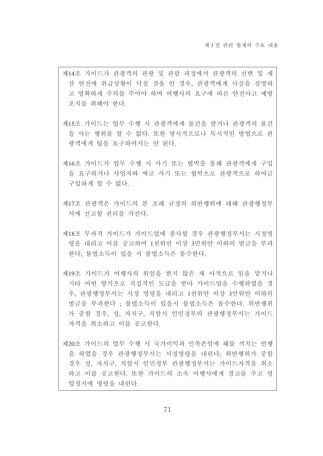- 제14조 가이드가 관광객의 관광 및 관람 과정에서 관광객의 신변 및 재 산 안전에 위급상황이 닥칠 것을 안 경우, 관광객에게 사실을 설명하 고 명확하게 주의를 주어야 하며 여행사의 요구에 따른 안전사고 예방 조치를 취해야 한다.
- 제15조 가이드는 업무 수행 시 관광객에게 물건을 팔거나 관광객의 물건 을 사는 행위를 할 수 없다. 또한 명시적으로나 묵시적인 방법으로 관 광객에게 팁을 요구하여서는 안 된다.
- 제16조 가이드가 업무 수행 시 사기 또는 협박을 통해 관광객에게 구입 을 요구하거나 사업자와 짜고 사기 또는 협박으로 관광객으로 하여금 구입하게 할 수 없다.
- 제17조 관광객은 가이드의 본 조례 규정의 위반행위에 대해 관광행정부 서에 신고할 권리를 가진다.
- 제18조 무자격 가이드가 가이드업에 종사할 경우 관광행정부서는 시정명 령을 내리고 이를 공고하며 1천위안 이상 3만위안 이하의 벌금을 부과 하다 불법소득이 있을 시 불법소득은 몰수하다.
- 제19조 가이드가 여행사의 위임을 받지 않은 채 사적으로 일을 맡거나 기타 어떤 방식으로 직접적인 도급을 받아 가이드업을 수행하였을 경 우. 과광행정부서는 시정 명령을 내리고 1천위안 이상 3만위안 이하의 벌금을 부과하다 : 불법소득이 있을시 불법소득은 몰수하다. 위반행위 가 중할 경우, 성, 자치구, 직할시 인민정부의 관광행정부서는 가이드 자격을 취소하고 이를 공고하다.
- 제20조 가이드의 업무 수행 시 국가이익과 민족존엄에 해를 끼치는 언행 을 하였을 경우 관광행정부서는 시정명령을 내린다. 위반행위가 중할 경우 성, 자치구, 직할시 인민정부 관광행정부서는 가이드자격을 취소 하고 이를 공고한다. 또한 가이드의 소속 여행사에게 경고를 주고 영 업정지에 명령을 내린다.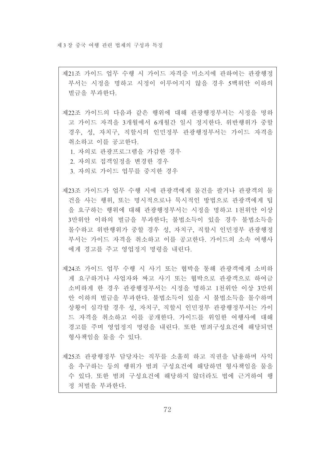제21조 가이드 업무 수행 시 가이드 자격증 미소지에 관하여는 관광행정 부서는 시정을 명하고 시정이 이루어지지 않을 경우 5백위안 이하의 벌금을 부과한다.

제22조 가이드의 다음과 같은 행위에 대해 관광행정부서는 시정을 명하 고 가이드 자격을 3개월에서 6개월간 일시 정지한다. 위반행위가 중할 경우, 성, 자치구, 직할시의 인민정부 관광행정부서는 가이드 자격을 취소하고 이를 공고하다.

1. 자의로 관광프로그램을 가감한 경우

2. 자의로 접객일정을 변경한 경우

3. 자의로 가이드 업무를 중지한 경우

- 제23조 가이드가 업무 수행 시에 관광객에게 물건을 팔거나 관광객의 물 건을 사는 행위, 또는 명시적으로나 묵시적인 방법으로 관광객에게 팁 을 요구하는 행위에 대해 관광행정부서는 시정을 명하고 1천위안 이상 3만위안 이하의 벌금을 부과하다. 불법소득이 있을 경우 불법소득을 몰수하고 위반행위가 중할 경우 성, 자치구, 직할시 인민정부 관광행정 부서는 가이드 자격을 취소하고 이를 공고한다. 가이드의 소속 여행사 에게 경고를 주고 영업정지 명령을 내린다.
- 제24조 가이드 업무 수행 시 사기 또는 협박을 통해 관광객에게 소비하 게 요구하거나 사업자와 짜고 사기 또는 협박으로 과광객으로 하여금 소비하게 한 경우 과광행정부서는 시정을 명하고 1천위안 이상 3만위 안 이하의 벌금을 부과하다. 불법소득이 있을 시 불법소득을 몰수하며 상황이 심각할 경우 성, 자치구, 직할시 인민정부 관광행정부서는 가이 드 자격을 취소하고 이를 공개하다 가이드를 위임하 여행사에 대해 경고를 주며 영업정지 명령을 내린다. 또한 범죄구성요건에 해당되면 형사책임을 물을 수 있다.

제25조 관광행정부 담당자는 직무를 소홀히 하고 직권을 남용하며 사익 을 추구하는 등의 행위가 범죄 구성요건에 해당하면 형사책임을 물을 수 있다. 또한 범죄 구성요건에 해당하지 않더라도 법에 근거하여 행 정 처벌을 부과한다.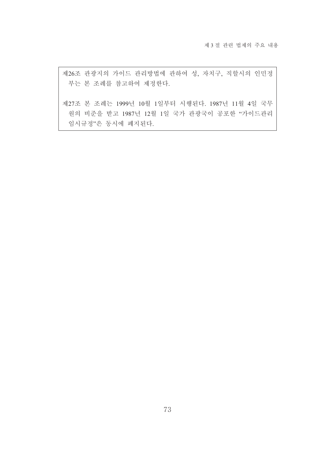제26조 관광지의 가이드 관리방법에 관하여 성, 자치구, 직할시의 인민정 부는 본 조례를 참고하여 제정한다.

제27조 본 조례는 1999년 10월 1일부터 시행된다. 1987년 11월 4일 국무 원의 비준을 받고 1987년 12월 1일 국가 관광국이 공포한 "가이드관리 임시규정"은 동시에 폐지된다.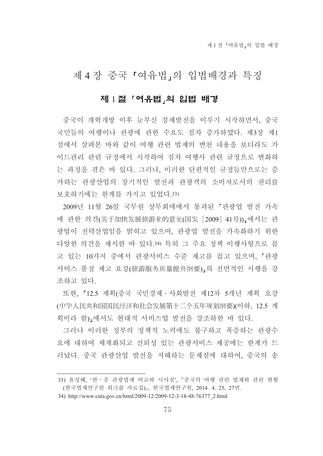# 제 4 장 중국 『여유법』의 입법배경과 특징

## 제 1절 「여유법」의 입법 배경

중국이 개혁개방 이후 눈부신 경제발전을 이루기 시작하면서, 중국 국민들의 여행이나 관광에 관한 수요도 점차 증가하였다. 제3장 제1 절에서 살펴본 바와 같이 여행 관련 법제의 변천 내용을 보더라도 가 이드관리 관련 규정에서 시작하여 점차 여행사 관련 규정으로 변화하 는 과정을 겪은 바 있다. 그러나, 이러한 단편적인 규정들만으로는 증 가하는 관광산업의 장기적인 발전과 관광객의 소비자로서의 권리를 보호하기에는 한계를 가지고 있었다.33)

2009년 11월 26일 국무워 상무회에에서 통과된 『관광업 발전 가속 에 관한 의견(关于加快发展旅游业的意见(国发 [2009] 41号))」에서는 관 광업이 전략산업임을 밝히고 있으며, 관광업 발전을 가속화하기 위한 다양한 의견을 제시한 바 있다.34) 특히 그 주요 정책 이행사항으로 꼽 고 있는 10가지 중에서 관광서비스 수준 제고를 꼽고 있으며 『관광 서비스 품질 제고 요강(旅游服务质量提升纲要)』의 전면적인 시행을 강 조하고 있다.

또한, 「12.5 계획(중국 국민경제 · 사회발전 제12차 5개년 계획 요강 (中华人民共和国国民经济和社会发展第十二个五年规划纲要)(이하. 12.5 계 획이라 함),에서도 현대적 서비스업 발전을 강조하한 바 있다.

그러나 이러한 정부의 정책적 노력에도 불구하고 폭증하는 관광수 요에 대하여 체계화되고 신뢰성 있는 관광서비스 제공에는 한계가 드 러났다. 중국 관광산업 발전을 저해하는 문제점에 대하여. 중국의 송

<sup>33)</sup> 윤성혜, '한 · 중 관광법제 비교와 시사점', 『중국의 여행 관련 법제와 관련 현황 (한국법제연구원 워크숍 자료집)』, 한국법제연구원, 2014. 4. 25, 27면.

<sup>34)</sup> http://www.cnta.gov.cn/html/2009-12/2009-12-3-18-48-76377 2.html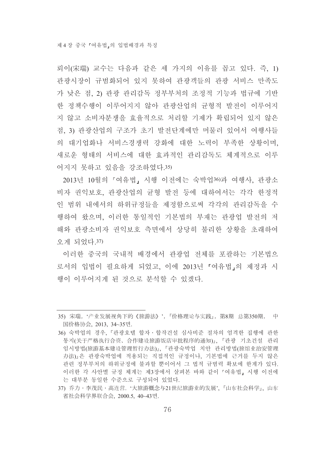뢰이(宋瑞) 교수는 다음과 같은 세 가지의 이유를 꼽고 있다. 즉, 1) 관광시장이 규범화되어 있지 못하여 관광객들의 관광 서비스 만족도 가 낮은 점, 2) 관광 관리감독 정부부처의 조정적 기능과 법규에 기반 한 정책수행이 이루어지지 않아 관광산업의 균형적 발전이 이루어지 지 않고 소비자분쟁을 효율적으로 처리할 기제가 확립되어 있지 않은 점, 3) 관광산업의 구조가 초기 발전단계에만 머물러 있어서 여행사들 의 대기업화나 서비스경쟁력 강화에 대한 노력이 부족한 상황이며. 새로운 형태의 서비스에 대한 효과적인 관리감독도 체계적으로 이루 어지지 못하고 있음을 강조하였다.35)

2013년 10월의 『여유법』시행 이전에는 숙박업36)과 여행사, 관광소 비자 권익보호, 관광산업의 균형 발전 등에 대하여서는 각각 한정적 인 범위 내에서의 하위규정들을 제정함으로써 각각의 관리감독을 수 행하여 왔으며, 이러한 통일적인 기본법의 부재는 과광업 발전의 저 해와 관광소비자 권익보호 측면에서 상당히 불리한 상황을 초래하여 오게 되었다. 37)

이러한 중국의 국내적 배경에서 관광업 전체를 포괄하는 기본법으 로서의 입법이 필요하게 되었고, 이에 2013년 「여유법」의 제정과 시 행이 이루어지게 된 것으로 부석할 수 있겠다.

<sup>35)</sup> 宋瑞, '产业发展视角下的《旅游法》', 『价格理论与实践』, 第8期 总第350期, 中 国价格协会, 2013, 34~35면.

<sup>36)</sup> 숙박업의 경우, 『관광호텔 합자 · 합작건설 심사비주 절차의 엄격한 집행에 관한 통지(关于严格执行合资、合作建设旅游饭店审批程序的通知)』、『관광 기초건설 관리 임시방법(旅游基本建设管理暂行办法)』、『관광숙박업 치안 관리방법(旅馆业治安管理 办法)』은 관광숙박업에 적용되는 직접적인 규정이나, 기본법에 근거를 두지 않은 관련 정부부처의 하위규정에 불과할 뿐이어서 그 법적 규범력 확보에 한계가 있다. 이러한 각 사안별 규정 체계는 제3장에서 살펴본 바와 같이 『여유법』 시행 이전에 는 대부분 동일한 수준으로 구성되어 있었다.

<sup>37)</sup> 乔力·李茂民·高连营. '大旅游概念与21世纪旅游业的发展'. 『山东社会科学』, 山东 省社会科学界联合会, 2000.5, 40~43면.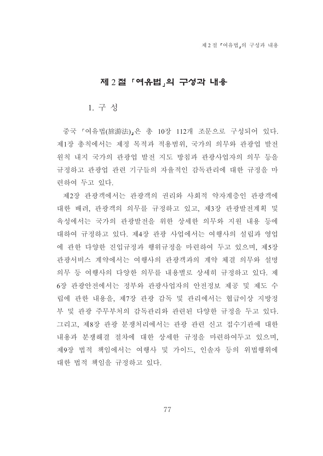## 제 2절 「여유법」의 구성과 내용

### 1. 구성

중국 『여유법(旅游法)』은 총 10장 112개 조문으로 구성되어 있다. 제1장 총칙에서는 제정 목적과 적용범위, 국가의 의무와 관광업 발전 원칙 내지 국가의 관광업 발전 지도 방침과 관광사업자의 의무 등을 규정하고 관광업 관련 기구들의 자율적인 감독관리에 대한 규정을 마 련하여 두고 있다.

제2장 관광객에서는 관광객의 권리와 사회적 약자계층인 관광객에 대한 배려, 관광객의 의무를 규정하고 있고, 제3장 관광발전계획 및 육성에서는 국가의 관광발전을 위한 상세한 의무와 지원 내용 등에 대하여 규정하고 있다. 제4장 과광 사업에서는 여행사의 설립과 영업 에 관한 다양한 진입규정과 행위규정을 마련하여 두고 있으며 제5장 관광서비스 계약에서는 여행사의 관광객과의 계약 체결 의무와 설명 의무 등 여행사의 다양한 의무를 내용별로 상세히 규정하고 있다. 제 6장 관광안전에서는 정부와 관광사업자의 안전정보 제공 및 제도 수 립에 관한 내용을, 제7장 관광 감독 및 관리에서는 협급이상 지방정 부 및 관광 주무부처의 감독관리와 관련된 다양한 규정을 두고 있다. 그리고, 제8장 관광 분쟁처리에서는 관광 관련 신고 접수기관에 대한 내용과 분쟁해결 절차에 대한 상세한 규정을 마련하여두고 있으며. 제9장 법적 책임에서는 여행사 및 가이드, 인솔자 등의 위법행위에 대한 법적 책임을 규정하고 있다.

77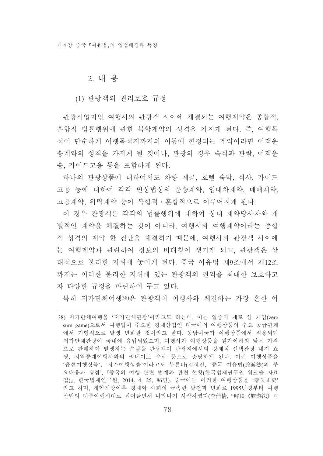### 2. 내 용

(1) 관광객의 권리보호 규정

관광사업자인 여행사와 관광객 사이에 체결되는 여행계약은 종합적. 혼합적 법률행위에 관한 복합계약의 성격을 가지게 된다. 즉. 여행목 적이 단순하게 여행목적지까지의 이동에 한정되는 계약이라면 여객운 송계약의 성격을 가지게 될 것이나, 관광의 경우 숙식과 관람, 여객운 송, 가이드고용 등을 포함하게 된다.

하나의 관광상품에 대하여서도 차량 제공, 호텔 숙박, 식사, 가이드 고용 등에 대하여 각각 민상법상의 운송계약, 임대차계약, 매매계약, 고용계약. 위탁계약 등이 복합적 · 혼합적으로 이루어지게 된다.

이 경우 관광객은 각각의 법률행위에 대하여 상대 계약당사자와 개 별적인 계약을 체결하는 것이 아니라. 여행사와 여행계약이라는 종합 적 성격의 계약 한 건만을 체결하기 때문에, 여행사와 관광객 사이에 는 여행계약과 관련하여 정보의 비대칭이 생기게 되고, 관광객은 상 대적으로 불리한 지위에 놓이게 된다. 중국 여유법 제9조에서 제12조 까지는 이러한 불리한 지위에 있는 관광객의 권익을 최대한 보호하고 자 다양한 규정을 마련하여 두고 있다.

특히 저가단체여행38)은 관광객이 여행사와 체결하는 가장 흔한 여

<sup>38)</sup> 저가단체여행을 '저가단체관광'이라고도 하는데, 이는 일종의 제로 섬 게임(zero sum game)으로서 여행업이 주요한 경제산업인 태국에서 여행상품의 수요 공급관계 에서 기형적으로 발생 변화한 것이라고 한다. 동남아국가 여행상품에서 적용되던 저가단체관광이 국내에 유입되었으며, 여행사가 여행상품을 워가이하의 낮은 가격 으로 판매하여 발생하는 손실을 관광객이 관광지에서의 강제적 선택관광 내지 쇼 핑, 지역중계여행사와의 리베이트 수납 등으로 충당하게 된다. 이런 여행상품을 '옵션여행상품', '저가여행상품'이라고도 부른다(김정진, '중국 여유법(旅游法)의 주 요내용과 쟁점'. 『중국의 여행 관련 법제와 관련 현황(한국법제연구원 워크숍 자료 집)』, 한국법제연구원, 2014. 4. 25, 86면). 중국에는 이러한 여행상품을 '零负团费' 라고 하며, 개혁개방이후 경제와 사회의 급속한 발전과 변화로 1995년경부터 여행 산업의 대중여행시대로 접어들면서 나타나기 시작하였다(李倩倩, "解读《旅游法》 对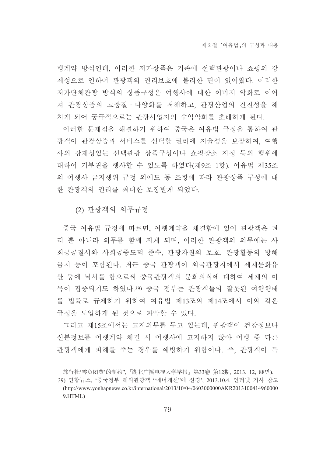행계약 방식인데, 이러한 저가상품은 기존에 선택관광이나 쇼핑의 강 제성으로 인하여 과광객의 권리보호에 불리한 면이 있어왔다. 이러한 저가단체관광 방식의 상품구성은 여행사에 대한 이미지 악화로 이어 져 관광상품의 고품질 · 다양화를 저해하고, 관광산업의 건전성을 해 치게 되어 궁극적으로는 관광사업자의 수익악화를 초래하게 된다.

이러한 문제점을 해결하기 위하여 중국은 여유법 규정을 통하여 관 광객이 관광상품과 서비스를 선택할 권리에 자율성을 보장하여, 여행 사의 강제성있는 선택관광 상품구성이나 쇼핑장소 지정 등의 행위에 대하여 거부권을 행사할 수 있도록 하였다(제9조 1항). 여유법 제35조 의 여행사 금지행위 규정 외에도 동 조항에 따라 관광상품 구성에 대 한 관광객의 권리를 최대한 보장받게 되었다.

(2) 관광객의 의무규정

중국 여유법 규정에 따르면, 여행계약을 체결함에 있어 관광객은 권 리 뿐 아니라 의무를 함께 지게 되며, 이러한 관광객의 의무에는 사 회공공질서와 사회공중도덕 준수, 관광자원의 보호, 관광활동의 방해 금지 등이 포함된다. 최근 중국 관광객이 외국관광지에서 세계문화유 산 등에 낙서를 함으로써 중국관광객의 문화의식에 대하여 세계의 이 목이 집중되기도 하였다.39) 중국 정부는 관광객들의 잘못된 여행행태 를 법률로 규제하기 위하여 여유법 제13조와 제14조에서 이와 같은 규정을 도입하게 된 것으로 파악할 수 있다.

그리고 제15조에서는 고지의무를 두고 있는데, 관광객이 건강정보나 신분정보를 여행계약 체결 시 여행사에 고지하지 않아 여행 중 다른 관광객에게 피해를 주는 경우를 예방하기 위함이다. 즉, 관광객이 특

旅行社'零负团费'的制约", 『湖北广播电视大学学报』第33卷 第12期, 2013. 12, 88면).

<sup>39)</sup> 연합뉴스, '중국정부 해외관광객 "매너개선"에 신경', 2013.10.4. 인터넷 기사 참고 (http://www.yonhapnews.co.kr/international/2013/10/04/0603000000AKR2013100414960000  $9.$  HTML $)$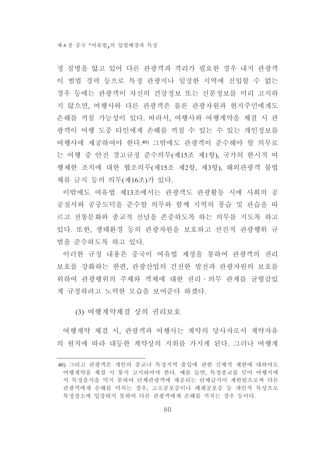정 질병을 앓고 있어 다른 관광객과 격리가 필요한 경우 내지 관광객 이 범법 경력 등으로 특정 관광지나 일정한 지역에 지입할 수 없는 경우 등에는 관광객이 자신의 건강정보 또는 신분정보를 미리 고지하 지 않으면, 여행사와 다른 관광객은 물론 관광자원과 현지주민에게도 손해를 끼칠 가능성이 있다. 따라서, 여행사와 여행계약을 체결 시 관 광객이 여행 도중 타인에게 손해를 끼칠 수 있는 수 있는 개인정보를 여행사에 제공하여야 한다.40) 그밖에도 관광객이 준수해야 할 의무로 는 여행 중 안전 경고규정 준수의무(제15조 제1항), 국가의 한시적 여 행제한 조치에 대한 협조의무(제15조 제2항, 제3항), 해외관광객 불법 체류 금지 등의 의무(제16조)가 있다.

이밖에도 여유법 제13조에서는 관광객도 관광활동 시에 사회의 공 공질서와 공중도덕을 주수할 의무와 함께 지역의 풍습 및 과습을 따 르고 전통문화와 종교적 신념을 존중하도록 하는 의무를 지도록 하고 있다. 또한, 생태환경 등의 관광자원을 보호하고 선진적 관광행위 규 범을 주수하도록 하고 있다.

이러한 규정 내용은 중국이 여유법 제정을 통하여 관광객의 권리 보호를 강화하는 한편, 관광산업의 건전한 발전과 관광자원의 보호를 위하여 관광행위의 주체와 객체에 대한 권리 · 의무 관계를 규형감있 게 규정하려고 노력한 모습을 보여준다 하겠다.

### (3) 여행계약체결 상의 권리보호

여행계약 체결 시, 관광객과 여행사는 계약의 당사자로서 계약자유 의 원칙에 따라 대등한 계약상의 지위를 가지게 된다. 그러나 여행계

<sup>40)</sup> 그리고 관광객은 개인의 종교나 특정지역 출입에 관한 신체적 제한에 대하여도 여행계약을 체결 시 통지 고지하여야 한다. 예를 들면, 특정종교를 믿어 여행지에 서 특정음식을 먹지 못하여 단체관광객에 제공되는 단체급식이 제한됨으로써 다른 관광객에게 손해를 미치는 경우, 고소공포증이나 폐쇄공포증 등 개인적 특성으로 특정장소에 입장하지 못하여 다른 관광객에게 손해를 끼치는 경우 등이다.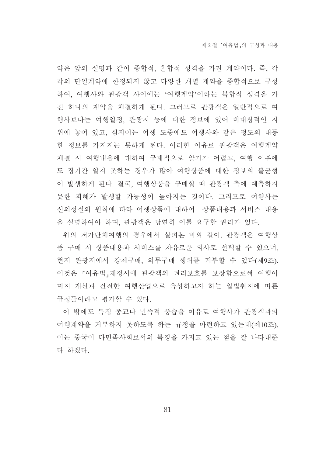약은 앞의 설명과 같이 종합적, 혼합적 성격을 가진 계약이다. 즉, 각 각의 단일계약에 한정되지 않고 다양한 개별 계약을 종합적으로 구성 하여, 여행사와 관광객 사이에는 '여행계약'이라는 복합적 성격을 가 진 하나의 계약을 체결하게 된다. 그러므로 관광객은 일반적으로 여 행사보다는 여행일정. 관광지 등에 대한 정보에 있어 비대칭적인 지 위에 놓여 있고, 심지어는 여행 도중에도 여행사와 같은 정도의 대등 한 정보를 가지지는 못하게 된다. 이러한 이유로 관광객은 여행계약 체결 시 여행내용에 대하여 구체적으로 알기가 어렵고, 여행 이후에 도 장기간 알지 못하는 경우가 많아 여행상품에 대한 정보의 불규형 이 발생하게 된다. 결국, 여행상품을 구매할 때 관광객 측에 예측하지 못한 피해가 발생할 가능성이 높아지는 것이다. 그러므로 여행사는 신의성실의 원칙에 따라 여행상품에 대하여 상품내용과 서비스 내용 을 설명하여야 하며, 관광객은 당연히 이를 요구할 권리가 있다.

위의 저가단체여행의 경우에서 살펴본 바와 같이 과광객은 여행상 품 구매 시 상품내용과 서비스를 자유로운 의사로 선택할 수 있으며, 현지 관광지에서 강제구매, 의무구매 행위를 거부할 수 있다(제9조). 이것은 『여유법』제정시에 관광객의 권리보호를 보장함으로써 여행이 미지 개선과 건전한 여행산업으로 육성하고자 하는 입법취지에 따른 규정들이라고 평가할 수 있다.

이 밖에도 특정 종교나 민족적 풍습을 이유로 여행사가 관광객과의 여행계약을 거부하지 못하도록 하는 규정을 마련하고 있는데(제10조). 이는 중국이 다민족사회로서의 특징을 가지고 있는 점을 잘 나타내준 다 하겠다.

81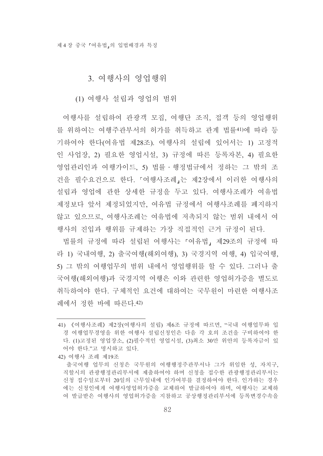## 3. 여행사의 영업행위

(1) 여행사 설립과 영업의 범위

여행사를 설립하여 관광객 모집, 여행단 조직, 접객 등의 영업행위 를 위하여는 여행주관부서의 허가를 취득하고 관계 법률41)에 따라 등 기하여야 한다(여유법 제28조). 여행사의 설립에 있어서는 1) 고정적 인 사업장, 2) 필요한 영업시설, 3) 규정에 따른 등록자본, 4) 필요한 영업관리인과 여행가이드, 5) 법률 · 행정법규에서 정하는 그 밖의 조 건을 필수요건으로 한다. 『여행사조례』는 제2장에서 이러한 여행사의 설립과 영업에 관한 상세한 규정을 두고 있다. 여행사조례가 여유법 제정보다 앞서 제정되었지만, 여유법 규정에서 여행사조례를 폐지하지 않고 있으므로 여행사조례는 여유법에 저촉되지 않는 범위 내에서 여 행사의 진입과 행위를 규제하는 가장 직접적인 근거 규정이 되다.

법률의 규정에 따라 설립된 여행사는 「여유법」제29조의 규정에 따 라 1) 국내여행, 2) 출국여행(해외여행), 3) 국경지역 여행, 4) 입국여행, 5) 그 밖의 여행업무의 범위 내에서 영업행위를 할 수 있다. 그러나 출 국여행(해외여행)과 국경지역 여행은 이와 관련한 영업허가증을 별도로 취득하여야 한다. 구체적인 요건에 대하여는 국무원이 마련한 여행사조 례에서 정한 바에 따른다 42)

42) 여행사 조례 제19조

<sup>41) 《</sup>여행사조례》 제2장(여행사의 설립) 제6조 규정에 따르면, "국내 여행업무와 입 경 여행업무경영을 위한 여행사 설립시청인은 다음 각 호의 조건을 구비하여야 한 다. (1)고정된 영업장소, (2)필수적인 영업시설, (3)최소 30만 위안의 등록자금이 있 어야 한다."고 명시하고 있다.

출국여행 업무의 신청은 국무원의 여행행정주관부서나 그가 위임한 성, 자치구. 직할시의 과광행정과리부서에 제출하여야 하며 시청을 접수하 과광행정과리부서는 신청 접수일로부터 20일의 근무일내에 인가여부를 결정하여야 한다. 인가하는 경우 에는 신청인에게 여행사영업허가증을 교체하여 발급하여야 하며, 여행사는 교체하 여 발급받은 여행사의 영업허가증을 지참하고 공상행정관리부서에 등록변경수속을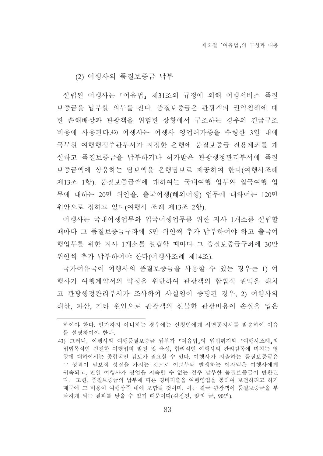(2) 여행사의 품질보증금 납부

설립된 여행사는 「여유법」 제31조의 규정에 의해 여행서비스 품질 보증금을 납부할 의무를 진다. 품질보증금은 관광객의 권익침해에 대 한 손해배상과 관광객을 위험한 상황에서 구조하는 경우의 긴급구조 비용에 사용된다.43) 여행사는 여행사 영업허가증을 수령한 3일 내에 국무워 여행행정주관부서가 지정한 은행에 품질보증금 전용계좌를 개 설하고 품질보증금을 납부하거나 허가받은 관광행정관리부서에 품질 보증금액에 상응하는 담보액을 은행담보로 제공하여 한다(여행사조례 제13조 1항). 품질보증금액에 대하여는 국내여행 업무와 입국여행 업 무에 대하는 20만 위안을, 출국여행(해외여행) 업무에 대하여는 120만 위안으로 정하고 있다(여행사 조례 제13조 2항).

여행사는 국내여행업무와 입국여행업무를 위한 지사 1개소를 설립할 때마다 그 품질보증금구좌에 5만 위안씩 추가 납부하여야 하고 출국여 행업무를 위한 지사 1개소를 설립할 때마다 그 품질보증금구좌에 30만 위안씩 추가 납부하여야 한다(여행사조례 제14조).

국가여유국이 여행사의 품질보증금을 사용할 수 있는 경우는 1) 여 행사가 여행계약서의 약정을 위반하여 관광객의 합법적 권익을 해치 고 관광행정관리부서가 조사하여 사실임이 증명된 경우, 2) 여행사의 해산, 파산, 기타 워인으로 관광객의 선불한 관광비용이 손실을 입은

하여야 한다. 인가하지 아니하는 경우에는 신청인에게 서면통지서를 발송하여 이유 를 설명하여야 한다.

<sup>43)</sup> 그러나, 여행사의 여행품질보증금 납부가 「여유법」의 입법취지와 「여행사조례」의 입법목적인 건전한 여행업의 발전 및 육성, 합리적인 여행사의 관리감독에 미치는 영 향에 대하여서는 종합적인 검토가 필요할 수 있다. 여행사가 지출하는 품질보증금은 그 성격이 담보적 성질을 가지는 것으로 이로부터 발생하는 이자액은 여행사에게 귀속되고, 만일 여행사가 영업을 지속할 수 없는 경우 납부한 품질보증금이 반화된 다. 또한, 품질보증금의 납부에 따른 경비지출을 여행영업을 통하여 보전하려고 하기 때문에 그 비용이 여행상품 내에 포함될 것이며, 이는 결국 관광객이 품질보증금을 부 담하게 되는 결과를 낳을 수 있기 때문이다(김정진, 앞의 글, 90면).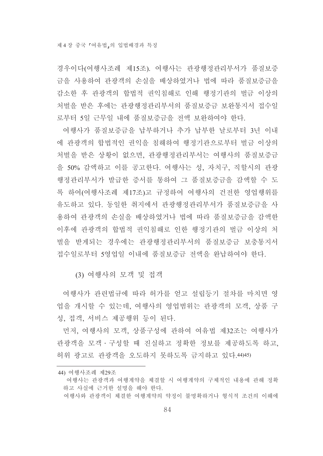경우이다(여행사조례 제15조). 여행사는 관광행정관리부서가 품질보증 금을 사용하여 관광객의 손실을 배상하였거나 법에 따라 품질보증금을 감소한 후 관광객의 합법적 권익침해로 인해 행정기관의 벌금 이상의 처벌을 받은 후에는 관광행정관리부서의 품질보증금 보완통지서 접수일 로부터 5일 근무일 내에 품질보증금을 전액 보완하여야 한다.

여행사가 품질보증금을 납부하거나 추가 납부한 날로부터 3년 이내 에 관광객의 합법적인 권익을 침해하여 행정기관으로부터 벌금 이상의 처벌을 받은 상황이 없으면, 관광행정관리부서는 여행사의 품질보증금 을 50% 감액하고 이를 공고한다. 여행사는 성, 자치구, 직할시의 관광 행정관리부서가 발급한 증서를 통하여 그 품질보증금을 감액할 수 도 록 하여(여행사조례 제17조)고 규정하여 여행사의 건전한 영업행위를 유도하고 있다. 동일한 취지에서 관광행정관리부서가 품질보증금을 사 용하여 과광객의 손실을 배상하였거나 법에 따라 품질보증금을 감액하 이후에 과광객의 합법적 권익침해로 인한 행정기관의 벌금 이상의 처 벌을 받게되는 경우에는 관광행정관리부서의 품질보증금 보충통지서 접수일로부터 5영업일 이내에 품질보증금 전액을 와납하여야 한다.

(3) 여행사의 모객 및 접객

여행사가 관련법규에 따라 허가를 얻고 설립등기 절차를 마치면 영 업을 개시할 수 있는데, 여행사의 영업범위는 관광객의 모객, 상품 구 성. 접객. 서비스 제공행위 등이 된다.

먼저, 여행사의 모객, 상품구성에 관하여 여유법 제32조는 여행사가 관광객을 모객 · 구성할 때 진실하고 정확한 정보를 제공하도록 하고. 허위 광고로 관광객을 오도하지 못하도록 금지하고 있다. 44) 45)

<sup>44)</sup> 여행사조례 제29조

여행사는 관광객과 여행계약을 체결할 시 여행계약의 구체적인 내용에 관해 정확 하고 사실에 근거한 설명을 해야 한다. 여행사와 관광객이 체결한 여행계약의 약정이 불명확하거나 형식적 조건의 이해에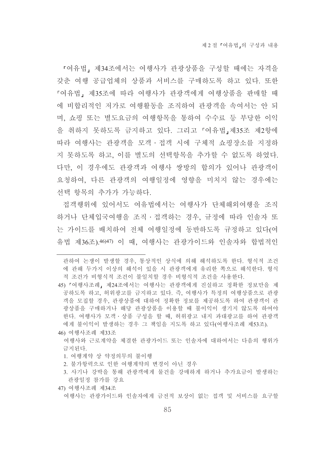『여유법, 제34조에서는 여행사가 관광상품을 구성할 때에는 자격을 갖춘 여행 공급업체의 상품과 서비스를 구매하도록 하고 있다. 또한 『여유법, 제35조에 따라 여행사가 관광객에게 여행상품을 판매할 때 에 비합리적인 저가로 여행활동을 조직하여 관광객을 속여서는 안 되 며, 쇼핑 또는 별도요금의 여행항목을 통하여 수수료 등 부당한 이익 을 취하지 못하도록 금지하고 있다. 그리고 「여유법」제35조 제2항에 따라 여행사는 관광객을 모객ㆍ접객 시에 구체적 쇼핑장소를 지정하 지 못하도록 하고, 이를 별도의 선택항목을 추가할 수 없도록 하였다. 다만, 이 경우에도 관광객과 여행사 쌍방의 합의가 있어나 관광객이 요청하여, 다른 관광객의 여행일정에 영향을 미치지 않는 경우에는 선택 항목의 추가가 가능하다.

접객행위에 있어서도 여유법에서는 여행사가 단체해외여행을 조직 하거나 단체입국여행을 조직 · 접객하는 경우, 규정에 따라 인솔자 또 는 가이드를 배치하여 전체 여행일정에 동반하도록 규정하고 있다(여 유법 제36조).46)47) 이 때, 여행사는 관광가이드와 인솔자와 합법적인

46) 여행사조례 제33조

- 1. 여행계약 상 약정의무의 불이행
- 2. 불가항력으로 인한 여행계약의 변경이 아닌 경우

관하여 논쟁이 발생할 경우, 통상적인 상식에 의해 해석하도록 한다. 형식적 조건 에 관해 두가지 이상의 해석이 있을 시 관광객에게 유리한 쪽으로 해석한다. 형식 적 조건가 비형식적 조건이 불일치할 경우 비형식적 조건을 사용한다.

<sup>45) 『</sup>여행사조례』제24조에서는 여행사는 관광객에게 진실하고 정확한 정보만을 제 공하도록 하고, 허위광고를 금지하고 있다. 즉, 여행사가 특정의 여행상품으로 관광 객을 모집할 경우. 관광상품에 대하여 정확한 정보를 제공하도록 하여 관광객이 관 광상품을 구매하거나 해당 관광상품을 이용할 때 불이익이 생기지 않도록 하여야 한다. 여행사가 모객 · 상품 구성을 할 때, 허위광고 내지 과대광고를 하여 관광객 에게 불이익이 발생하는 경우 그 책임을 지도록 하고 있다(여행사조례 제53조).

여행사와 근로계약을 체결한 관광가이드 또는 인솔자에 대하여서는 다음의 행위가 금지되다

<sup>3.</sup> 사기나 강박을 통해 관광객에게 물건을 강매하게 하거나 추가요금이 발생하는 관광일정 참가를 강요

<sup>47)</sup> 여행사조례 제34조

여행사는 관광가이드와 인솔자에게 금전적 보상이 없는 접객 및 서비스를 요구할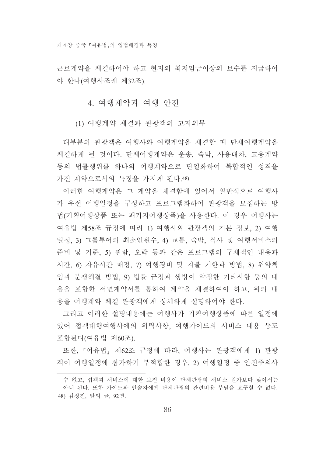근로계약을 체결하여야 하고 현지의 최저임금이상의 보수를 지급하여 야 한다(여행사조례 제32조).

### 4. 여행계약과 여행 안전

(1) 여행계약 체결과 관광객의 고지의무

대부분의 관광객은 여행사와 여행계약을 체결할 때 단체여행계약을 체결하게 될 것이다. 단체여행계약은 운송, 숙박, 사용대차, 고용계약 등의 법률행위를 하나의 여행계약으로 단일화하여 복합적인 성격을 가진 계약으로서의 특징을 가지게 된다.48)

이러한 여행계약은 그 계약을 체결함에 있어서 일반적으로 여행사 가 우선 여행일정을 구성하고 프로그램화하여 관광객을 모집하는 방 법(기획여행상품 또는 패키지여행상품)을 사용한다. 이 경우 여행사는 여유법 제58조 규정에 따라 1) 여행사와 관광객의 기본 정보, 2) 여행 일정, 3) 그룹투어의 최소인원수, 4) 교통, 숙박, 식사 및 여행서비스의 준비 및 기준, 5) 관람, 오락 등과 같은 프로그램의 구체적인 내용과 시간, 6) 자유시간 배정, 7) 여행경비 및 지불 기한과 방법, 8) 위약책 임과 분쟁해결 방법. 9) 법률 규정과 쌍방이 약정한 기타사항 등의 내 용을 포함한 서면계약서를 통하여 계약을 체결하여야 하고, 위의 내 용을 여행계약 체결 관광객에게 상세하게 설명하여야 한다.

그리고 이러한 설명내용에는 여행사가 기획여행상품에 따른 일정에 있어 접객대행여행사에의 위탁사항, 여행가이드의 서비스 내용 등도 포함된다(여유법 제60조).

또한, 『여유법』제62조 규정에 따라, 여행사는 관광객에게 1) 관광 객이 여행일정에 참가하기 부적합한 경우, 2) 여행일정 중 안전주의사

수 없고, 접객과 서비스에 대한 보전 비용이 단체관광의 서비스 원가보다 낮아서는 아니 된다. 또한 가이드와 인솔자에게 단체관광의 관련비용 부담을 요구할 수 없다. 48) 김정진, 앞의 글, 92면.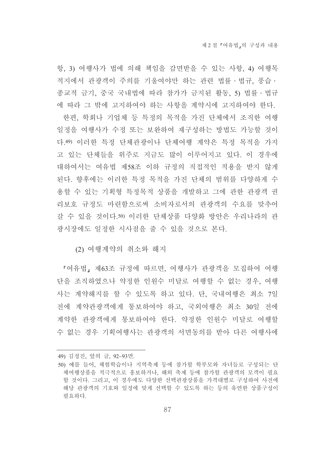항, 3) 여행사가 법에 의해 책임을 감면받을 수 있는 사항, 4) 여행목 적지에서 관광객이 주의를 기울여야만 하는 관련 법률 • 법규, 풍습 • 종교적 금기, 중국 국내법에 따라 참가가 금지된 활동, 5) 법률 • 법규 에 따라 그 밖에 고지하여야 하는 사항을 계약시에 고지하여야 한다. 한편, 학회나 기업체 등 특정의 목적을 가진 단체에서 조직한 여행 일정을 여행사가 수정 또는 보완하여 재구성하는 방법도 가능할 것이 다.49) 이러한 특정 단체관광이나 단체여행 계약은 특정 목적을 가지 고 있는 단체들을 위주로 지금도 많이 이루어지고 있다. 이 경우에 대하여서는 여유법 제58조 이하 규정의 직접적인 적용을 받지 않게 된다. 향후에는 이러한 특정 목적을 가진 단체의 범위를 다양하게 수 용할 수 있는 기획형 특정목적 상품을 개발하고 그에 관한 관광객 권 리보호 규정도 마련함으로써 소비자로서의 관광객의 수요를 맞추어 갈 수 있을 것이다.50) 이러한 단체상품 다양화 방안은 우리나라의 관 광시장에도 일정한 시사점을 줄 수 있을 것으로 본다.

(2) 여행계약의 취소와 해지

『여유법』제63조 규정에 따르면, 여행사가 관광객을 모집하여 여행 단을 조직하였으나 약정한 인원수 미달로 여행할 수 없는 경우, 여행 사는 계약해지를 할 수 있도록 하고 있다. 단, 국내여행은 최소 7일 전에 계약관광객에게 통보하여야 하고, 국외여행은 최소 30일 전에 계약한 관광객에게 통보하여야 한다. 약정한 인워수 미달로 여행할 수 없는 경우 기획여행사는 관광객의 서면동의를 받아 다른 여행사에

<sup>49)</sup> 김정진, 앞의 글, 92~93면.

<sup>50)</sup> 예를 들어, 체험학습이나 지역축제 등에 참가할 학부모와 자녀들로 구성되는 단 체여행상품을 적극적으로 홍보하거나. 해외 축제 등에 참가할 관광객의 모객이 필요 할 것이다. 그리고, 이 경우에도 다양한 선택관광상품을 가격대별로 구성하여 사전에 해당 관광객의 기호와 일정에 맞게 선택할 수 있도록 하는 등의 유연한 상품구성이 필요하다.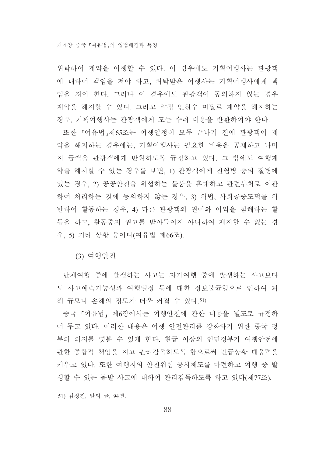위탁하여 계약을 이행할 수 있다. 이 경우에도 기획여행사는 관광객 에 대하여 책임을 져야 하고, 위탁받은 여행사는 기획여행사에게 책 임을 져야 한다. 그러나 이 경우에도 관광객이 동의하지 않는 경우 계약을 해지할 수 있다. 그리고 약정 인원수 미달로 계약을 해지하는 경우, 기획여행사는 관광객에게 모든 수취 비용을 반화하여야 한다.

또한 『여유법』제65조는 여행일정이 모두 끝나기 전에 관광객이 계 약을 해지하는 경우에는, 기획여행사는 필요한 비용을 공제하고 나머 지 금액을 관광객에게 반환하도록 규정하고 있다. 그 밖에도 여행계 약을 해지할 수 있는 경우를 보면. 1) 관광객에게 전염병 등의 질병에 있는 경우, 2) 공공안전을 위협하는 물품을 휴대하고 관련부처로 이관 하여 처리하는 것에 동의하지 않는 경우, 3) 위법, 사회공중도덕을 위 반하여 활동하는 경우, 4) 다른 관광객의 권이와 이익을 침해하는 활 동을 하고, 활동중지 권고를 받아들이지 아니하여 제지할 수 없는 경 우, 5) 기타 상황 등이다(여유법 제66조).

(3) 여행안전

단체여행 중에 발생하는 사고는 자가여행 중에 발생하는 사고보다 도 사고예측가능성과 여행일정 등에 대한 정보불균형으로 인하여 피 해 규모나 손해의 정도가 더욱 커질 수 있다.51)

중국 「여유법」 제6장에서는 여행안전에 관한 내용을 별도로 규정하 여 두고 있다. 이러한 내용은 여행 안전관리를 강화하기 위한 중국 정 부의 의지를 엿볼 수 있게 한다. 현급 이상의 인민정부가 여행안전에 관한 종합적 책임을 지고 관리감독하도록 함으로써 긴급상황 대응력을 키우고 있다. 또한 여행지의 안전위험 공시제도를 마련하고 여행 중 발 생할 수 있는 돌발 사고에 대하여 관리감독하도록 하고 있다(제77조).

<sup>51)</sup> 김정진, 앞의 글, 94면.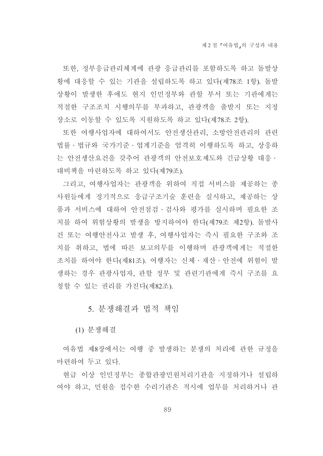또한, 정부응급관리체계에 관광 응급관리를 포함하도록 하고 돌발상 황에 대응할 수 있는 기관을 설립하도록 하고 있다(제78조 1항). 돌발 상황이 발생한 후에도 현지 인민정부와 관할 부서 또는 기관에게는 적절한 구조조치 시행의무를 부과하고, 관광객을 출발지 또는 지정 장소로 이동할 수 있도록 지워하도록 하고 있다(제78조 2항).

또한 여행사업자에 대하여서도 안전생산관리, 소방안전관리의 관련 법률 · 법규와 국가기준 · 업계기준을 엄격히 이행하도록 하고, 상응하 는 안전생산요건을 갖추어 관광객의 안전보호제도와 긴급상황 대응· 대비책을 마련하도록 하고 있다(제79조).

그리고, 여행사업자는 관광객을 위하여 직접 서비스를 제공하는 종 사원들에게 정기적으로 응급구조기술 훈련을 실시하고, 제공하는 상 품과 서비스에 대하여 안전점검·검사와 평가를 실시하며 필요한 조 치를 하여 위험상황의 발생을 방지하여야 한다(제79조 제2항). 돌발사 건 또는 여행안전사고 발생 후, 여행사업자는 즉시 필요한 구조와 조 치를 취하고, 법에 따른 보고의무를 이행하며 관광객에게는 적절한 조치를 하여야 한다(제81조). 여행자는 신체·재산·안전에 위험이 발 생하는 경우 관광사업자, 관할 정부 및 관련기관에게 즉시 구조를 요 청할 수 있는 권리를 가진다(제82조).

# 5. 분쟁해결과 법적 책임

(1) 분쟁해결

여유법 제8장에서는 여행 중 발생하는 분쟁의 처리에 관한 규정을 마련하여 두고 있다.

현급 이상 인민정부는 종합관광민원처리기관을 지정하거나 설립하 여야 하고, 민원을 접수한 수리기관은 적시에 업무를 처리하거나 관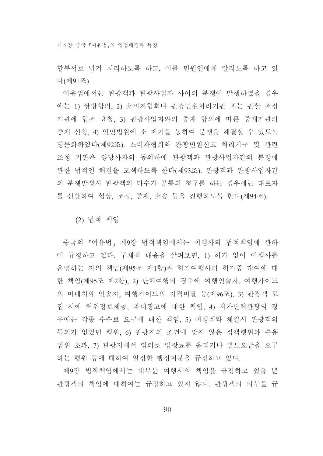할부서로 넘겨 처리하도록 하고, 이를 민워인에게 알리도록 하고 있 다(제91조).

여유법에서는 관광객과 관광사업자 사이의 분쟁이 발생하였을 경우 에는 1) 쌍방합의, 2) 소비자협회나 관광민원처리기관 또는 관할 조정 기관에 협조 요청, 3) 관광사업자와의 중재 합의에 따른 중재기관의 중재 신청, 4) 인민법원에 소 제기를 통하여 분쟁을 해결할 수 있도록 명문화하였다(제92조). 소비자협회와 관광민원신고 처리기구 및 관련 조정 기관은 양당사자의 동의하에 관광객과 관광사업자간의 분쟁에 관한 법적인 해결을 모색하도록 한다(제93조). 관광객과 관광사업자간 의 분쟁발생시 관광객의 다수가 공통의 청구를 하는 경우에는 대표자 를 선발하여 협상, 조정, 중재, 소송 등을 진행하도록 한다(제94조).

(2) 법적 책임

중국의 『여유법』제9장 법적책임에서는 여행사의 법적책임에 관하 여 규정하고 있다. 구체적 내용을 살펴보면, 1) 허가 없이 여행사를 운영하는 자의 책임(제95조 제1항)과 허가여행사의 허가증 대여에 대 한 책임(제95조 제2항), 2) 단체여행의 경우에 여행인솔자, 여행가이드 의 미배치와 인솔자, 여행가이드의 자격미달 등(제96조), 3) 관광객 모 집 시에 허위정보제공, 과대광고에 대한 책임, 4) 저가단체관광의 경 우에는 각종 수수료 요구에 대한 책임, 5) 여행계약 체결시 관광객의 동의가 없었던 행위, 6) 관광지의 조건에 맞지 않은 접객행위와 수용 범위 초과, 7) 관광지에서 임의로 입장료를 올리거나 별도요금을 요구 하는 행위 등에 대하여 일정한 행정처부을 규정하고 있다.

제9장 법적책임에서는 대부분 여행사의 책임을 규정하고 있을 뿐 관광객의 책임에 대하여는 규정하고 있지 않다. 관광객의 의무를 규

90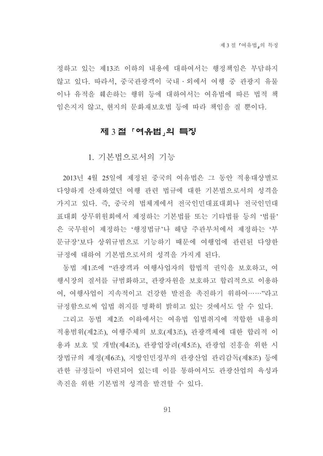정하고 있는 제13조 이하의 내용에 대하여서는 행정책임은 부담하지 않고 있다. 따라서, 중국관광객이 국내 · 외에서 여행 중 관광지 유물 이나 유적을 훼손하는 행위 등에 대하여서는 여유법에 따른 법적 책 임은지지 않고, 현지의 문화재보호법 등에 따라 책임을 질 뿐이다.

## 제 3절 「여유법」의 특징

1. 기본법으로서의 기능

2013년 4월 25일에 제정된 중국의 여유법은 그 동안 적용대상별로 다양하게 산재하였던 여행 관련 법규에 대한 기본법으로서의 성격을 가지고 있다. 즉, 중국의 법체계에서 전국인민대표대회나 전국인민대 표대회 상무위원회에서 제정하는 기본법률 또는 기타법률 등의 '법률' 은 국무원이 제정하는 '행정법규'나 해당 주관부처에서 제정하는 '부 문규장'보다 상위규범으로 기능하기 때문에 여행업에 관련된 다양한 규정에 대하여 기본법으로서의 성격을 가지게 된다.

동법 제1조에 "관광객과 여행사업자의 합법적 권익을 보호하고, 여 행시장의 질서를 규범화하고, 관광자원을 보호하고 합리적으로 이용하 여, 여행사업이 지속적이고 건강한 발전을 촉진하기 위하여……"라고 규정함으로써 입법 취지를 명확히 밝히고 있는 것에서도 알 수 있다.

그리고 동법 제2조 이하에서는 여유법 입법취지에 적합한 내용의 적용범위(제2조), 여행주체의 보호(제3조), 관광객체에 대한 합리적 이 용과 보호 및 개발(제4조), 관광업장려(제5조), 관광업 진흥을 위한 시 장법규의 제정(제6조), 지방인민정부의 관광산업 관리감독(제8조) 등에 관한 규정들이 마련되어 있는데 이를 통하여서도 관광산업의 육성과 촉진을 위한 기본법적 성격을 발견할 수 있다.

91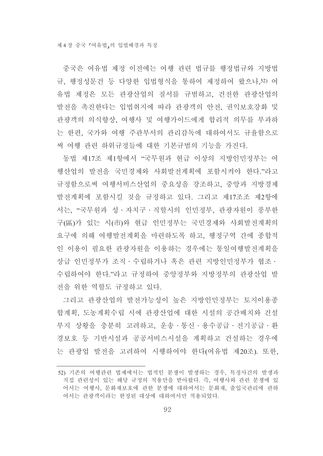중국은 여유법 제정 이전에는 여행 관련 법규를 행정법규와 지방법 규, 행정성문건 등 다양한 입법형식을 통하여 제정하여 왔으나,52) 여 유법 제정은 모든 관광산업의 질서를 규범하고, 건전한 관광산업의 발전을 촉진한다는 입법취지에 따라 관광객의 안전, 권익보호강화 및 관광객의 의식향상, 여행사 및 여행가이드에게 합리적 의무를 부과하 는 한편, 국가와 여행 주관부서의 관리감독에 대하여서도 규율함으로 써 여행 관련 하위규정들에 대한 기본규범의 기능을 가진다.

동법 제17조 제1항에서 "국무원과 현급 이상의 지방인민정부는 여 행산업의 발전을 국민경제와 사회발전계획에 포함시켜야 한다."라고 규정함으로써 여행서비스산업의 중요성을 강조하고, 중앙과 지방경제 발전계획에 포함시킬 것을 규정하고 있다. 그리고 제17조조 제2항에 서는, "국무원과 성 · 자치구 · 직할시의 인민정부, 관광자원이 풍부한 구(區)가 있는 시(市)와 현급 인민정부는 국민경제와 사회발전계획의 요구에 의해 여행발전계획을 마련하도록 하고, 행정구역 간에 종합적 인 이용이 필요한 관광자워을 이용하는 경우에는 통일여행발전계획을 상급 인민정부가 조직·수립하거나 혹은 관련 지방인민정부가 협조· 수립하여야 한다."라고 규정하여 중앙정부와 지방정부의 관광산업 발 전을 위한 역할도 규정하고 있다.

그리고 관광산업의 발전가능성이 높은 지방인민정부는 토지이용종 합계획, 도농계획수립 시에 관광산업에 대한 시설의 공간배치와 건설 부지 상황을 충분히 고려하고, 운송·통신·용수공급·전기공급·환 경보호 등 기반시설과 공공서비스시설을 계획하고 건설하는 경우에 는 관광업 발전을 고려하여 시행하여야 한다(여유법 제20조). 또한,

<sup>52)</sup> 기존의 여행관련 법제에서는 법적인 분쟁이 발생하는 경우. 특정사건의 발생과 직접 관련성이 있는 해당 규정의 적용만을 받아왔다. 즉, 여행사와 관련 분쟁에 있 어서는 여행사, 문화재보호에 관한 분쟁에 대하여서는 문화재, 출입국관리에 관하 여서는 관광객이라는 한정된 대상에 대하여서만 적용되었다.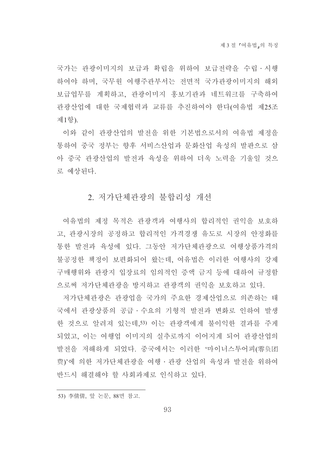국가는 관광이미지의 보급과 확립을 위하여 보급전략을 수립 시행 하여야 하며, 국무원 여행주관부서는 전면적 국가관광이미지의 해외 보급업무를 계획하고, 관광이미지 홍보기관과 네트워크를 구축하여 관광산업에 대한 국제협력과 교류를 추진하여야 한다(여유법 제25조 제1항).

이와 같이 관광산업의 발전을 위한 기본법으로서의 여유법 제정을 통하여 중국 정부는 향후 서비스산업과 문화산업 육성의 발판으로 삼 아 중국 관광산업의 발전과 육성을 위하여 더욱 노력을 기울일 것으 로 예상된다.

## 2. 저가단체관광의 불합리성 개선

여유법의 제정 목적은 관광객과 여행사의 합리적인 권익을 보호하 고, 관광시장의 공정하고 합리적인 가격경쟁 유도로 시장의 안정화를 통한 발전과 육성에 있다. 그동안 저가단체과광으로 여행상품가격의 불공정한 책정이 보편화되어 왔는데. 여유법은 이러한 여행사의 강제 구매행위와 관광지 입장료의 임의적인 증액 금지 등에 대하여 규정함 으로써 저가단체관광을 방지하고 관광객의 권익을 보호하고 있다.

저가단체관광은 관광업을 국가의 주요한 경제산업으로 의존하는 태 국에서 관광상품의 공급 수요의 기형적 발전과 변화로 인하여 발생 한 것으로 알려져 있는데,53) 이는 관광객에게 불이익한 결과를 주게 되었고, 이는 여행업 이미지의 실추로까지 이어지게 되어 관광산업의 발전을 저해하게 되었다. 중국에서는 이러한 '마이너스투어피(零负团 费)'에 의한 저가단체관광을 여행ㆍ관광 산업의 육성과 발전을 위하여 반드시 해결해야 할 사회과제로 인식하고 있다.

<sup>53)</sup> 李倩倩, 앞 논문, 88면 참고.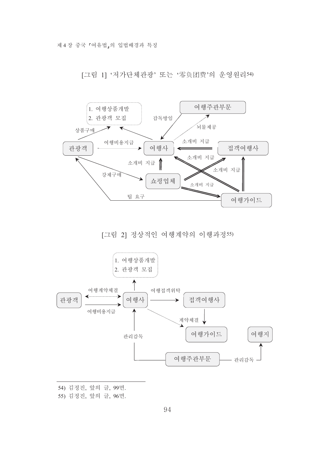제 4 장 중국 『여유법』의 입법배경과 특징

[그림 1] '저가단체관광' 또는 '零负团费'의 운영원리54)



[그림 2] 정상적인 여행계약의 이행과정55)



- 54) 김정진, 앞의 글, 99면.
- 55) 김정진, 앞의 글, 96면.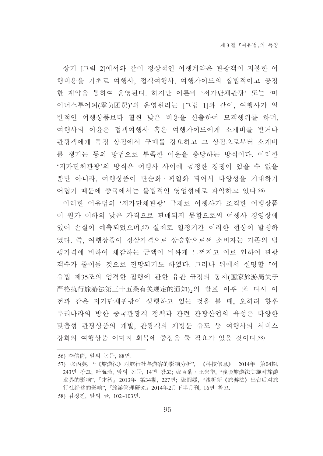상기 [그림 2]에서와 같이 정상적인 여행계약은 관광객이 지불한 여 행비용을 기초로 여행사, 접객여행사, 여행가이드의 합법적이고 공정 한 계약을 통하여 운영된다. 하지만 이른바 '저가단체관광' 또는 '마 이너스투어피(零负团费)'의 운영원리는 [그림 1]와 같이, 여행사가 일 반적인 여행상품보다 훨씬 낮은 비용을 산출하여 모객행위를 하며, 여행사의 이유은 접객여행사 혹은 여행가이드에게 소개비를 받거나 관광객에게 특정 상점에서 구매를 강요하고 그 상점으로부터 소개비 를 챙기는 등의 방법으로 부족한 이유을 충당하는 방식이다. 이러한 '저가단체관광'의 방식은 여행사 사이에 공정한 경쟁이 있을 수 없을 뿐만 아니라, 여행상품이 단순화 •획일화 되어서 다양성을 기대하기 어렵기 때문에 중국에서는 불법적인 영업형태로 파악하고 있다.56)

이러한 여유법의 '저가단체관광' 규제로 여행사가 조직한 여행상품 이 워가 이하의 낮은 가격으로 판매되지 못함으로써 여행사 경영상에 있어 손실이 예측되었으며,57) 실제로 일정기간 이러한 현상이 발생하 였다. 즉, 여행상품이 정상가격으로 상승함으로써 소비자는 기존의 덤 핑가격에 비하여 체감하는 금액이 비싸게 느껴지고 이로 인하여 관광 객수가 줄어들 것으로 전망되기도 하였다. 그러나 뒤에서 설명할 「여 유법 제35조의 엄격한 집행에 관한 유관 규정의 통지(国家旅游局关于 严格执行旅游法第三十五条有关规定的通知),의 발표 이후 또 다시 이 저과 같은 저가다체과광이 성행하고 있는 것을 볼 때. 오히려 향후 우리나라의 방한 중국관광객 정책과 관련 관광산업의 육성은 다양한 맞춤형 관광상품의 개발, 관광객의 재방문 유도 등 여행사의 서비스 강화와 여행상품 이미지 회복에 중점을 둘 필요가 있을 것이다.58)

56) 李倩倩, 앞의 논문, 88면.

58) 김정진, 앞의 글, 102~103면.

<sup>57)</sup> 张丙英, "《旅游法》对旅行社与游客的影响分析", 《科技信息》 2014年 第04期, 243면 참고: 叶海玲, 앞의 논문, 14면 참고: 张百菊·王兴华, "浅谈旅游法实施对旅游 业界的影响", 『才智』 2013年 第34期, 227면; 张圆媛, "浅析新《旅游法》出台后对旅 行社经营的影响", 『旅游管理研究』2014年2月下半月刊, 16면 참고.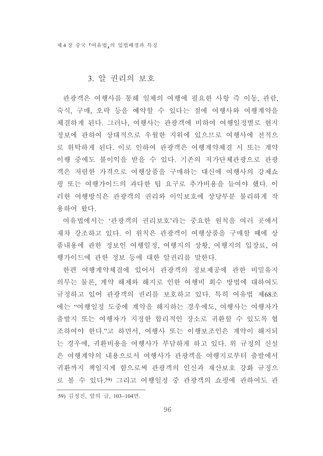## 3. 알 권리의 보호

관광객은 여행사를 통해 일체의 여행에 필요한 사항 즉 이동, 관람, 숙식, 구매, 오락 등을 예약할 수 있다는 점에 여행사와 여행계약을 체결하게 된다. 그러나, 여행사는 관광객에 비하여 여행일정별로 현지 정보에 관하여 상대적으로 우월한 지위에 있으므로 여행사에 전적으 로 위탁하게 된다. 이로 인하여 관광객은 여행계약체결 시 또는 계약 이행 중에도 불이익을 받을 수 있다. 기존의 저가단체관광으로 관광 객은 저렴한 가격으로 여행상품을 구매하는 대신에 여행사의 강제쇼 핑 또는 여행가이드의 과다한 팁 요구로 추가비용을 들여야 했다. 이 러한 여행방식은 관광객의 권리와 이익보호에 상당부분 불리하게 작 용하여 왔다.

여유법에서는 '관광객의 권리보호'라는 중요한 원칙을 여러 곳에서 재차 강조하고 있다. 이 원칙은 관광객이 여행상품을 구매할 때에 상 품내용에 관한 정보인 여행일정, 여행지의 상황, 여행지의 입장료, 여 행가이드에 관한 정보 등에 대한 알권리를 말한다.

한편 여행계약체결에 있어서 관광객의 정보제공에 관한 비밀유지 의무는 물론, 계약 해제와 해지로 인한 여행비 회수 방법에 대하여도 규정하고 있어 관광객의 권리를 보호하고 있다. 특히 여유법 제68조 에는 "여행일정 도중에 계약을 해지하는 경우에도, 여행사는 여행자가 출발지 또는 여행자가 지정한 합리적인 장소로 귀환할 수 있도록 협 조하여야 한다."고 하면서, 여행사 또는 이행보조인은 계약이 해지되 는 경우에, 귀환비용을 여행사가 부담하게 하고 있다. 위 규정의 신설 은 여행계약의 내용으로서 여행사가 관광객을 여행지로부터 출발에서 귀환까지 책임지게 함으로써 관광객의 인신과 재산보호 강화 규정으 로 볼 수 있다.59) 그리고 여행일정 중 관광객의 쇼핑에 관하여도 관

<sup>59)</sup> 김정진, 앞의 글, 103~104면.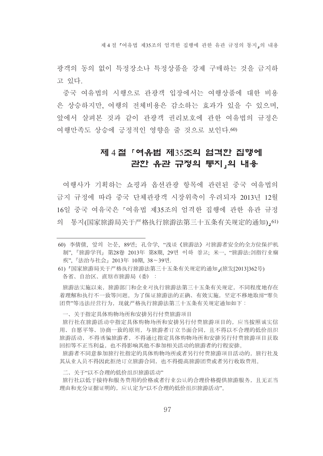제 4 절 『여유법 제 35조의 엄격하 집행에 과한 유과 규정의 통지 의 내용

광객의 동의 없이 특정장소나 특정상품을 강제 구매하는 것을 금지하 고 있다.

중국 여유법의 시행으로 관광객 입장에서는 여행상품에 대한 비용 은 상승하지만, 여행의 전체비용은 감소하는 효과가 있을 수 있으며, 앞에서 살펴본 것과 같이 과광객 권리보호에 관한 여유법의 규정은 여행만족도 상승에 긍정적인 영향을 줄 것으로 보인다.60)

# 제 4절 「여유법 제35조의 엄격한 집행에 관한 유관 규정의 통지,의 내용

여행사가 기획하는 쇼핑과 옵션관광 항목에 관련된 중국 여유법의 금지 규정에 따라 중국 단체과광객 시장위축이 우려되자 2013년 12월 16일 중국 여유국은 「여유법 제35조의 엄격한 집행에 관한 유관 규정 의 통지(国家旅游局关于严格执行旅游法第三十五条有关规定的通知), 61)

旅游法实施以来,旅游部门和企业对执行旅游法第三十五条有关规定,不同程度地存在 着理解和执行不一致等问题。为了保证旅游法的正确、有效实施,坚定不移地取缔"零负 团费"等违法经营行为, 现就严格执行旅游法第三十五条有关规定通知如下:

一、关于指定具体购物场所和安排另行付费旅游项目

旅行社在旅游活动中指定具体购物场所和安排另行付费旅游项目的,应当按照诚实信 用、自愿平等、协商一致的原则, 与旅游者订立书面合同, 且不得以不合理的低价组织 旅游活动,不得诱骗旅游者,不得通过指定具体购物场所和安排另行付费旅游项目获取 回扣等不正当利益, 也不得影响其他不参加相关活动的旅游者的行程安排。

旅游者不同意参加旅行社指定的具体购物场所或者另行付费旅游项目活动的,旅行社及 其从业人员不得因此拒绝订立旅游合同,也不得提高旅游团费或者另行收取费用。

二、关于"以不合理的低价组织旅游活动"

旅行社以低于接待和服务费用的价格或者行业公认的合理价格提供旅游服务, 且无正当 理由和充分证据证明的,应认定为"以不合理的低价组织旅游活动"。

<sup>60)</sup> 李倩倩. 앞의 논문. 89면: 孔令学. "浅谈《旅游法》对旅游者安全的全方位保护机 制", 『旅游学刊』 第28卷 2013年 第8期, 29면 이하 참고; 米一, "旅游法:剑指行业痼 疾", 『法治与社会』2013年 10期, 38~39면.

<sup>61)「</sup>国家旅游局关于严格执行旅游法第三十五条有关规定的通知,(旅发[2013]362号) 各省、自治区、直辖市旅游局 (委) :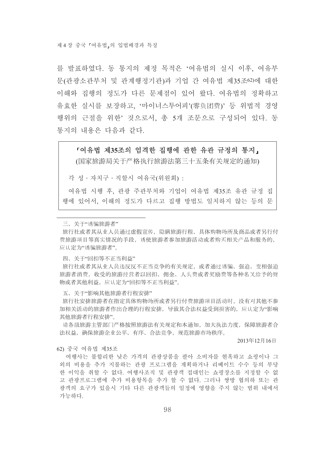를 발표하였다. 동 통지의 제정 목적은 '여유법의 실시 이후, 여유부 문(관광소관부처 및 관계행정기관)과 기업 간 여유법 제35조62)에 대한 이해와 집행의 정도가 다른 무제점이 있어 왔다. 여유법의 정확하고 유효한 실시를 보장하고, '마이너스투어피'(零负团费)' 등 위법적 경영 행위의 근절을 위한' 것으로서, 총 5개 조문으로 구성되어 있다. 동 통지의 내용은 다음과 같다.

#### 『여유법 제35조의 엄격한 집행에 관한 유관 규정의 통지,

(国家旅游局关于严格执行旅游法第三十五条有关规定的通知)

각 성 · 자치구 · 직할시 여유국(위워회) ·

여유법 시행 후, 관광 주관부처와 기업이 여유법 제35조 유관 규정 집 행에 있어서. 이해의 정도가 다르고 집행 방법도 일치하지 않는 등의 문

三、关于"诱骗旅游者"

旅行社或者其从业人员通过虚假宣传, 隐瞒旅游行程、具体购物场所及商品或者另行付 费旅游项目等真实情况的手段, 诱使旅游者参加旅游活动或者购买相关产品和服务的, 应认定为"诱骗旅游者"。

四、关于"回扣等不正当利益"

旅行社或者其从业人员违反反不正当竞争的有关规定,或者通过诱骗、强迫、变相强迫 旅游者消费,收受的旅游经营者以回扣、佣金、人头费或者奖励费等各种名义给予的财 物或者其他利益, 应认定为"同扣等不正当利益"。

五、关于"影响其他旅游者行程安排"

旅行社安排旅游者在指定具体购物场所或者另行付费旅游项目活动时, 没有对其他不参 加相关活动的旅游者作出合理的行程安排, 导致其合法权益受到损害的, 应认定为"影响 其他旅游者行程安排"。

请各级旅游主管部门严格按照旅游法有关规定和本通知,加大执法力度,保障旅游者合 法权益,确保旅游企业公平、有序、合法竞争,规范旅游市场秩序。

2013年12月16日

62) 중국 여유법 제35조

여행사는 불합리한 낮은 가격의 관광상품을 팔아 소비자를 현혹하고 쇼핑이나 그 외의 비용을 추가 지불하는 관광 프로그램을 계획하거나 리베이트 수수 등의 부당 한 이익을 취할 수 없다. 여행사조직 및 과광객 접대인는 쇼핑장소를 지정할 수 없 고 관광프로그램에 추가 비용항목을 추가 할 수 없다. 그러나 쌍방 협의하 또는 관 광객의 요구가 있을시 기타 다른 관광객들의 일정에 영향을 주지 않는 범위 내에서 가능하다.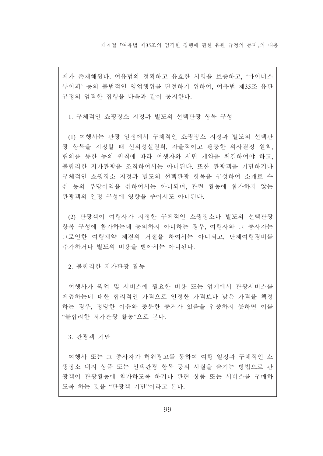제 4 절 『여유법 제 35조의 엄격한 집행에 관한 유관 규정의 통지,의 내용

제가 존재해왔다. 여유법의 정확하고 유효한 시행을 보증하고, '마이너스 투어피' 등의 불법적인 영업행위를 단절하기 위하여, 여유법 제35조 유관 규정의 엄격한 집행을 다음과 같이 통지한다.

1. 구체적인 쇼핑장소 지정과 별도의 선택관광 항목 구성

(1) 여행사는 관광 일정에서 구체적인 쇼핑장소 지정과 별도의 선택관 광 항목을 지정할 때 신의성실워칙. 자율적이고 평등한 의사결정 워칙. 협의를 통한 동의 원칙에 따라 여행자와 서면 계약을 체결하여야 하고, 불합리한 저가관광을 조직하여서는 아니된다. 또한 관광객을 기만하거나 구체적인 쇼핑장소 지정과 별도의 선택관광 항목을 구성하여 소개료 수 취 등의 부당이익을 취하여서는 아니되며, 관련 활동에 참가하지 않는 관광객의 일정 구성에 영향을 주어서도 아니된다.

(2) 관광객이 여행사가 지정한 구체적인 쇼핑장소나 별도의 선택관광 항목 구성에 참가하는데 동의하지 아니하는 경우. 여행사와 그 종사자는 그로인한 여행계약 체결의 거절을 하여서는 아니되고, 단체여행경비를 추가하거나 별도의 비용을 받아서는 아니되다.

2. 불합리한 저가관광 활동

여행사가 픽업 및 서비스에 필요한 비용 또는 업계에서 관광서비스를 제공하는데 대한 합리적인 가격으로 인정한 가격보다 낮은 가격을 책정 하는 경우, 정당한 이유와 충분한 증거가 있음을 입증하지 못하면 이를 "불합리한 저가관광 활동"으로 본다.

3. 관광객 기만

여행사 또는 그 종사자가 허위광고를 통하여 여행 일정과 구체적인 쇼 핑장소 내지 상품 또는 선택관광 항목 등의 사실을 숨기는 방법으로 관 광객이 과광활동에 참가하도록 하거나 과려 상품 또는 서비스를 구매하 도록 하는 것을 "관광객 기만"이라고 본다.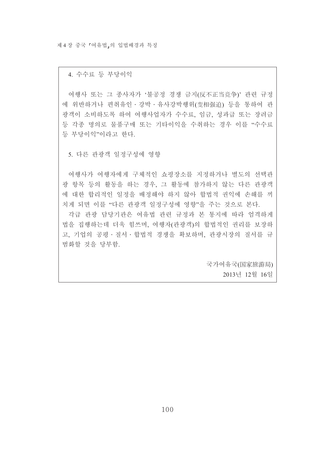제 4 장 중국 『여유법』의 입법배경과 특징

4. 수수료 등 부당이익

여행사 또는 그 종사자가 '불공정 경쟁 금지(反不正当竞争)' 관련 규정 에 위반하거나 편취유인 · 강박 · 유사강박행위(变相强迫) 등을 통하여 관 광객이 소비하도록 하여 여행사업자가 수수료, 임금, 성과급 또는 장려금 등 각종 명의로 물품구매 또는 기타이익을 수취하는 경우 이를 "수수료 등 부당이익"이라고 한다.

5. 다른 관광객 일정구성에 영향

여행사가 여행자에게 구체적인 쇼핑장소를 지정하거나 별도의 선택관 광 항목 등의 활동을 하는 경우, 그 활동에 참가하지 않는 다른 관광객 에 대한 합리적인 일정을 배정해야 하지 않아 합법적 권익에 손해를 끼 치게 되면 이를 "다른 관광객 일정구성에 영향"을 주는 것으로 본다.

각급 관광 담당기관은 여유법 관련 규정과 본 통지에 따라 엄격하게 법을 집행하는데 더욱 힘쓰며, 여행자(관광객)의 합법적인 권리를 보장하 고, 기업의 공평 · 질서 · 합법적 경쟁을 확보하며, 관광시장의 질서를 규 범화할 것을 당부함.

> 국가여유국(国家旅游局) 2013년 12월 16일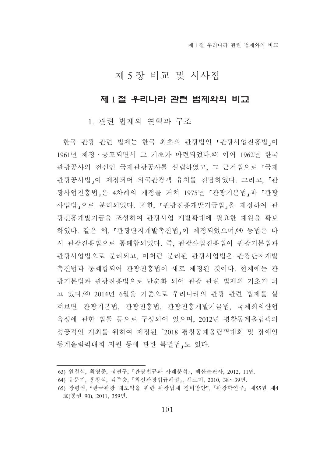제 1 절 우리나라 관련 법제와의 비교

# 제 5 장 비교 및 시사점

## 제 1절 우리나라 관련 법제와의 비교

### 1. 관련 법제의 연혁과 구조

한국 관광 관련 법제는 한국 최초의 관광법인 『관광사업진흥법』이 1961년 제정 · 공포되면서 그 기초가 마련되었다.63) 이어 1962년 한국 관광공사의 전신인 국제관광공사를 설립하였고, 그 근거법으로 『국제 관광공사법」이 제정되어 외국관광객 유치를 전담하였다. 그리고, 『관 광사업진흥법」은 4차례의 개정을 거쳐 1975년 『관광기본법』과 『관광 사업법,으로 분리되었다. 또한, 「관광진흥개발기금법」을 제정하여 관 광진흥개발기금을 조성하여 관광사업 개발확대에 필요한 재원을 확보 하였다. 같은 해. 『과광단지개발촉진법』이 제정되었으며 64) 동법은 다 시 관광진흥법으로 통폐합되었다. 즉, 관광사업진흥법이 관광기본법과 관광사업법으로 분리되고, 이처럼 분리된 관광사업법은 관광단지개발 촉진법과 통폐합되어 관광진흥법이 새로 제정된 것이다. 현재에는 관 광기본법과 관광진흥법으로 단순화 되어 관광 관련 법제의 기초가 되 고 있다.65) 2014년 6월을 기준으로 우리나라의 관광 관련 법제를 살 펴보면 관광기본법, 관광진흥법, 관광진흥개발기금법, 국제회의산업 육성에 관한 법률 등으로 구성되어 있으며, 2012년 평창동계올림픽의 성공적인 개최를 위하여 제정된 「2018 평창동계올림픽대회 및 장애인 동계올림픽대회 지원 등에 관한 특별법,도 있다.

<sup>63)</sup> 워철식, 최영준, 정연구, 『관광법규와 사례분석』, 백산출판사, 2012, 11면,

<sup>64)</sup> 유문기, 홍창식, 김주승, 『최신관광법규해설』, 새로미, 2010, 38~39면.

<sup>65)</sup> 장평권, "한국관광 대도약을 위한 관광법제 정비방안", 『관광학연구』제55권 제4 호(통권 90), 2011, 359면.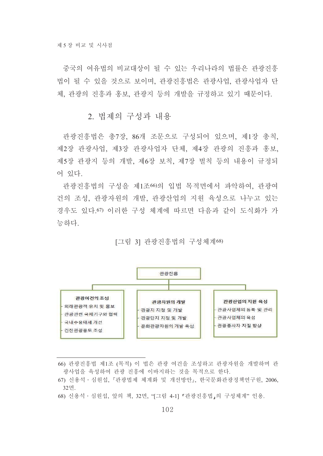중국의 여유법의 비교대상이 될 수 있는 우리나라의 법률은 과광진흥 법이 될 수 있을 것으로 보이며 과광진흥법은 과광사업 과광사업자 다 체, 관광의 진흥과 홍보, 관광지 등의 개발을 규정하고 있기 때문이다.

2. 법제의 구성과 내용

관광진흥법은 총7장, 86개 조문으로 구성되어 있으며, 제1장 총칙, 제2장 관광사업, 제3장 관광사업자 단체, 제4장 관광의 진흥과 홍보, 제5장 관광지 등의 개발, 제6장 보칙, 제7장 벌칙 등의 내용이 규정되 어 있다.

관광진흥법의 구성을 제1조60의 입법 목적면에서 파악하여, 관광여 건의 조성 관광자워의 개발 관광산업의 지워 육성으로 나누고 있는 경우도 있다 67) 이러한 구성 체계에 따르면 다음과 같이 도식화가 가 능하다

### [그림 3] 관광진흥법의 구성체계68)



<sup>66)</sup> 관광진흥법 제1조 (목적) 이 법은 관광 여건을 조성하고 관광자원을 개발하며 관 광사업을 육성하여 관광 진흥에 이바지하는 것을 목적으로 한다.

68) 신용석 · 심원섭, 앞의 책, 32면, "[그림 4-1] 『관광진흥법』의 구성체계"인용.

<sup>67)</sup> 신용석 · 심원섭, 『관광법제 체계화 및 개선방안』, 한국문화관광정책연구원, 2006. 32면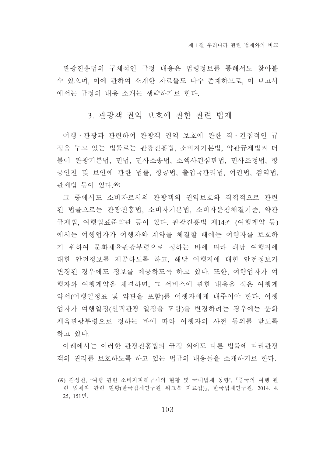관광진흥법의 구체적인 규정 내용은 법령정보를 통해서도 찾아볼 수 있으며, 이에 관하여 소개한 자료들도 다수 존재하므로, 이 보고서 에서는 규정의 내용 소개는 생략하기로 한다.

## 3. 관광객 권익 보호에 관한 관련 법제

여행 · 관광과 관련하여 관광객 권익 보호에 관한 직 · 간접적인 규 정을 두고 있는 법률로는 관광진흥법, 소비자기본법, 약관규제법과 더 불어 관광기본법, 민법, 민사소송법, 소액사건심판법, 민사조정법, 항 공안전 및 보안에 관한 법률, 항공법, 출입국관리법, 여권법, 검역법, 관세법 등이 있다.69)

그 중에서도 소비자로서의 관광객의 권익보호와 직접적으로 관련 된 법률으로는 관광진흥법, 소비자기본법, 소비자분쟁해결기준, 약관 규제법, 여행업표준약관 등이 있다. 관광진흥법 제14조 (여행계약 등) 에서는 여행업자가 여행자와 계약을 체결할 때에는 여행자를 보호하 기 위하여 문화체육관광부령으로 정하는 바에 따라 해당 여행지에 대한 안전정보를 제공하도록 하고, 해당 여행지에 대한 안전정보가 변경된 경우에도 정보를 제공하도록 하고 있다. 또한, 여행업자가 여 행자와 여행계약을 체결하면, 그 서비스에 관한 내용을 적은 여행계 약서(여행일정표 및 약관을 포함)를 여행자에게 내주어야 한다. 여행 업자가 여행일정(선택관광 일정을 포함)을 변경하려는 경우에는 문화 체육관광부령으로 정하는 바에 따라 여행자의 사전 동의를 받도록 하고 있다.

아래에서는 이러한 관광진흥법의 규정 외에도 다른 법률에 따라관광 객의 권리를 보호하도록 하고 있는 법규의 내용들을 소개하기로 한다.

<sup>69)</sup> 김성천, '여행 관련 소비자피해구제의 현황 및 국내법제 동향', 『중국의 여행 관 련 법제와 관련 현황(한국법제연구원 워크숍 자료집)』, 한국법제연구원, 2014. 4. 25, 151면.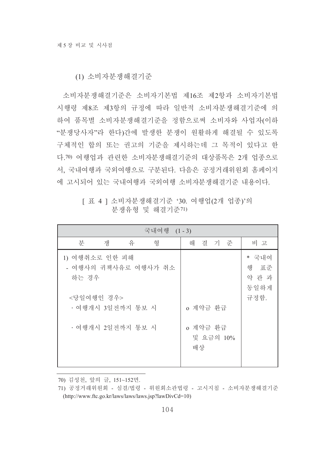### (1) 소비자분쟁해결기준

소비자분쟁해결기준은 소비자기본법 제16조 제2항과 소비자기본법 시행령 제8조 제3항의 규정에 따라 일반적 소비자분쟁해결기준에 의 하여 품목별 소비자분쟁해결기준을 정함으로써 소비자와 사업자(이하 "분쟁당사자"라 한다)간에 발생한 분쟁이 원활하게 해결될 수 있도록 구체적인 합의 또는 권고의 기주을 제시하는데 그 목적이 있다고 한 다.70) 여행업과 관련한 소비자분쟁해결기주의 대상품목은 2개 업종으로 서. 국내여행과 국외여행으로 구분된다. 다음은 공정거래위원회 홈페이지 에 고시되어 있는 국내여행과 국외여행 소비자분쟁해결기준 내용이다.

## [표 4] 소비자분쟁해결기준 '30. 여행업(2개 업종)'의 분쟁유형 및 해결기준71)

| 국내여행 (1-3)                                                    |                                         |                                           |  |  |  |
|---------------------------------------------------------------|-----------------------------------------|-------------------------------------------|--|--|--|
| 형<br>유<br>분<br>쟁                                              | 해<br>결 기 준                              | 비 고                                       |  |  |  |
| 1) 여행취소로 인한 피해<br>- 여행사의 귀책사유로 여행사가 취소<br>하는 경우<br><당일여행인 경우> |                                         | * 국내여<br>해<br>표준<br>약 관 과<br>동일하게<br>규정함. |  |  |  |
| • 여행개시 3일전까지 통보 시<br>• 여행개시 2일전까지 통보 시                        | o 계약금 환급<br>o 계약금 환급<br>및 요금의 10%<br>배상 |                                           |  |  |  |

<sup>70)</sup> 김성천, 앞의 글, 151~152면.

<sup>71)</sup> 공정거래위원회 - 심결/법령 - 위원회소관법령 - 고시지침 - 소비자분쟁해결기준  $(http://www.ftc.gov.kr/laws/laws/laws.jsp?lawDivCd=10)$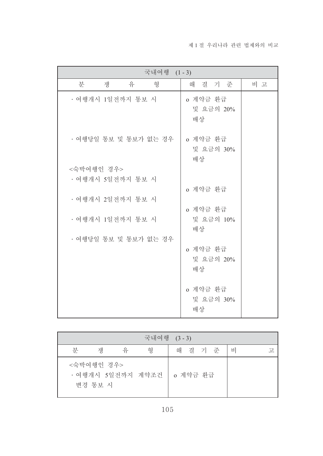| 국내여행 (1-3)            |                             |     |  |  |  |
|-----------------------|-----------------------------|-----|--|--|--|
| 분<br>유<br>쟁<br>형      | 해 결 기 준                     | 비 고 |  |  |  |
| • 여행개시 1일전까지 통보 시     | o 계약금 환급<br>및 요금의 20%<br>배상 |     |  |  |  |
| • 여행당일 통보 및 통보가 없는 경우 | o 계약금 환급<br>및 요금의 30%<br>배상 |     |  |  |  |
| <숙박여행인 경우>            |                             |     |  |  |  |
| • 여행개시 5일전까지 통보 시     |                             |     |  |  |  |
| • 여행개시 2일전까지 통보 시     | o 계약금 환급                    |     |  |  |  |
| • 여행개시 1일전까지 통보 시     | o 계약금 환급<br>및 요금의 10%<br>배상 |     |  |  |  |
| · 여행당일 통보 및 통보가 없는 경우 | o 계약금 환급<br>및 요금의 20%<br>배상 |     |  |  |  |
|                       | o 계약금 환급<br>및 요금의 30%<br>배상 |     |  |  |  |

|   |                       |   | 국내여행 (3-3)                   |         |  |   |        |
|---|-----------------------|---|------------------------------|---------|--|---|--------|
| 분 | 쟁                     | 유 | 형                            | 해 결 기 준 |  | 비 | $\neg$ |
|   | <숙박여행인 경우><br>변경 통보 시 |   | • 여행개시 5일전까지 계약조건   o 계약금 환급 |         |  |   |        |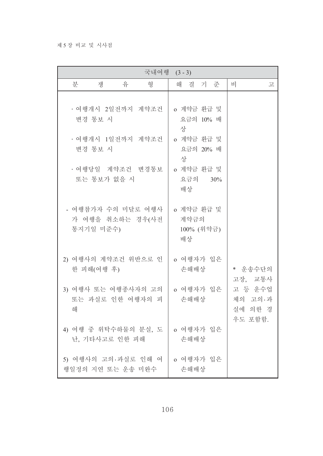#### 제 5 장 비교 및 시사점

|                                                     |                 | 국내여행 (3-3) |   |                                        |  |                                          |   |
|-----------------------------------------------------|-----------------|------------|---|----------------------------------------|--|------------------------------------------|---|
| 분<br>쟁                                              | $\frac{0}{\pi}$ | 형          |   | 해 결 기 준                                |  | 비                                        | 고 |
| • 여행개시 2일전까지 계약조건<br>변경 통보 시                        |                 |            | 상 | o 계약금 환급 및<br>요금의 10% 배                |  |                                          |   |
| · 여행개시 1일전까지 계약조건<br>변경 통보 시                        |                 |            | 상 | o 계약금 환급 및<br>요금의 20% 배                |  |                                          |   |
| · 여행당일 계약조건 변경통보<br>또는 통보가 없을 시                     |                 |            |   | o 계약금 환급 및<br>요금의 30%<br>배상            |  |                                          |   |
| - 여행참가자 수의 미달로 여행사<br>가 여행을 취소하는 경우(사전<br>통지기일 미준수) |                 |            |   | o 계약금 환급 및<br>계약금의<br>100% (위약금)<br>배상 |  |                                          |   |
| 2) 여행사의 계약조건 위반으로 인<br>한 피해(여행 후)                   |                 |            |   | o 여행자가 입은<br>손해배상                      |  | * 운송수단의<br>고장, 교통사                       |   |
| 3) 여행사 또는 여행종사자의 고의<br>또는 과실로 인한 여행자의 피<br>해        |                 |            |   | o 여행자가 입은<br>손해배상                      |  | 고 등 운수업<br>체의 고의·과<br>실에 의한 경<br>우도 포함함. |   |
| 4) 여행 중 위탁수하물의 분실, 도<br>난, 기타사고로 인한 피해              |                 |            |   | o 여행자가 입은<br>손해배상                      |  |                                          |   |
| 5) 여행사의 고의·과실로 인해 여<br>행일정의 지연 또는 운송 미완수            |                 |            |   | o 여행자가 입은<br>손해배상                      |  |                                          |   |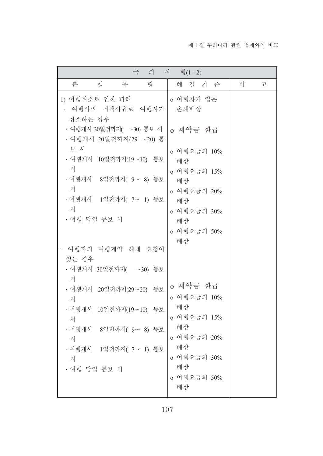| 국<br>외<br>여 행(1 - 2)                                                                                                                                                                                                                                                                                                                            |                                                                                                                                                                         |        |  |  |  |
|-------------------------------------------------------------------------------------------------------------------------------------------------------------------------------------------------------------------------------------------------------------------------------------------------------------------------------------------------|-------------------------------------------------------------------------------------------------------------------------------------------------------------------------|--------|--|--|--|
| 형<br>분<br>쟁<br>유                                                                                                                                                                                                                                                                                                                                | 해 결 기 준                                                                                                                                                                 | 비<br>卫 |  |  |  |
| 1) 여행취소로 인한 피해<br>여행사의 귀책사유로 여행사가<br>취소하는 경우<br>• 여행개시 30일전까지( ~30) 통보 시<br>ㆍ여행개시 20일전까지(29 ∼20) 통<br>보 시<br>• 여행개시 10일전까지(19~10) 통보<br>시<br>• 여행개시 8일전까지( 9~ 8) 통보<br>시<br>• 여행개시 1일전까지( 7~ 1) 통보<br>시<br>· 여행 당일 통보 시<br>여행자의 여행계약 해제 요청이<br>있는 경우<br>• 여행개시 30일전까지(  ~30) 통보<br>시<br>• 여행개시 20일전까지(29~20) 통보<br>시<br>• 여행개시 10일전까지(19~10) 통보 | o 여행자가 입은<br>손해배상<br>o 계약금 환급<br>o 여행요금의 10%<br>배상<br>o 여행요금의 15%<br>배상<br>o 여행요금의 20%<br>배상<br>o 여행요금의 30%<br>배상<br>o 여행요금의 50%<br>배상<br>o 계약금 환급<br>o 여행요금의 10%<br>배상 |        |  |  |  |
| 시<br>• 여행개시 8일전까지( 9~ 8) 통보<br>시<br>• 여행개시 1일전까지( 7~ 1) 통보<br>시<br>· 여행 당일 통보 시                                                                                                                                                                                                                                                                 | o 여행요금의 15%<br>배상<br>o 여행요금의 20%<br>배상<br>o 여행요금의 30%<br>배상<br>o 여행요금의 50%<br>배상                                                                                        |        |  |  |  |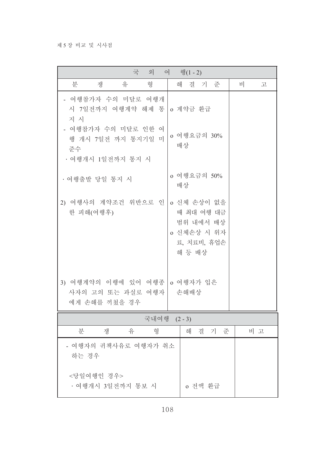#### 제 5 장 비교 및 시사점

| 국 외<br>여 행 $(1-2)$                                                   |                                                                                |        |  |  |  |
|----------------------------------------------------------------------|--------------------------------------------------------------------------------|--------|--|--|--|
| 분<br>유<br>형<br>쟁                                                     | 해 결 기 준                                                                        | 비<br>고 |  |  |  |
| - 여행참가자 수의 미달로 여행개<br>시 7일전까지 여행계약 해제 통<br>지 시                       | o 계약금 환급                                                                       |        |  |  |  |
| - 여행참가자 수의 미달로 인한 여<br>행 개시 7일전 까지 통지기일 미<br>준수<br>• 여행개시 1일전까지 통지 시 | o 여행요금의 30%<br>배상                                                              |        |  |  |  |
| · 여행출발 당일 통지 시                                                       | o 여행요금의 50%<br>배상                                                              |        |  |  |  |
| 2) 여행사의 계약조건 위반으로 인<br>한 피해(여행후)                                     | o 신체 손상이 없을<br>때 최대 여행 대금<br>범위 내에서 배상<br>o 신체손상 시 위자<br>료, 치료비, 휴업손<br>해 등 배상 |        |  |  |  |
| 3) 여행계약의 이행에 있어 여행종<br>사자의 고의 또는 과실로 여행자<br>에게 손해를 끼쳤을 경우            | o 여행자가 입은<br>손해배상                                                              |        |  |  |  |
| 국내여행 (2-3)                                                           |                                                                                |        |  |  |  |
| 유<br>분<br>쟁<br>형                                                     | 해<br>결 기 준                                                                     | 비 고    |  |  |  |
| - 여행자의 귀책사유로 여행자가 취소<br>하는 경우                                        |                                                                                |        |  |  |  |
| <당일여행인 경우><br>• 여행개시 3일전까지 통보 시                                      | o 전액 환급                                                                        |        |  |  |  |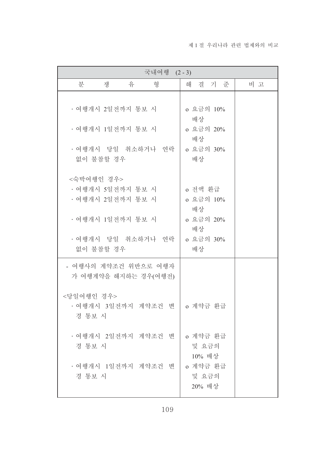| 국내여행 (2-3)                                             |                                    |  |
|--------------------------------------------------------|------------------------------------|--|
| 유<br>형<br>분<br>쟁                                       | 결 기 준<br>비 고<br>해                  |  |
| • 여행개시 2일전까지 통보 시                                      | o 요금의 10%<br>배상                    |  |
| • 여행개시 1일전까지 통보 시                                      | 0 요금의 20%<br>배상                    |  |
| · 여행개시 당일 취소하거나 연락<br>없이 불참할 경우                        | o 요금의 30%<br>배상                    |  |
| <숙박여행인 경우><br>· 여행개시 5일전까지 통보 시<br>ㆍ여행개시 2일전까지 통보 시    | o 전액 환급<br>o 요금의 10%<br>배상         |  |
| • 여행개시 1일전까지 통보 시<br>· 여행개시 당일 취소하거나 연락<br>없이 불참할 경우   | 0 요금의 20%<br>배상<br>o 요금의 30%<br>배상 |  |
| - 여행사의 계약조건 위반으로 여행자<br>가 여행계약을 해지하는 경우(여행전)           |                                    |  |
| <당일여행인 경우><br>• 여행개시 3일전까지 계약조건 변   o 계약금 환급<br>경 통보 시 |                                    |  |
| • 여행개시 2일전까지 계약조건 변<br>경 통보 시                          | o 계약금 환급<br>및 요금의<br>10% 배상        |  |
| · 여행개시 1일전까지 계약조건 변<br>경 통보 시                          | o 계약금 환급<br>및 요금의<br>20% 배상        |  |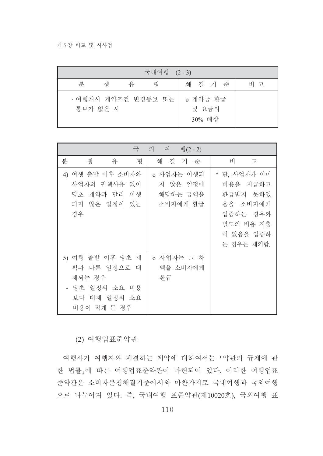| 국내여행 (2-3) |          |   |                     |                             |     |
|------------|----------|---|---------------------|-----------------------------|-----|
| 뷰          | 쟁        | 유 | 형                   | 해 결 기 준                     | 비 고 |
|            | 통보가 없을 시 |   | · 여행개시 계약조건 변경통보 또는 | o 계약금 환급<br>및 요금의<br>30% 배상 |     |

| 국                                                                                           | 외 여<br>행(2 - 2)                                |                                                                                                      |
|---------------------------------------------------------------------------------------------|------------------------------------------------|------------------------------------------------------------------------------------------------------|
| 분<br>형<br>유<br>쟁                                                                            | 결 기 준<br>해                                     | 비<br>卫                                                                                               |
| 4) 여행 출발 이후 소비자와<br>사업자의 귀책사유 없이<br>당초 계약과 달리<br>이 행<br>되지 않은 일정이 있는<br>경우                  | o 사업자는 이행되<br>지 않은 일정에<br>해당하는 금액을<br>소비자에게 환급 | * 단, 사업자가 이미<br>비용을 지급하고<br>환급받지 못하였<br>음을 소비자에게<br>입증하는 경우와<br>별도의 비용 지출<br>이 없음을 입증하<br>는 경우는 제외함. |
| 5) 여행 출발 이후 당초 계<br>획과 다른 일정으로 대<br>체되는 경우<br>- 당초 일정의 소요 비용<br>보다 대체 일정의 소요<br>비용이 적게 든 경우 | o 사업자는 그 차<br>액을 소비자에게<br>환급                   |                                                                                                      |

(2) 여행업표준약관

여행사가 여행자와 체결하는 계약에 대하여서는 「약관의 규제에 관 한 법률」에 따른 여행업표준약관이 마련되어 있다. 이러한 여행업표 준약관은 소비자분쟁해결기준에서와 마찬가지로 국내여행과 국외여행 으로 나누어져 있다. 즉, 국내여행 표준약관(제10020호), 국외여행 표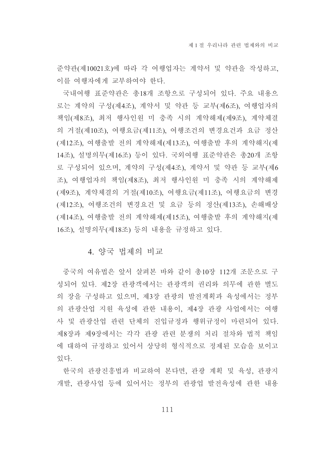준약관(제10021호)에 따라 각 여행업자는 계약서 및 약관을 작성하고, 이를 여행자에게 교부하여야 한다.

국내여행 표준약관은 총18개 조항으로 구성되어 있다. 주요 내용으 로는 계약의 구성(제4조), 계약서 및 약관 등 교부(제6조), 여행업자의 책임(제8조), 최저 행사인원 미 충족 시의 계약해제(제9조), 계약체결 의 거절(제10조), 여행요금(제11조), 여행조건의 변경요건과 요금 정산 (제12조), 여행출발 전의 계약해제(제13조), 여행출발 후의 계약해지(제 14조), 설명의무(제16조) 등이 있다. 국외여행 표준약관은 총20개 조항 로 구성되어 있으며, 계약의 구성(제4조), 계약서 및 약관 등 교부(제6 조), 여행업자의 책임(제8조), 최저 행사인원 미 충족 시의 계약해제 (제9조), 계약체결의 거절(제10조), 여행요금(제11조), 여행요금의 변경 (제12조), 여행조건의 변경요건 및 요금 등의 정산(제13조), 손해배상 (제14조), 여행출발 전의 계약해제(제15조), 여행출발 후의 계약해지(제 16조), 설명의무(제18조) 등의 내용을 규정하고 있다.

### 4. 양국 법제의 비교

중국의 여유법은 앞서 살펴본 바와 같이 총10장 112개 조문으로 구 성되어 있다. 제2장 관광객에서는 관광객의 권리와 의무에 관한 별도 의 장을 구성하고 있으며, 제3장 관광의 발전계획과 육성에서는 정부 의 관광산업 지원 육성에 관한 내용이, 제4장 관광 사업에서는 여행 사 및 관광산업 관련 단체의 진입규정과 행위규정이 마련되어 있다. 제8장과 제9장에서는 각각 관광 관련 분쟁의 처리 절차와 법적 책임 에 대하여 규정하고 있어서 상당히 형식적으로 정제된 모습을 보이고 있다.

한국의 관광진흥법과 비교하여 본다면, 관광 계획 및 육성, 관광지 개발, 관광사업 등에 있어서는 정부의 관광업 발전육성에 관한 내용

111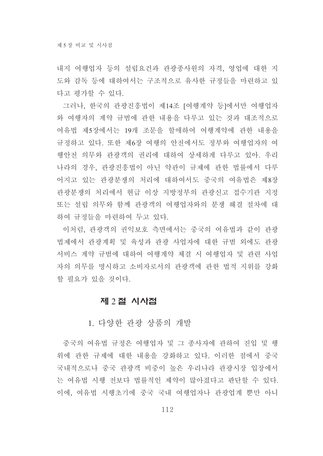내지 여행업자 등의 설립요건과 관광종사원의 자격, 영업에 대한 지 도와 감독 등에 대하여서는 구조적으로 유사한 규정들을 마련하고 있 다고 평가할 수 있다.

그러나, 한국의 관광진흥법이 제14조 [여행계약 등]에서만 여행업자 와 여행자의 계약 규범에 관한 내용을 다루고 있는 것과 대조적으로 여유법 제5장에서는 19개 조문을 할애하여 여행계약에 관한 내용을 규정하고 있다. 또한 제6장 여행의 안전에서도 정부와 여행업자의 여 행안전 의무와 관광객의 권리에 대하여 상세하게 다루고 있아. 우리 나라의 경우, 관광진흥법이 아닌 약관이 규제에 관한 법률에서 다루 어지고 있는 관광분쟁의 처리에 대하여서도 중국의 여유법은 제8장 관광분쟁의 처리에서 현급 이상 지방정부의 관광신고 접수기관 지정 또는 설립 의무와 함께 관광객의 여행업자와의 분쟁 해결 절차에 대 하여 규정들을 마련하여 두고 있다.

이처럼, 관광객의 권익보호 측면에서는 중국의 여유법과 같이 관광 법제에서 관광계획 및 육성과 관광 사업자에 대한 규범 외에도 관광 서비스 계약 규범에 대하여 여행계약 체결 시 여행업자 및 관련 사업 자의 의무를 명시하고 소비자로서의 관광객에 관한 법적 지위를 강화 할 필요가 있을 것이다.

### 제 2절 시사점

1. 다양한 관광 상품의 개발

중국의 여유법 규정은 여행업자 및 그 종사자에 관하여 진입 및 행 위에 관한 규제에 대한 내용을 강화하고 있다. 이러한 점에서 중국 국내적으로나 중국 관광객 비중이 높은 우리나라 관광시장 입장에서 는 여유법 시행 전보다 법률적인 제약이 많아졌다고 판단할 수 있다. 이에, 여유법 시행초기에 중국 국내 여행업자나 관광업계 뿐만 아니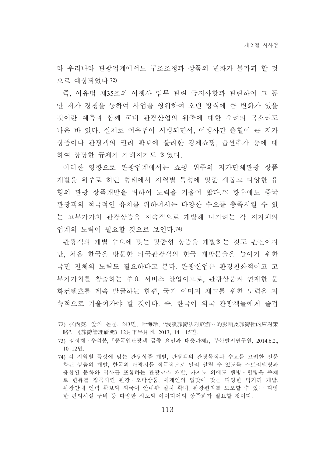라 우리나라 관광업계에서도 구조조정과 상품의 변화가 불가피 할 것 으로 예상되었다 72)

즉, 여유법 제35조의 여행사 업무 관련 금지사항과 관련하여 그 동 안 저가 경쟁을 통하여 사업을 영위하여 오던 방식에 큰 변화가 있을 것이란 예측과 함께 국내 관광산업의 위축에 대한 우려의 목소리도 나온 바 있다. 실제로 여유법이 시행되면서, 여행사간 출혈이 큰 저가 상품이나 관광객의 권리 확보에 불리한 강제쇼핑, 옵션추가 등에 대 하여 상당한 규제가 가해지기도 하였다.

이러한 영향으로 관광업계에서는 쇼핑 위주의 저가단체관광 상품 개발을 위주로 하던 형태에서 지역별 특성에 맞춘 새롭고 다양한 유 형의 관광 상품개발을 위하여 노력을 기울여 왔다.73) 향후에도 중국 관광객의 적극적인 유치를 위하여서는 다양한 수요를 충족시킬 수 있 는 고부가가치 과광상품을 지속적으로 개발해 나가려는 각 지자체와 업계의 노력이 필요할 것으로 보이다 74)

관광객의 개별 수요에 맞는 맞춤형 상품을 개발하는 것도 관건이지 만, 처음 한국을 방문한 외국관광객의 한국 재방문율을 높이기 위한 국민 전체의 노력도 필요하다고 본다. 관광산업은 환경친화적이고 고 부가가치를 창출하는 주요 서비스 산업이므로, 관광상품과 연계한 문 화컨텐츠를 계속 발굴하는 한편, 국가 이미지 제고를 위한 노력을 지 속적으로 기울여가야 할 것이다. 즉, 한국이 외국 관광객들에게 즐겁

<sup>72)</sup> 张丙英、앞의 논문、243면; 叶海玲、"浅淡旅游法对旅游业的影响及旅游社的应对策 略",《旅游管理研究》12月下半月刊, 2013, 14~15면.

<sup>73)</sup> 장정재 · 우석봉. 『중국인관광객 급증 요인과 대응과제』. 부산발전연구원. 2014.6.2..  $10~12$ 면.

<sup>74)</sup> 각 지역별 특성에 맞는 관광상품 개발, 관광객의 관광목적과 수요를 고려한 전문 화된 상품의 개발, 한국의 관광지를 적극적으로 널리 알릴 수 있도록 스토리텔링과 융합된 문화와 역사를 포함하는 관광코스 개발. 카지노 외에도 웰빙 · 힐링을 주제 로 한류를 접목시킨 관광 · 오락상품, 세계인의 입맛에 맞는 다양한 먹거리 개발, 관광안내 인력 확보와 외국어 안내판 설치 확대. 관광편의를 도모할 수 있는 다양 한 편의시설 구비 등 다양한 시도와 아이디어의 상품화가 필요할 것이다.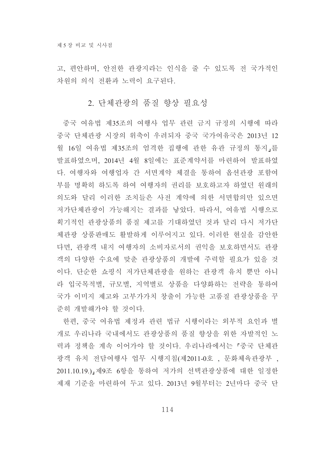고, 편안하며, 안전한 관광지라는 인식을 줄 수 있도록 전 국가적인 차워의 의식 전화과 노력이 요구되다.

### 2. 단체관광의 품질 향상 필요성

중국 여유법 제35조의 여행사 업무 관련 금지 규정의 시행에 따라 중국 단체관광 시장의 위축이 우려되자 중국 국가여유국은 2013년 12 월 16일 여유법 제35조의 엄격한 집행에 관한 유관 규정의 통지,를 발표하였으며, 2014년 4월 8일에는 표준계약서를 마련하여 발표하였 다. 여행자와 여행업자 간 서면계약 체결을 통하여 옵션관광 포함여 부를 명확히 하도록 하여 여행자의 권리를 보호하고자 하였던 원래의 의도와 달리 이러한 조치들은 사전 계약에 의한 서면합의만 있으면 저가단체관광이 가능해지는 결과를 낳았다. 따라서, 여유법 시행으로 획기적인 관광상품의 품질 제고를 기대하였던 것과 달리 다시 저가다 체관광 상품판매도 활발하게 이루어지고 있다. 이러한 현실을 감안한 다면, 관광객 내지 여행자의 소비자로서의 권익을 보호하면서도 관광 객의 다양한 수요에 맞춘 관광상품의 개발에 주력할 필요가 있을 것 이다. 단순한 쇼핑식 저가단체관광을 원하는 관광객 유치 뿐만 아니 라 입국목적별, 규모별, 지역별로 상품을 다양화하는 전략을 통하여 국가 이미지 제고와 고부가가치 창출이 가능한 고품질 관광상품을 꾸 준히 개발해가야 할 것이다.

한편, 중국 여유법 제정과 관련 법규 시행이라는 외부적 요인과 별 개로 우리나라 국내에서도 관광상품의 품질 향상을 위한 자발적인 노 력과 정책을 계속 이어가야 할 것이다. 우리나라에서는 「중국 단체관 광객 유치 전담여행사 업무 시행지침(제2011-0호 , 문화체육관광부 , 2011.10.19.) 제9조 6항을 통하여 저가의 선택관광상품에 대한 일정한 제재 기준을 마련하여 두고 있다. 2013년 9월부터는 2년마다 중국 단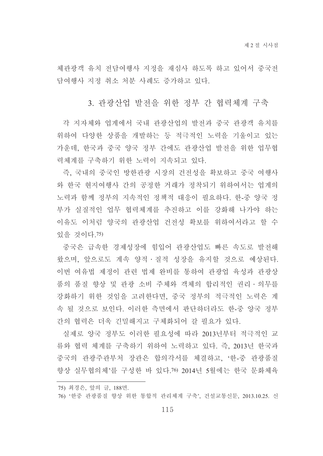체관광객 유치 전담여행사 지정을 재심사 하도록 하고 있어서 중국전 담여행사 지정 취소 처분 사례도 증가하고 있다.

### 3. 관광산업 발전을 위한 정부 간 협력체계 구축

각 지자체와 업계에서 국내 관광산업의 발전과 중국 관광객 유치를 위하여 다양한 상품을 개발하는 등 적극적인 노력을 기울이고 있는 가운데, 한국과 중국 양국 정부 간에도 관광산업 발전을 위한 업무협 력체계를 구축하기 위한 노력이 지속되고 있다.

즉, 국내의 중국인 방한관광 시장의 건전성을 확보하고 중국 여행사 와 한국 현지여행사 간의 공정한 거래가 정착되기 위하여서는 업계의 노력과 함께 정부의 지속적인 정책적 대응이 필요하다. 한-중 양국 정 부가 실질적인 업무 협력체계를 추진하고 이를 강화해 나가야 하는 이유도 이처럼 양국의 관광산업 건전성 확보를 위하여서라고 할 수 있을 것이다.75)

중국은 급속한 경제성장에 힘입어 관광산업도 빠른 속도로 발전해 왔으며, 앞으로도 계속 양적 · 질적 성장을 유지할 것으로 예상된다. 이번 여유법 제정이 관련 법제 완비를 통하여 관광업 육성과 관광상 품의 품질 향상 및 관광 소비 주체와 객체의 합리적인 권리ㆍ의무를 강화하기 위한 것임을 고려한다면, 중국 정부의 적극적인 노력은 계 속 될 것으로 보인다. 이러한 측면에서 판단하더라도 한-중 양국 정부 간의 협력은 더욱 긴밀해지고 구체화되어 갈 필요가 있다.

실제로 양국 정부도 이러한 필요성에 따라 2013년부터 적극적인 교 류와 협력 체계를 구축하기 위하여 노력하고 있다. 즉, 2013년 한국과 중국의 관광주관부처 장관은 합의각서를 체결하고, '한-중 관광품질 향상 실무협의체'를 구성한 바 있다.76) 2014년 5월에는 한국 문화체육

- 75) 최경은, 앞의 글, 188면.
- 76) '한중 관광품질 향상 위한 통합적 관리체계 구축', 건설교통신문, 2013.10.25. 신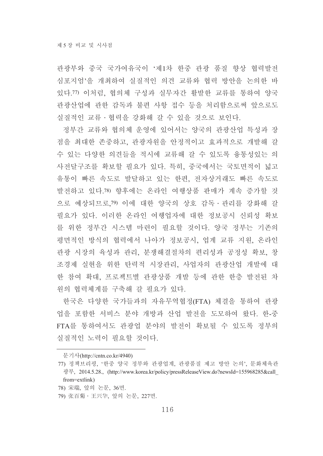관광부와 중국 국가여유국이 '제1차 한중 관광 품질 향상 협력발전 심포지엄'을 개최하여 실질적인 의견 교류와 협력 방안을 논의한 바 있다.77) 이처럼, 협의체 구성과 실무자간 활발한 교류를 통하여 양국 관광산업에 관한 감독과 불편 사항 접수 등을 처리함으로써 앞으로도 실질적인 교류 · 협력을 강화해 갈 수 있을 것으로 보인다.

정부간 교류와 협의체 운영에 있어서는 양국의 관광산업 특성과 장 점을 최대한 존중하고, 관광자원을 안정적이고 효과적으로 개발해 갈 수 있는 다양한 의견들을 적시에 교류해 갈 수 있도록 융통성있는 의 사전달구조를 확보할 필요가 있다. 특히, 중국에서는 국토면적이 넓고 유통이 빠른 속도로 발달하고 있는 한편, 전자상거래도 빠른 속도로 발전하고 있다.78) 향후에는 온라인 여행상품 판매가 계속 증가할 것 으로 예상되므로.79) 이에 대한 양국의 상호 감독 · 관리를 강화해 갈 필요가 있다. 이러한 온라인 여행업자에 대한 정보공시 신뢰성 확보 를 위한 정부간 시스템 마련이 필요할 것이다. 양국 정부는 기존의 평면적인 방식의 협력에서 나아가 정보공시, 업계 교류 지원, 온라인 관광 시장의 육성과 관리, 분쟁해결절차의 편리성과 공정성 확보, 창 조경제 실현을 위한 탄력적 시장관리, 사업자의 관광산업 개발에 대 한 참여 확대. 프로젝트별 관광상품 개발 등에 관한 한층 발전된 차 워의 협력체계를 구축해 갈 필요가 있다.

한국은 다양한 국가들과의 자유무역협정(FTA) 체결을 통하여 관광 업을 포함한 서비스 분야 개방과 산업 발전을 도모하여 왔다. 한-중 FTA를 통하여서도 관광업 분야의 발전이 확보될 수 있도록 정부의 실질적인 노력이 필요할 것이다.

문기사(http://cntn.co.kr/4940)

<sup>77)</sup> 정책브리핑, '한중 양국 정부와 관광업계, 관광품질 제고 방안 논의', 문화체육관 광부, 2014.5.28., (http://www.korea.kr/policy/pressReleaseView.do?newsId=155968285&call from=extlink)

<sup>78)</sup> 宋瑞, 앞의 논문, 36면.

<sup>79)</sup> 张百菊 · 王兴华, 앞의 논문, 227면.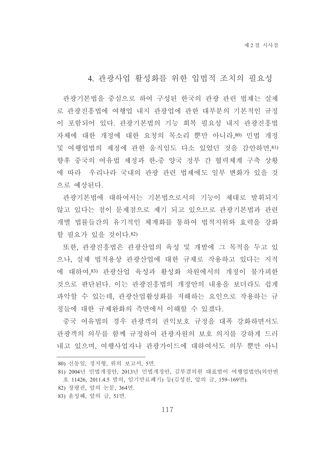## 4. 관광사업 활성화를 위한 입법적 조치의 필요성

관광기본법을 중심으로 하여 구성된 한국의 관광 관련 법제는 실제 로 관광진흥법에 여행업 내지 관광업에 관한 대부분의 기본적인 규정 이 포함되어 있다. 관광기본법의 기능 회복 필요성 내지 관광진흥법 자체에 대한 개정에 대한 요청의 목소리 뿐만 아니라,80) 민법 개정 및 여행업법의 제정에 관한 움직임도 다소 있었던 것을 감안하면. 81) 향후 중국의 여유법 제정과 한-중 양국 정부 간 협력체계 구축 상황 에 따라 우리나라 국내의 관광 관련 법제에도 일부 변화가 있을 것 으로 예상된다.

관광기본법에 대하여서는 기본법으로서의 기능이 제대로 발휘되지 않고 있다는 점이 문제점으로 제기 되고 있으므로 관광기본법과 관련 개별 법률들간의 유기적인 체계화를 통하여 법적지위와 효력을 강화 할 필요가 있을 것이다.82)

또한, 관광진흥법은 관광산업의 육성 및 개발에 그 목적을 두고 있 으나, 실제 법적용상 관광산업에 대한 규제로 작용하고 있다는 지적 에 대하여.83) 관광산업 육성과 활성화 차원에서의 개정이 불가피한 것으로 판단된다. 이는 관광진흥법의 개정안의 내용을 보더라도 쉽게 파악할 수 있는데, 관광산업활성화를 저해하는 요인으로 작용하는 규 정들에 대한 규제완화의 측면에서 이해할 수 있겠다.

중국 여유법의 경우 관광객의 권익보호 규정을 대폭 강화하면서도 관광객의 의무를 함께 규정하여 관광자원의 보호 의지를 강하게 드러 내고 있으며, 여행사업자나 관광가이드에 대하여서도 의무 뿐만 아니

- 82) 장평권, 앞의 논문, 364면.
- 83) 윤성혜, 앞의 글, 51면.

<sup>80)</sup> 신동일, 정지형, 위의 보고서, 5면.

<sup>81) 2004</sup>년 민법개정안, 2013년 민법개정안, 김부겸의원 대표발이 여행업법안(의안번 호 11426, 2011.4.5 발의, 임기만료폐기) 등(김성천, 앞의 글, 159~169면).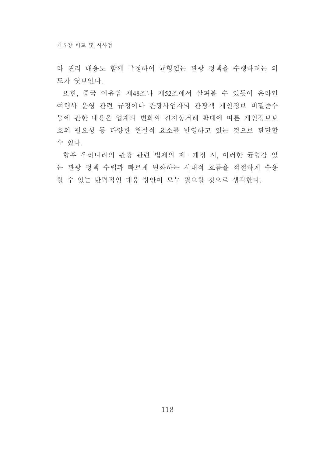라 권리 내용도 함께 규정하여 균형있는 관광 정책을 수행하려는 의 도가 엿보이다.

또한, 중국 여유법 제48조나 제52조에서 살펴볼 수 있듯이 온라인 여행사 운영 관련 규정이나 관광사업자의 관광객 개인정보 비밀준수 등에 관한 내용은 업계의 변화와 전자상거래 확대에 따른 개인정보보 호의 필요성 등 다양한 현실적 요소를 반영하고 있는 것으로 판단할 수 있다.

향후 우리나라의 관광 관련 법제의 제·개정 시, 이러한 균형감 있 는 관광 정책 수립과 빠르게 변화하는 시대적 흐름을 적절하게 수용 할 수 있는 탄력적인 대응 방안이 모두 필요할 것으로 생각한다.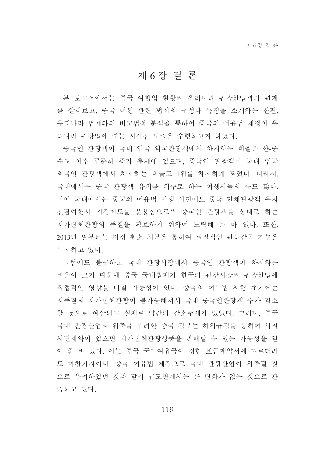# 제 6 장 결 론

본 보고서에서는 중국 여행업 현황과 우리나라 관광산업과의 관계 를 살펴보고. 중국 여행 관련 법제의 구성과 특징을 소개하는 한편. 우리나라 법제와의 비교법적 분석을 통하여 중국의 여유법 제정이 우 리나라 관광업에 주는 시사점 도출을 수행하고자 하였다.

중국인 관광객이 국내 입국 외국관광객에서 차지하는 비율은 한-중 수교 이후 꾸준히 증가 추세에 있으며, 중국인 관광객이 국내 입국 외국인 관광객에서 차지하는 비율도 1위를 차지하게 되었다. 따라서, 국내에서는 중국 관광객 유치를 위주로 하는 여행사들의 수도 많다. 이에 국내에서는 중국의 여유법 시행 이전에도 중국 단체관광객 유치 전담여행사 지정제도를 운용함으로써 중국인 관광객을 상대로 하는 저가단체관광의 품질을 확보하기 위하여 노력해 온 바 있다. 또한, 2013년 말부터는 지정 취소 처분을 통하여 실질적인 관리감독 기능을 유지하고 있다.

그럼에도 불구하고 국내 관광시장에서 중국인 관광객이 차지하는 비율이 크기 때문에 중국 국내법제가 한국의 관광시장과 관광산업에 직접적인 영향을 미칠 가능성이 있다. 중국의 여유법 시행 초기에는 저품질의 저가단체관광이 불가능해져서 국내 중국인관광객 수가 감소 할 것으로 예상되고 실제로 약간의 감소추세가 있었다. 그러나, 중국 국내 관광산업의 위축을 우려한 중국 정부는 하위규정을 통하여 사전 서면계약이 있으면 저가단체관광상품을 판매할 수 있는 가능성을 열 어 주 바 있다. 이는 중국 국가여유국이 정한 표준계약서에 따르더라 도 마찬가지이다. 중국 여유법 제정으로 국내 관광산업이 위축될 것 으로 우려하였던 것과 달리 규모면에서는 큰 변화가 없는 것으로 관 측되고 있다.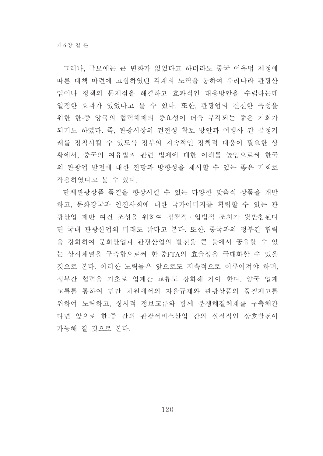그러나, 규모에는 큰 변화가 없었다고 하더라도 중국 여유법 제정에 따른 대책 마련에 고심하였던 각계의 노력을 통하여 우리나라 관광산 업이나 정책의 문제점을 해결하고 효과적인 대응방안을 수립하는데 일정한 효과가 있었다고 볼 수 있다. 또한, 관광업의 건전한 육성을 위한 한-중 양국의 협력체제의 중요성이 더욱 부각되는 좋은 기회가 되기도 하였다. 즉, 관광시장의 건전성 확보 방안과 여행사 간 공정거 래를 정착시킬 수 있도록 정부의 지속적인 정책적 대응이 필요한 상 황에서, 중국의 여유법과 관련 법제에 대한 이해를 높임으로써 한국 의 관광업 발전에 대한 전망과 방향성을 제시할 수 있는 좋은 기회로 작용하였다고 볼 수 있다.

단체관광상품 품질을 향상시킬 수 있는 다양한 맞춤식 상품을 개발 하고, 문화강국과 안전사회에 대한 국가이미지를 확립할 수 있는 관 광산업 제반 여건 조성을 위하여 정책적 · 입법적 조치가 뒷받침된다 면 국내 관광산업의 미래도 밝다고 본다. 또한, 중국과의 정부간 협력 을 강화하여 문화산업과 관광산업의 발전을 큰 틀에서 공유할 수 있 는 상시채널을 구축함으로써 한-중FTA의 효율성을 극대화할 수 있을 것으로 본다. 이러한 노력들은 앞으로도 지속적으로 이루어져야 하며, 정부간 협력을 기초로 업계간 교류도 강화해 가야 한다. 양국 업계 교류를 통하여 민간 차원에서의 자율규제와 관광상품의 품질제고를 위하여 노력하고, 상시적 정보교류와 함께 분쟁해결체계를 구축해간 다면 앞으로 한-중 간의 관광서비스산업 간의 실질적인 상호발전이 가능해 질 것으로 본다.

120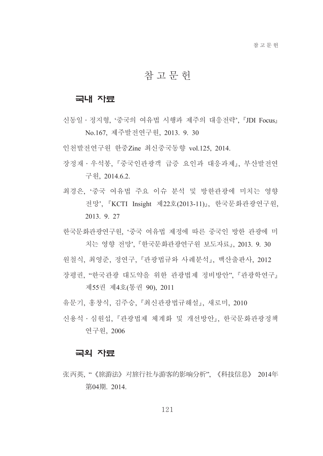# 참고문헌

#### 국내 자료

- 시동일 ∙ 정지형 '중국의 여유법 시행과 제주의 대응전략' 『JDI Focus』 No.167, 제주발전연구원, 2013. 9. 30
- 이처발전여구워 한중Zine 최신중국동향 vol.125, 2014.
- 장정재 · 우석봉 『중국인관광객 급증 요인과 대응과제』 부산발전연 구원, 2014.6.2.
- 최경은. '중국 여유법 주요 이슈 분석 및 방한관광에 미치는 영향 전망', 『KCTI Insight 제22호(2013-11)』, 한국문화관광연구원, 2013. 9. 27
- 한국문화관광연구원, '중국 여유법 제정에 따른 중국인 방한 관광에 미 치는 영향 전망'. 『한국문화관광연구원 보도자료』 2013. 9. 30
- 워철식 최영준 정연구, 『관광법규와 사례분석』, 백산출판사, 2012
- 장평권, "한국관광 대도약을 위한 관광법제 정비방안", 『관광학연구』 제55권 제4호(통권 90), 2011
- 유문기, 홍창식, 김주승, 『최신관광법규해설』, 새로미, 2010
- 신용석 · 심워섭. 『과광법제 체계화 및 개선방안』. 한국문화과광정책 연구원, 2006

#### 국외 자료

张丙英. "《旅游法》对旅行社与游客的影响分析". 《科技信息》 2014年 第04期. 2014.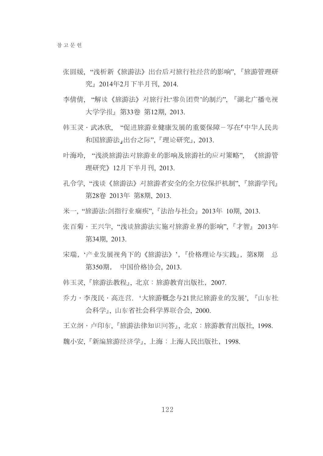- 张圆媛. "浅析新《旅游法》出台后对旅行社经营的影响". 『旅游管理研 究』2014年2月下半月刊. 2014.
- 李倩倩、"解读《旅游法》对旅行社'零负团费'的制约",『湖北广播电视 大学学报, 第33卷 第12期 2013.
- 韩玉灵·武冰欣 "促进旅游业健康发展的重要保障-写在「中华人民共 和国旅游法,出台之际",『理论研究』, 2013.
- 叶海玲, "浅淡旅游法对旅游业的影响及旅游社的应对策略", 《旅游管 理研究》12月下半月刊. 2013.
- 孔令学. "浅谈《旅游法》对旅游者安全的全方位保护机制". 『旅游学刊』 第28卷 2013年 第8期, 2013.
- 米一. "旅游法:剑指行业痼疾". 『法治与社会』2013年 10期. 2013.
- 张百菊·王兴华. "浅谈旅游法实施对旅游业界的影响". 『才智』2013年 第34期, 2013.
- 宋瑞, '产业发展视角下的《旅游法》', 『价格理论与实践』, 第8期 总 第350期, 中国价格协会. 2013.
- 韩玉灵. 『旅游法教程』. 北京:旅游教育出版社, 2007.
- 乔力·李茂民·高连营. '大旅游概念与21世纪旅游业的发展', 『山东社 会科学』,山东省社会科学界联合会, 2000.

王立纲・卢印东、『旅游法律知识问答』、北京:旅游教育出版社、1998. 魏小安. 『新编旅游经济学』. 上海:上海人民出版社, 1998.